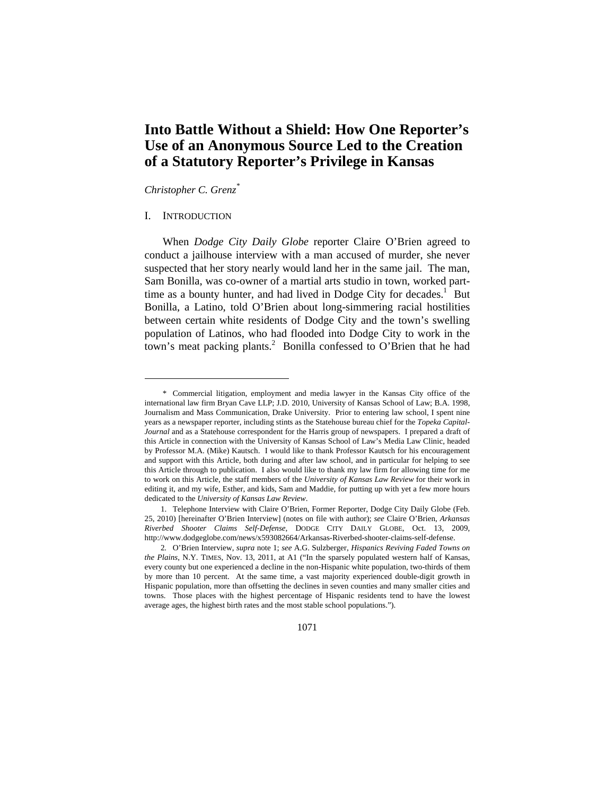# **Into Battle Without a Shield: How One Reporter's Use of an Anonymous Source Led to the Creation of a Statutory Reporter's Privilege in Kansas**

*Christopher C. Grenz\**

# I. INTRODUCTION

 $\overline{a}$ 

When *Dodge City Daily Globe* reporter Claire O'Brien agreed to conduct a jailhouse interview with a man accused of murder, she never suspected that her story nearly would land her in the same jail. The man, Sam Bonilla, was co-owner of a martial arts studio in town, worked parttime as a bounty hunter, and had lived in Dodge City for decades.<sup>1</sup> But Bonilla, a Latino, told O'Brien about long-simmering racial hostilities between certain white residents of Dodge City and the town's swelling population of Latinos, who had flooded into Dodge City to work in the town's meat packing plants.<sup>2</sup> Bonilla confessed to O'Brien that he had

<sup>\*</sup> Commercial litigation, employment and media lawyer in the Kansas City office of the international law firm Bryan Cave LLP; J.D. 2010, University of Kansas School of Law; B.A. 1998, Journalism and Mass Communication, Drake University. Prior to entering law school, I spent nine years as a newspaper reporter, including stints as the Statehouse bureau chief for the *Topeka Capital-Journal* and as a Statehouse correspondent for the Harris group of newspapers. I prepared a draft of this Article in connection with the University of Kansas School of Law's Media Law Clinic, headed by Professor M.A. (Mike) Kautsch. I would like to thank Professor Kautsch for his encouragement and support with this Article, both during and after law school, and in particular for helping to see this Article through to publication. I also would like to thank my law firm for allowing time for me to work on this Article, the staff members of the *University of Kansas Law Review* for their work in editing it, and my wife, Esther, and kids, Sam and Maddie, for putting up with yet a few more hours dedicated to the *University of Kansas Law Review*.

 <sup>1.</sup> Telephone Interview with Claire O'Brien, Former Reporter, Dodge City Daily Globe (Feb. 25, 2010) [hereinafter O'Brien Interview] (notes on file with author); *see* Claire O'Brien, *Arkansas Riverbed Shooter Claims Self-Defense*, DODGE CITY DAILY GLOBE, Oct. 13, 2009, http://www.dodgeglobe.com/news/x593082664/Arkansas-Riverbed-shooter-claims-self-defense.

<sup>2</sup>*.* O'Brien Interview, *supra* note 1; *see* A.G. Sulzberger, *Hispanics Reviving Faded Towns on the Plains*, N.Y. TIMES, Nov. 13, 2011, at A1 ("In the sparsely populated western half of Kansas, every county but one experienced a decline in the non-Hispanic white population, two-thirds of them by more than 10 percent. At the same time, a vast majority experienced double-digit growth in Hispanic population, more than offsetting the declines in seven counties and many smaller cities and towns. Those places with the highest percentage of Hispanic residents tend to have the lowest average ages, the highest birth rates and the most stable school populations.").

<sup>1071</sup>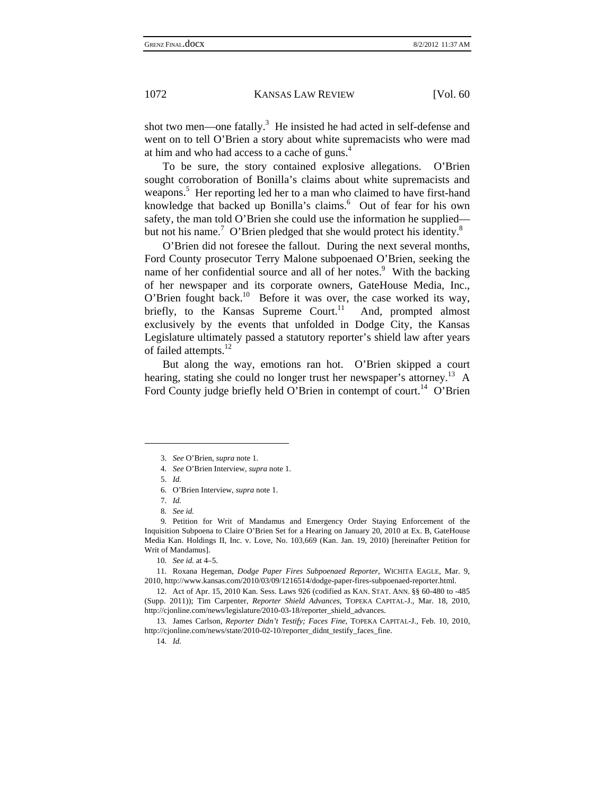shot two men—one fatally.<sup>3</sup> He insisted he had acted in self-defense and went on to tell O'Brien a story about white supremacists who were mad at him and who had access to a cache of guns.4

To be sure, the story contained explosive allegations. O'Brien sought corroboration of Bonilla's claims about white supremacists and weapons.<sup>5</sup> Her reporting led her to a man who claimed to have first-hand knowledge that backed up Bonilla's claims.<sup>6</sup> Out of fear for his own safety, the man told O'Brien she could use the information he supplied but not his name.<sup>7</sup> O'Brien pledged that she would protect his identity.<sup>8</sup>

O'Brien did not foresee the fallout. During the next several months, Ford County prosecutor Terry Malone subpoenaed O'Brien, seeking the name of her confidential source and all of her notes.<sup>9</sup> With the backing of her newspaper and its corporate owners, GateHouse Media, Inc., O'Brien fought back.<sup>10</sup> Before it was over, the case worked its way, briefly, to the Kansas Supreme Court.<sup>11</sup> And, prompted almost exclusively by the events that unfolded in Dodge City, the Kansas Legislature ultimately passed a statutory reporter's shield law after years of failed attempts. $^{12}$ 

But along the way, emotions ran hot. O'Brien skipped a court hearing, stating she could no longer trust her newspaper's attorney.<sup>13</sup> A Ford County judge briefly held O'Brien in contempt of court.<sup>14</sup> O'Brien

<sup>3.</sup> *See* O'Brien, *supra* note 1.

<sup>4.</sup> *See* O'Brien Interview, *supra* note 1.

<sup>5.</sup> *Id.*

<sup>6.</sup> O'Brien Interview, *supra* note 1.

<sup>7.</sup> *Id.*

<sup>8.</sup> *See id.*

 <sup>9</sup>*.* Petition for Writ of Mandamus and Emergency Order Staying Enforcement of the Inquisition Subpoena to Claire O'Brien Set for a Hearing on January 20, 2010 at Ex. B, GateHouse Media Kan. Holdings II, Inc. v. Love, No. 103,669 (Kan. Jan. 19, 2010) [hereinafter Petition for Writ of Mandamus].

<sup>10.</sup> *See id.* at 4–5.

 <sup>11.</sup> Roxana Hegeman, *Dodge Paper Fires Subpoenaed Reporter*, WICHITA EAGLE, Mar. 9, 2010, http://www.kansas.com/2010/03/09/1216514/dodge-paper-fires-subpoenaed-reporter.html.

 <sup>12.</sup> Act of Apr. 15, 2010 Kan. Sess. Laws 926 (codified as KAN. STAT. ANN. §§ 60-480 to -485 (Supp. 2011)); Tim Carpenter, *Reporter Shield Advances*, TOPEKA CAPITAL-J., Mar. 18, 2010, http://cjonline.com/news/legislature/2010-03-18/reporter\_shield\_advances.

 <sup>13.</sup> James Carlson, *Reporter Didn't Testify; Faces Fine*, TOPEKA CAPITAL-J., Feb. 10, 2010, http://cjonline.com/news/state/2010-02-10/reporter\_didnt\_testify\_faces\_fine.

<sup>14.</sup> *Id.*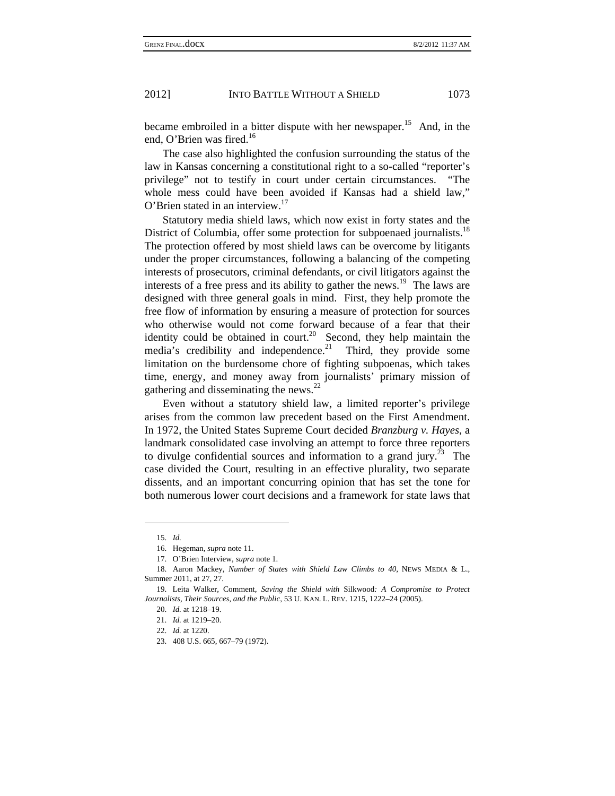became embroiled in a bitter dispute with her newspaper.<sup>15</sup> And, in the end, O'Brien was fired.<sup>16</sup>

The case also highlighted the confusion surrounding the status of the law in Kansas concerning a constitutional right to a so-called "reporter's privilege" not to testify in court under certain circumstances. "The whole mess could have been avoided if Kansas had a shield law," O'Brien stated in an interview.<sup>17</sup>

Statutory media shield laws, which now exist in forty states and the District of Columbia, offer some protection for subpoenaed journalists.<sup>18</sup> The protection offered by most shield laws can be overcome by litigants under the proper circumstances, following a balancing of the competing interests of prosecutors, criminal defendants, or civil litigators against the interests of a free press and its ability to gather the news.<sup>19</sup> The laws are designed with three general goals in mind. First, they help promote the free flow of information by ensuring a measure of protection for sources who otherwise would not come forward because of a fear that their identity could be obtained in court.<sup>20</sup> Second, they help maintain the media's credibility and independence.<sup>21</sup> Third, they provide some limitation on the burdensome chore of fighting subpoenas, which takes time, energy, and money away from journalists' primary mission of gathering and disseminating the news. $^{22}$ 

Even without a statutory shield law, a limited reporter's privilege arises from the common law precedent based on the First Amendment. In 1972, the United States Supreme Court decided *Branzburg v. Hayes*, a landmark consolidated case involving an attempt to force three reporters to divulge confidential sources and information to a grand jury.<sup>23</sup> The case divided the Court, resulting in an effective plurality, two separate dissents, and an important concurring opinion that has set the tone for both numerous lower court decisions and a framework for state laws that

<sup>15.</sup> *Id.*

 <sup>16.</sup> Hegeman, *supra* note 11.

 <sup>17.</sup> O'Brien Interview, *supra* note 1.

 <sup>18.</sup> Aaron Mackey, *Number of States with Shield Law Climbs to 40*, NEWS MEDIA & L., Summer 2011, at 27, 27.

 <sup>19.</sup> Leita Walker, Comment, *Saving the Shield with* Silkwood*: A Compromise to Protect Journalists, Their Sources, and the Public*, 53 U. KAN. L. REV. 1215, 1222–24 (2005).

<sup>20.</sup> *Id.* at 1218–19.

<sup>21.</sup> *Id.* at 1219–20.

<sup>22.</sup> *Id.* at 1220.

 <sup>23. 408</sup> U.S. 665, 667–79 (1972).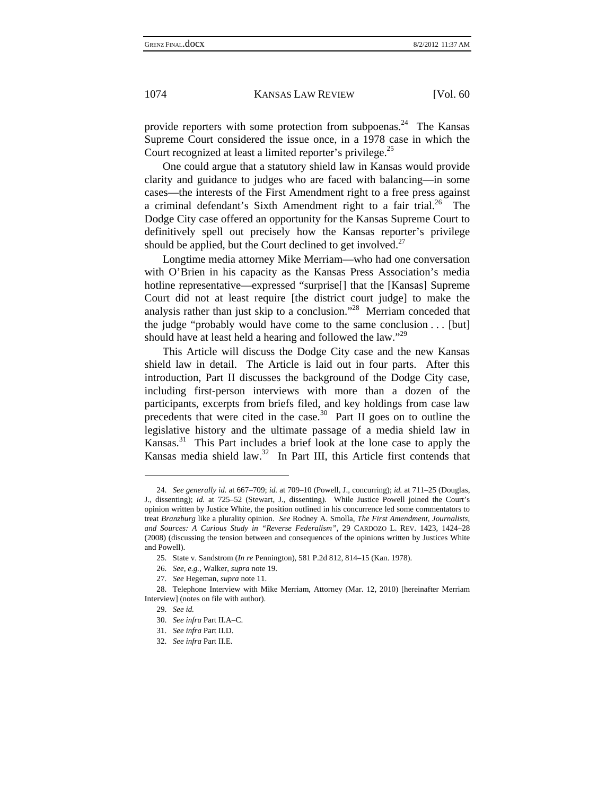provide reporters with some protection from subpoenas.<sup>24</sup> The Kansas Supreme Court considered the issue once, in a 1978 case in which the Court recognized at least a limited reporter's privilege.<sup>25</sup>

One could argue that a statutory shield law in Kansas would provide clarity and guidance to judges who are faced with balancing—in some cases—the interests of the First Amendment right to a free press against a criminal defendant's Sixth Amendment right to a fair trial. $^{26}$  The Dodge City case offered an opportunity for the Kansas Supreme Court to definitively spell out precisely how the Kansas reporter's privilege should be applied, but the Court declined to get involved.<sup>27</sup>

Longtime media attorney Mike Merriam—who had one conversation with O'Brien in his capacity as the Kansas Press Association's media hotline representative—expressed "surprise[] that the [Kansas] Supreme Court did not at least require [the district court judge] to make the analysis rather than just skip to a conclusion."<sup>28</sup> Merriam conceded that the judge "probably would have come to the same conclusion . . . [but] should have at least held a hearing and followed the law."<sup>29</sup>

This Article will discuss the Dodge City case and the new Kansas shield law in detail. The Article is laid out in four parts. After this introduction, Part II discusses the background of the Dodge City case, including first-person interviews with more than a dozen of the participants, excerpts from briefs filed, and key holdings from case law precedents that were cited in the case. $30$  Part II goes on to outline the legislative history and the ultimate passage of a media shield law in Kansas.<sup>31</sup> This Part includes a brief look at the lone case to apply the Kansas media shield  $law^3$ . In Part III, this Article first contends that

<sup>24.</sup> *See generally id.* at 667–709; *id.* at 709–10 (Powell, J., concurring); *id.* at 711–25 (Douglas, J., dissenting); *id.* at 725–52 (Stewart, J., dissenting). While Justice Powell joined the Court's opinion written by Justice White, the position outlined in his concurrence led some commentators to treat *Branzburg* like a plurality opinion. *See* Rodney A. Smolla, *The First Amendment, Journalists, and Sources: A Curious Study in "Reverse Federalism"*, 29 CARDOZO L. REV. 1423, 1424–28 (2008) (discussing the tension between and consequences of the opinions written by Justices White and Powell).

 <sup>25.</sup> State v. Sandstrom (*In re* Pennington), 581 P.2d 812, 814–15 (Kan. 1978).

<sup>26.</sup> *See, e.g.*, Walker, *supra* note 19.

<sup>27.</sup> *See* Hegeman, *supra* note 11.

 <sup>28.</sup> Telephone Interview with Mike Merriam, Attorney (Mar. 12, 2010) [hereinafter Merriam Interview] (notes on file with author).

<sup>29.</sup> *See id.*

<sup>30.</sup> *See infra* Part II.A–C.

<sup>31.</sup> *See infra* Part II.D.

<sup>32.</sup> *See infra* Part II.E.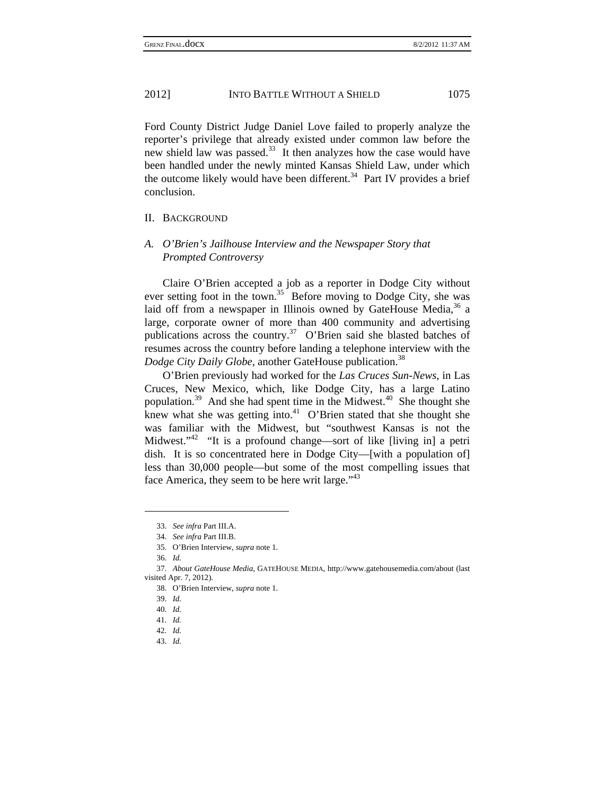Ford County District Judge Daniel Love failed to properly analyze the reporter's privilege that already existed under common law before the new shield law was passed.<sup>33</sup> It then analyzes how the case would have been handled under the newly minted Kansas Shield Law, under which the outcome likely would have been different.<sup>34</sup> Part IV provides a brief conclusion.

#### II. BACKGROUND

# *A. O'Brien's Jailhouse Interview and the Newspaper Story that Prompted Controversy*

Claire O'Brien accepted a job as a reporter in Dodge City without ever setting foot in the town.<sup>35</sup> Before moving to Dodge City, she was laid off from a newspaper in Illinois owned by GateHouse Media,  $36$  a large, corporate owner of more than 400 community and advertising publications across the country.<sup>37</sup> O'Brien said she blasted batches of resumes across the country before landing a telephone interview with the *Dodge City Daily Globe*, another GateHouse publication.<sup>38</sup>

O'Brien previously had worked for the *Las Cruces Sun-News*, in Las Cruces, New Mexico, which, like Dodge City, has a large Latino population.<sup>39</sup> And she had spent time in the Midwest.<sup>40</sup> She thought she knew what she was getting into. $41$  O'Brien stated that she thought she was familiar with the Midwest, but "southwest Kansas is not the Midwest."<sup>42</sup> "It is a profound change—sort of like [living in] a petri dish. It is so concentrated here in Dodge City—[with a population of] less than 30,000 people—but some of the most compelling issues that face America, they seem to be here writ large."<sup>43</sup>

<sup>33.</sup> *See infra* Part III.A.

<sup>34.</sup> *See infra* Part III.B.

 <sup>35.</sup> O'Brien Interview, *supra* note 1.

<sup>36.</sup> *Id.*

<sup>37.</sup> *About GateHouse Media*, GATEHOUSE MEDIA, http://www.gatehousemedia.com/about (last visited Apr. 7, 2012).

 <sup>38.</sup> O'Brien Interview, *supra* note 1.

<sup>39.</sup> *Id.*

<sup>40.</sup> *Id.*

<sup>41.</sup> *Id.*

<sup>42.</sup> *Id.*

<sup>43.</sup> *Id.*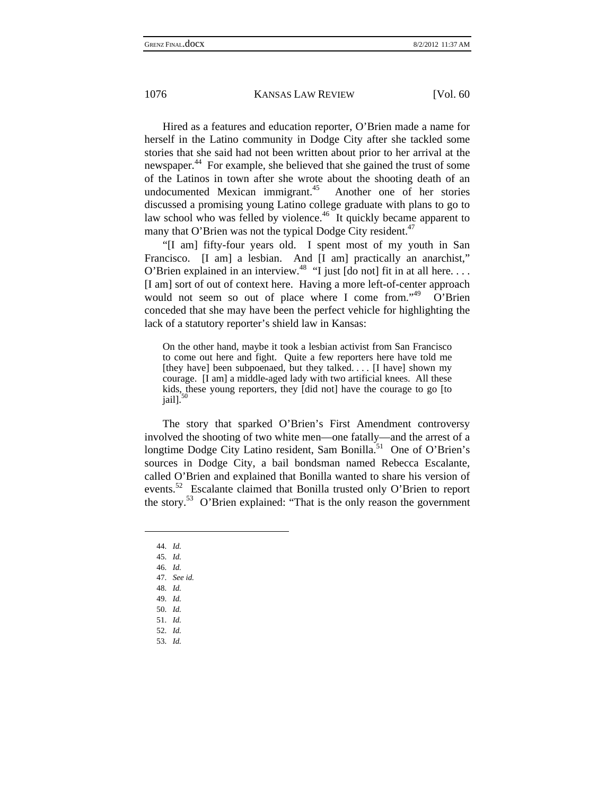Hired as a features and education reporter, O'Brien made a name for herself in the Latino community in Dodge City after she tackled some stories that she said had not been written about prior to her arrival at the newspaper.<sup>44</sup> For example, she believed that she gained the trust of some of the Latinos in town after she wrote about the shooting death of an undocumented Mexican immigrant.<sup>45</sup> Another one of her stories discussed a promising young Latino college graduate with plans to go to law school who was felled by violence.<sup>46</sup> It quickly became apparent to many that O'Brien was not the typical Dodge City resident.<sup>47</sup>

"[I am] fifty-four years old. I spent most of my youth in San Francisco. [I am] a lesbian. And [I am] practically an anarchist," O'Brien explained in an interview.<sup>48</sup> "I just  $[do not]$  fit in at all here... [I am] sort of out of context here. Having a more left-of-center approach would not seem so out of place where I come from."<sup>49</sup> O'Brien conceded that she may have been the perfect vehicle for highlighting the lack of a statutory reporter's shield law in Kansas:

On the other hand, maybe it took a lesbian activist from San Francisco to come out here and fight. Quite a few reporters here have told me [they have] been subpoenaed, but they talked.... [I have] shown my courage. [I am] a middle-aged lady with two artificial knees. All these kids, these young reporters, they [did not] have the courage to go [to  $|q$ iail]. $|q$ 

The story that sparked O'Brien's First Amendment controversy involved the shooting of two white men—one fatally—and the arrest of a longtime Dodge City Latino resident, Sam Bonilla.<sup>51</sup> One of O'Brien's sources in Dodge City, a bail bondsman named Rebecca Escalante, called O'Brien and explained that Bonilla wanted to share his version of events.<sup>52</sup> Escalante claimed that Bonilla trusted only O'Brien to report the story.<sup>53</sup> O'Brien explained: "That is the only reason the government

44. *Id.*

- 45. *Id.*
- 46. *Id.* 47. *See id.*
- 48. *Id.*
- 49. *Id.*
- 
- 50. *Id.*
- 51. *Id.* 52. *Id.*
- 53. *Id.*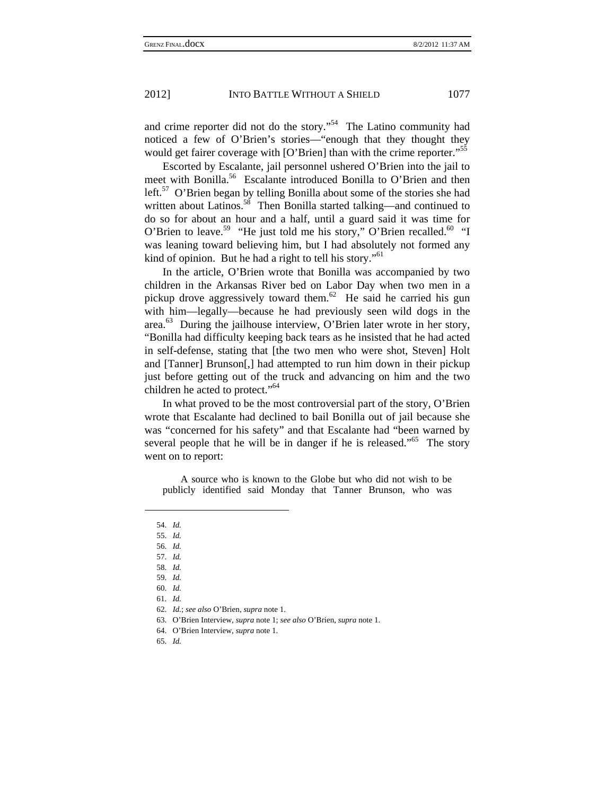and crime reporter did not do the story."<sup>54</sup> The Latino community had noticed a few of O'Brien's stories—"enough that they thought they would get fairer coverage with [O'Brien] than with the crime reporter."<sup>55</sup>

Escorted by Escalante, jail personnel ushered O'Brien into the jail to meet with Bonilla.<sup>56</sup> Escalante introduced Bonilla to O'Brien and then left.<sup>57</sup> O'Brien began by telling Bonilla about some of the stories she had written about Latinos.<sup>58</sup> Then Bonilla started talking—and continued to do so for about an hour and a half, until a guard said it was time for O'Brien to leave.<sup>59</sup> "He just told me his story," O'Brien recalled.<sup>60</sup> "I was leaning toward believing him, but I had absolutely not formed any kind of opinion. But he had a right to tell his story."<sup>61</sup>

In the article, O'Brien wrote that Bonilla was accompanied by two children in the Arkansas River bed on Labor Day when two men in a pickup drove aggressively toward them.<sup>62</sup> He said he carried his gun with him—legally—because he had previously seen wild dogs in the area. $^{63}$  During the jailhouse interview, O'Brien later wrote in her story, "Bonilla had difficulty keeping back tears as he insisted that he had acted in self-defense, stating that [the two men who were shot, Steven] Holt and [Tanner] Brunson[,] had attempted to run him down in their pickup just before getting out of the truck and advancing on him and the two children he acted to protect."<sup>64</sup>

In what proved to be the most controversial part of the story, O'Brien wrote that Escalante had declined to bail Bonilla out of jail because she was "concerned for his safety" and that Escalante had "been warned by several people that he will be in danger if he is released."<sup>65</sup> The story went on to report:

A source who is known to the Globe but who did not wish to be publicly identified said Monday that Tanner Brunson, who was

- 56. *Id.*
- 57. *Id.* 58. *Id.*
- 59. *Id.*
- 60. *Id.*
- 61. *Id.*
- 
- 62. *Id.*; *see also* O'Brien, *supra* note 1.
- 63. O'Brien Interview, *supra* note 1; *see also* O'Brien, *supra* note 1.
- 64. O'Brien Interview, *supra* note 1.
- 65. *Id.*

<sup>54.</sup> *Id.*

<sup>55.</sup> *Id.*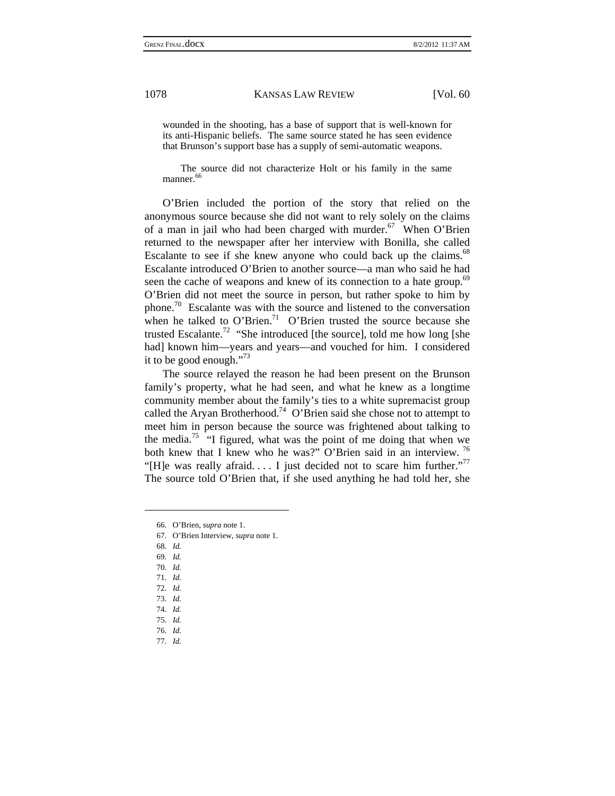wounded in the shooting, has a base of support that is well-known for its anti-Hispanic beliefs. The same source stated he has seen evidence that Brunson's support base has a supply of semi-automatic weapons.

The source did not characterize Holt or his family in the same manner.<sup>66</sup>

O'Brien included the portion of the story that relied on the anonymous source because she did not want to rely solely on the claims of a man in jail who had been charged with murder.<sup>67</sup> When O'Brien returned to the newspaper after her interview with Bonilla, she called Escalante to see if she knew anyone who could back up the claims.<sup>68</sup> Escalante introduced O'Brien to another source—a man who said he had seen the cache of weapons and knew of its connection to a hate group.<sup>69</sup> O'Brien did not meet the source in person, but rather spoke to him by phone.70 Escalante was with the source and listened to the conversation when he talked to O'Brien.<sup>71</sup> O'Brien trusted the source because she trusted Escalante.<sup>72</sup> "She introduced [the source], told me how long [she had] known him—years and years—and vouched for him. I considered it to be good enough."73

The source relayed the reason he had been present on the Brunson family's property, what he had seen, and what he knew as a longtime community member about the family's ties to a white supremacist group called the Aryan Brotherhood.<sup>74</sup> O'Brien said she chose not to attempt to meet him in person because the source was frightened about talking to the media.<sup>75</sup> "I figured, what was the point of me doing that when we both knew that I knew who he was?" O'Brien said in an interview.<sup>76</sup> "[H]e was really afraid.... I just decided not to scare him further."<sup>77</sup> The source told O'Brien that, if she used anything he had told her, she

- 67. O'Brien Interview, *supra* note 1.
- 68. *Id.*

- 69. *Id.*
- 70. *Id.*
- 71. *Id.*
- 72. *Id.*
- 73. *Id.*
- 74. *Id.*
- 75. *Id.*
- 76. *Id.*
- 77. *Id.*

 <sup>66.</sup> O'Brien, *supra* note 1.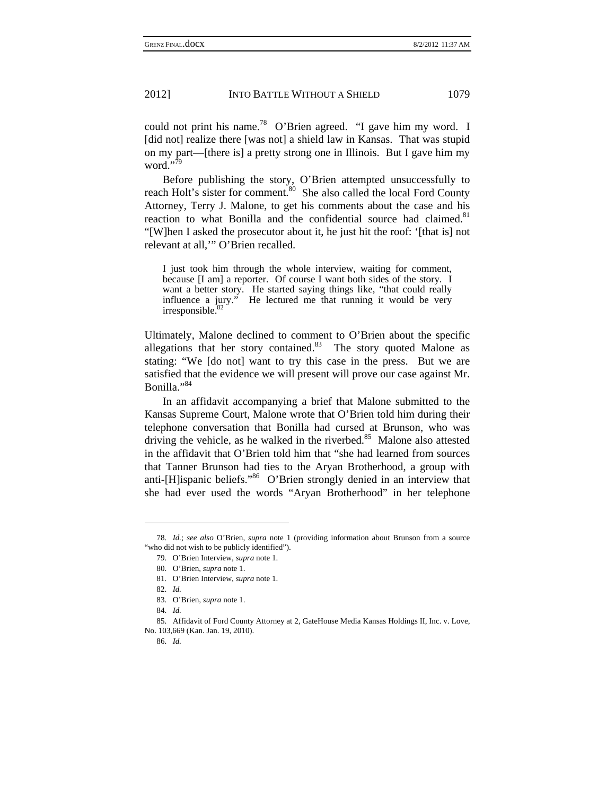could not print his name.<sup>78</sup> O'Brien agreed. "I gave him my word. I [did not] realize there [was not] a shield law in Kansas. That was stupid on my part—[there is] a pretty strong one in Illinois. But I gave him my word $\overline{''}$ 

Before publishing the story, O'Brien attempted unsuccessfully to reach Holt's sister for comment.<sup>80</sup> She also called the local Ford County Attorney, Terry J. Malone, to get his comments about the case and his reaction to what Bonilla and the confidential source had claimed.<sup>81</sup> "[W]hen I asked the prosecutor about it, he just hit the roof: '[that is] not relevant at all,'" O'Brien recalled.

I just took him through the whole interview, waiting for comment, because [I am] a reporter. Of course I want both sides of the story. I want a better story. He started saying things like, "that could really influence a jury." He lectured me that running it would be very  $irrespondible.<sup>82</sup>$ 

Ultimately, Malone declined to comment to O'Brien about the specific allegations that her story contained. $83$  The story quoted Malone as stating: "We [do not] want to try this case in the press. But we are satisfied that the evidence we will present will prove our case against Mr. Bonilla."84

In an affidavit accompanying a brief that Malone submitted to the Kansas Supreme Court, Malone wrote that O'Brien told him during their telephone conversation that Bonilla had cursed at Brunson, who was driving the vehicle, as he walked in the riverbed. $85$  Malone also attested in the affidavit that O'Brien told him that "she had learned from sources that Tanner Brunson had ties to the Aryan Brotherhood, a group with anti-[H]ispanic beliefs."86 O'Brien strongly denied in an interview that she had ever used the words "Aryan Brotherhood" in her telephone

<sup>78.</sup> *Id.*; *see also* O'Brien, *supra* note 1 (providing information about Brunson from a source "who did not wish to be publicly identified").

<sup>79.</sup> O'Brien Interview, *supra* note 1.

 <sup>80.</sup> O'Brien, *supra* note 1.

 <sup>81.</sup> O'Brien Interview, *supra* note 1.

<sup>82.</sup> *Id.*

 <sup>83.</sup> O'Brien, *supra* note 1.

<sup>84.</sup> *Id.*

 <sup>85.</sup> Affidavit of Ford County Attorney at 2, GateHouse Media Kansas Holdings II, Inc. v. Love, No. 103,669 (Kan. Jan. 19, 2010).

<sup>86.</sup> *Id.*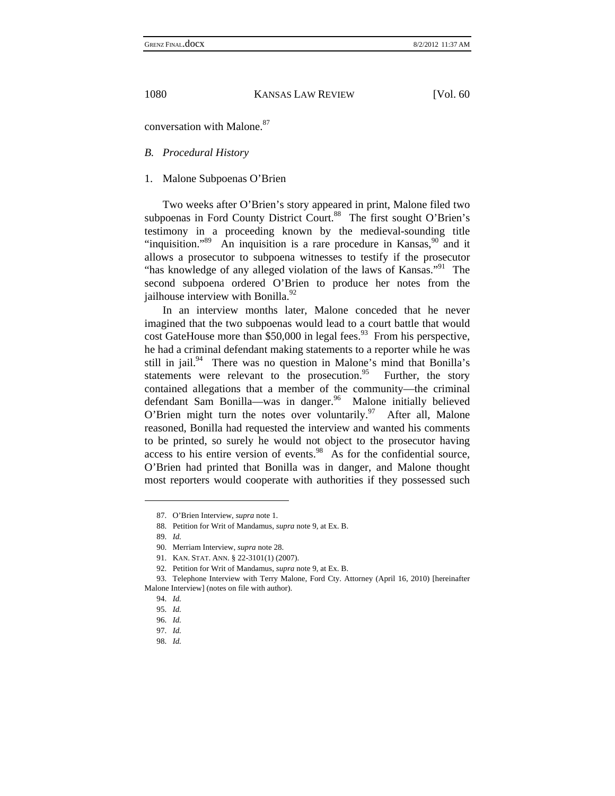conversation with Malone.<sup>87</sup>

#### *B. Procedural History*

#### 1. Malone Subpoenas O'Brien

Two weeks after O'Brien's story appeared in print, Malone filed two subpoenas in Ford County District Court.<sup>88</sup> The first sought O'Brien's testimony in a proceeding known by the medieval-sounding title "inquisition."<sup>89</sup> An inquisition is a rare procedure in Kansas,  $90$  and it allows a prosecutor to subpoena witnesses to testify if the prosecutor "has knowledge of any alleged violation of the laws of Kansas."<sup>91</sup> The second subpoena ordered O'Brien to produce her notes from the jailhouse interview with Bonilla.<sup>92</sup>

In an interview months later, Malone conceded that he never imagined that the two subpoenas would lead to a court battle that would cost GateHouse more than  $$50,000$  in legal fees.<sup>93</sup> From his perspective, he had a criminal defendant making statements to a reporter while he was still in jail. $94$  There was no question in Malone's mind that Bonilla's statements were relevant to the prosecution. $95$  Further, the story contained allegations that a member of the community—the criminal defendant Sam Bonilla—was in danger.<sup>96</sup> Malone initially believed O'Brien might turn the notes over voluntarily.<sup>97</sup> After all, Malone reasoned, Bonilla had requested the interview and wanted his comments to be printed, so surely he would not object to the prosecutor having access to his entire version of events.<sup>98</sup> As for the confidential source, O'Brien had printed that Bonilla was in danger, and Malone thought most reporters would cooperate with authorities if they possessed such

 <sup>87.</sup> O'Brien Interview, *supra* note 1.

 <sup>88.</sup> Petition for Writ of Mandamus, *supra* note 9, at Ex. B.

<sup>89.</sup> *Id.*

 <sup>90.</sup> Merriam Interview, *supra* note 28.

 <sup>91.</sup> KAN. STAT. ANN. § 22-3101(1) (2007).

 <sup>92.</sup> Petition for Writ of Mandamus, *supra* note 9, at Ex. B.

 <sup>93.</sup> Telephone Interview with Terry Malone, Ford Cty. Attorney (April 16, 2010) [hereinafter Malone Interview] (notes on file with author).

<sup>94.</sup> *Id.*

<sup>95.</sup> *Id.*

<sup>96.</sup> *Id.*

<sup>97.</sup> *Id.*

<sup>98.</sup> *Id.*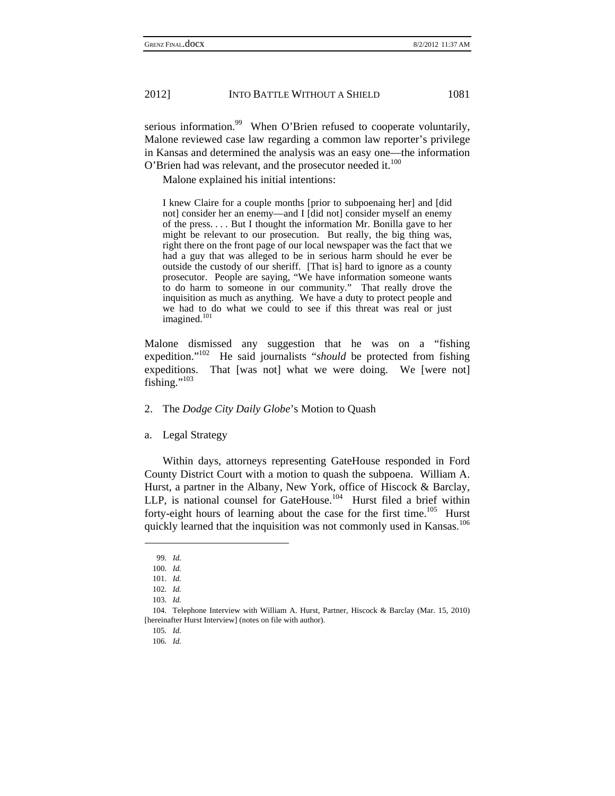serious information.<sup>99</sup> When O'Brien refused to cooperate voluntarily, Malone reviewed case law regarding a common law reporter's privilege in Kansas and determined the analysis was an easy one—the information O'Brien had was relevant, and the prosecutor needed it.<sup>100</sup>

Malone explained his initial intentions:

I knew Claire for a couple months [prior to subpoenaing her] and [did not] consider her an enemy—and I [did not] consider myself an enemy of the press. . . . But I thought the information Mr. Bonilla gave to her might be relevant to our prosecution. But really, the big thing was, right there on the front page of our local newspaper was the fact that we had a guy that was alleged to be in serious harm should he ever be outside the custody of our sheriff. [That is] hard to ignore as a county prosecutor. People are saying, "We have information someone wants to do harm to someone in our community." That really drove the inquisition as much as anything. We have a duty to protect people and we had to do what we could to see if this threat was real or just imagined.<sup>101</sup>

Malone dismissed any suggestion that he was on a "fishing expedition."<sup>102</sup> He said journalists "*should* be protected from fishing He said journalists "*should* be protected from fishing expeditions. That [was not] what we were doing. We [were not] fishing." $^{103}$ 

# 2. The *Dodge City Daily Globe*'s Motion to Quash

#### a. Legal Strategy

Within days, attorneys representing GateHouse responded in Ford County District Court with a motion to quash the subpoena. William A. Hurst, a partner in the Albany, New York, office of Hiscock & Barclay, LLP, is national counsel for GateHouse.<sup>104</sup> Hurst filed a brief within forty-eight hours of learning about the case for the first time.<sup>105</sup> Hurst quickly learned that the inquisition was not commonly used in Kansas.<sup>106</sup>

<sup>99.</sup> *Id.*

<sup>100.</sup> *Id.*

<sup>101.</sup> *Id.*

<sup>102.</sup> *Id.*

<sup>103.</sup> *Id.*

 <sup>104.</sup> Telephone Interview with William A. Hurst, Partner, Hiscock & Barclay (Mar. 15, 2010) [hereinafter Hurst Interview] (notes on file with author).

<sup>105.</sup> *Id.*

<sup>106.</sup> *Id.*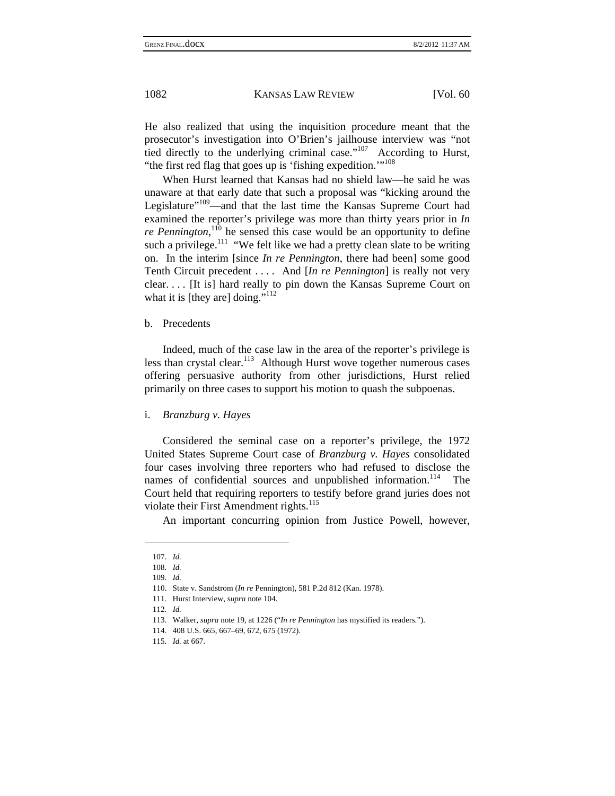He also realized that using the inquisition procedure meant that the prosecutor's investigation into O'Brien's jailhouse interview was "not tied directly to the underlying criminal case."<sup>107</sup> According to Hurst, "the first red flag that goes up is 'fishing expedition."<sup>108</sup>

When Hurst learned that Kansas had no shield law—he said he was unaware at that early date that such a proposal was "kicking around the Legislature"<sup>109</sup>—and that the last time the Kansas Supreme Court had examined the reporter's privilege was more than thirty years prior in *In re Pennington*,<sup> $110$ </sup> he sensed this case would be an opportunity to define such a privilege.<sup>111</sup> "We felt like we had a pretty clean slate to be writing on. In the interim [since *In re Pennington*, there had been] some good Tenth Circuit precedent . . . . And [*In re Pennington*] is really not very clear. . . . [It is] hard really to pin down the Kansas Supreme Court on what it is [they are] doing."<sup>112</sup>

b. Precedents

Indeed, much of the case law in the area of the reporter's privilege is less than crystal clear.<sup>113</sup> Although Hurst wove together numerous cases offering persuasive authority from other jurisdictions, Hurst relied primarily on three cases to support his motion to quash the subpoenas.

#### i. *Branzburg v. Hayes*

Considered the seminal case on a reporter's privilege, the 1972 United States Supreme Court case of *Branzburg v. Hayes* consolidated four cases involving three reporters who had refused to disclose the names of confidential sources and unpublished information.<sup>114</sup> The Court held that requiring reporters to testify before grand juries does not violate their First Amendment rights.<sup>115</sup>

An important concurring opinion from Justice Powell, however,

<sup>107.</sup> *Id.*

<sup>108.</sup> *Id.*

<sup>109.</sup> *Id.*

 <sup>110.</sup> State v. Sandstrom (*In re* Pennington), 581 P.2d 812 (Kan. 1978).

 <sup>111.</sup> Hurst Interview, *supra* note 104.

<sup>112.</sup> *Id.*

 <sup>113.</sup> Walker, *supra* note 19, at 1226 ("*In re Pennington* has mystified its readers.").

 <sup>114. 408</sup> U.S. 665, 667–69, 672, 675 (1972).

<sup>115.</sup> *Id.* at 667.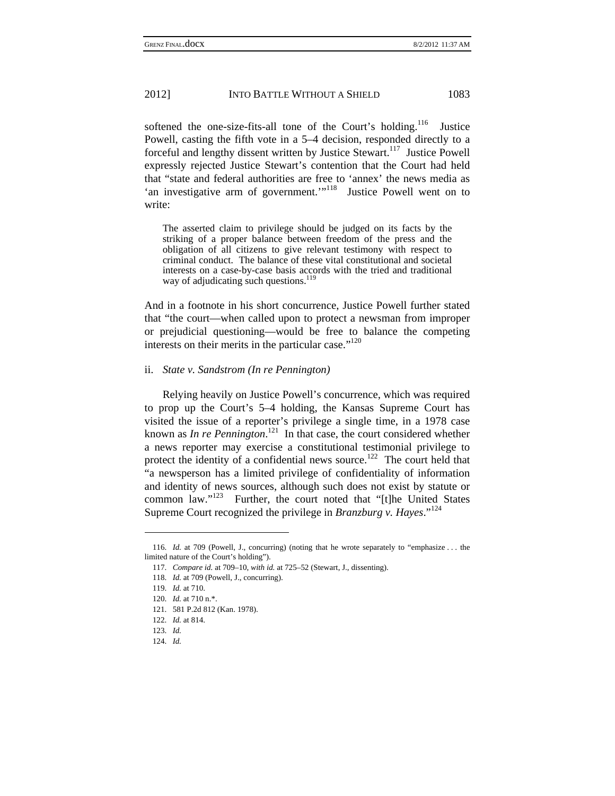softened the one-size-fits-all tone of the Court's holding.<sup>116</sup> Justice Powell, casting the fifth vote in a 5–4 decision, responded directly to a forceful and lengthy dissent written by Justice Stewart.<sup>117</sup> Justice Powell expressly rejected Justice Stewart's contention that the Court had held that "state and federal authorities are free to 'annex' the news media as 'an investigative arm of government.'"<sup>118</sup> Justice Powell went on to write:

The asserted claim to privilege should be judged on its facts by the striking of a proper balance between freedom of the press and the obligation of all citizens to give relevant testimony with respect to criminal conduct. The balance of these vital constitutional and societal interests on a case-by-case basis accords with the tried and traditional way of adjudicating such questions.<sup>119</sup>

And in a footnote in his short concurrence, Justice Powell further stated that "the court—when called upon to protect a newsman from improper or prejudicial questioning—would be free to balance the competing interests on their merits in the particular case." $120$ 

# ii. *State v. Sandstrom (In re Pennington)*

Relying heavily on Justice Powell's concurrence, which was required to prop up the Court's 5–4 holding, the Kansas Supreme Court has visited the issue of a reporter's privilege a single time, in a 1978 case known as *In re Pennington*. 121 In that case, the court considered whether a news reporter may exercise a constitutional testimonial privilege to protect the identity of a confidential news source.<sup>122</sup> The court held that "a newsperson has a limited privilege of confidentiality of information and identity of news sources, although such does not exist by statute or common law."123 Further, the court noted that "[t]he United States Supreme Court recognized the privilege in *Branzburg v. Hayes*."<sup>124</sup>

<sup>116.</sup> *Id.* at 709 (Powell, J., concurring) (noting that he wrote separately to "emphasize . . . the limited nature of the Court's holding").

<sup>117.</sup> *Compare id.* at 709–10, *with id.* at 725–52 (Stewart, J., dissenting).

<sup>118.</sup> *Id.* at 709 (Powell, J., concurring).

<sup>119.</sup> *Id.* at 710.

<sup>120.</sup> *Id.* at 710 n.\*.

 <sup>121. 581</sup> P.2d 812 (Kan. 1978).

<sup>122.</sup> *Id.* at 814.

<sup>123.</sup> *Id.*

<sup>124.</sup> *Id.*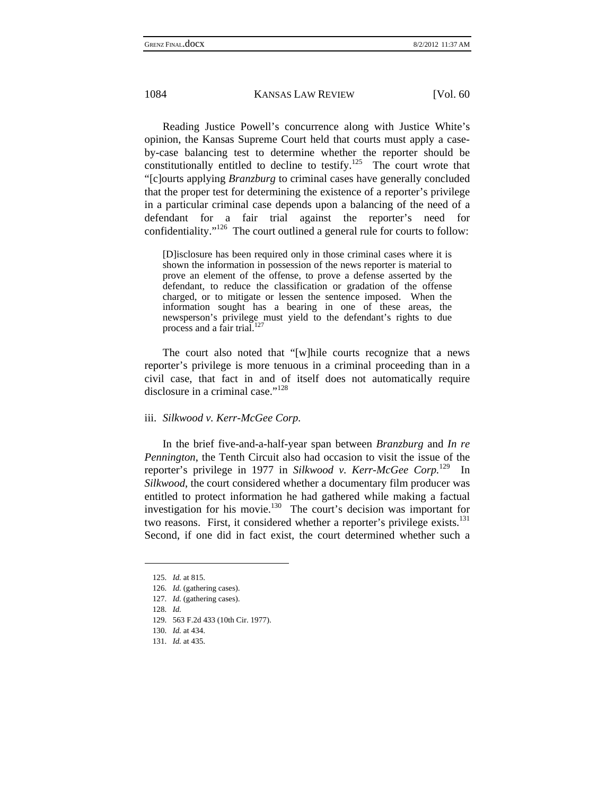Reading Justice Powell's concurrence along with Justice White's opinion, the Kansas Supreme Court held that courts must apply a caseby-case balancing test to determine whether the reporter should be constitutionally entitled to decline to testify.<sup>125</sup> The court wrote that "[c]ourts applying *Branzburg* to criminal cases have generally concluded that the proper test for determining the existence of a reporter's privilege in a particular criminal case depends upon a balancing of the need of a defendant for a fair trial against the reporter's need for confidentiality."126 The court outlined a general rule for courts to follow:

[D]isclosure has been required only in those criminal cases where it is shown the information in possession of the news reporter is material to prove an element of the offense, to prove a defense asserted by the defendant, to reduce the classification or gradation of the offense charged, or to mitigate or lessen the sentence imposed. When the information sought has a bearing in one of these areas, the newsperson's privilege must yield to the defendant's rights to due process and a fair trial.<sup>127</sup>

The court also noted that "[w]hile courts recognize that a news reporter's privilege is more tenuous in a criminal proceeding than in a civil case, that fact in and of itself does not automatically require disclosure in a criminal case."<sup>128</sup>

#### iii. *Silkwood v. Kerr-McGee Corp.*

In the brief five-and-a-half-year span between *Branzburg* and *In re Pennington*, the Tenth Circuit also had occasion to visit the issue of the reporter's privilege in 1977 in *Silkwood v. Kerr-McGee Corp.*129 In *Silkwood*, the court considered whether a documentary film producer was entitled to protect information he had gathered while making a factual investigation for his movie.<sup>130</sup> The court's decision was important for two reasons. First, it considered whether a reporter's privilege exists.<sup>131</sup> Second, if one did in fact exist, the court determined whether such a

128. *Id.*

 $\overline{a}$ 

131. *Id.* at 435.

<sup>125.</sup> *Id.* at 815.

<sup>126.</sup> *Id.* (gathering cases).

<sup>127.</sup> *Id.* (gathering cases).

 <sup>129. 563</sup> F.2d 433 (10th Cir. 1977).

<sup>130.</sup> *Id.* at 434.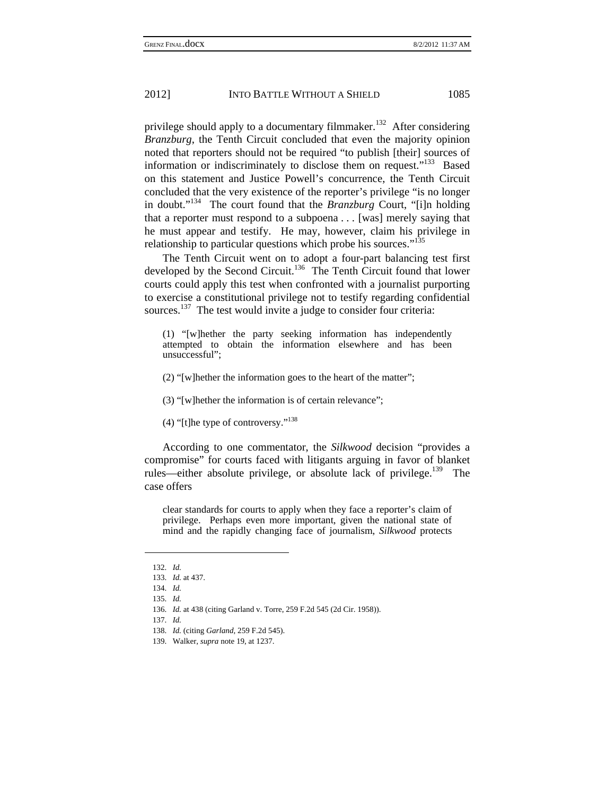privilege should apply to a documentary filmmaker.<sup>132</sup> After considering *Branzburg*, the Tenth Circuit concluded that even the majority opinion noted that reporters should not be required "to publish [their] sources of information or indiscriminately to disclose them on request."<sup>133</sup> Based on this statement and Justice Powell's concurrence, the Tenth Circuit concluded that the very existence of the reporter's privilege "is no longer in doubt."134 The court found that the *Branzburg* Court, "[i]n holding that a reporter must respond to a subpoena . . . [was] merely saying that he must appear and testify. He may, however, claim his privilege in relationship to particular questions which probe his sources."<sup>135</sup>

The Tenth Circuit went on to adopt a four-part balancing test first developed by the Second Circuit.<sup>136</sup> The Tenth Circuit found that lower courts could apply this test when confronted with a journalist purporting to exercise a constitutional privilege not to testify regarding confidential sources.<sup>137</sup> The test would invite a judge to consider four criteria:

(1) "[w]hether the party seeking information has independently attempted to obtain the information elsewhere and has been unsuccessful";

(2) "[w]hether the information goes to the heart of the matter";

(3) "[w]hether the information is of certain relevance";

(4) "[t]he type of controversy."138

According to one commentator, the *Silkwood* decision "provides a compromise" for courts faced with litigants arguing in favor of blanket rules—either absolute privilege, or absolute lack of privilege.<sup>139</sup> The case offers

clear standards for courts to apply when they face a reporter's claim of privilege. Perhaps even more important, given the national state of mind and the rapidly changing face of journalism, *Silkwood* protects

<sup>132.</sup> *Id.*

<sup>133.</sup> *Id.* at 437.

<sup>134.</sup> *Id.*

<sup>135.</sup> *Id.*

<sup>136.</sup> *Id.* at 438 (citing Garland v. Torre, 259 F.2d 545 (2d Cir. 1958)).

<sup>137.</sup> *Id.*

<sup>138.</sup> *Id.* (citing *Garland*, 259 F.2d 545).

 <sup>139.</sup> Walker, *supra* note 19, at 1237.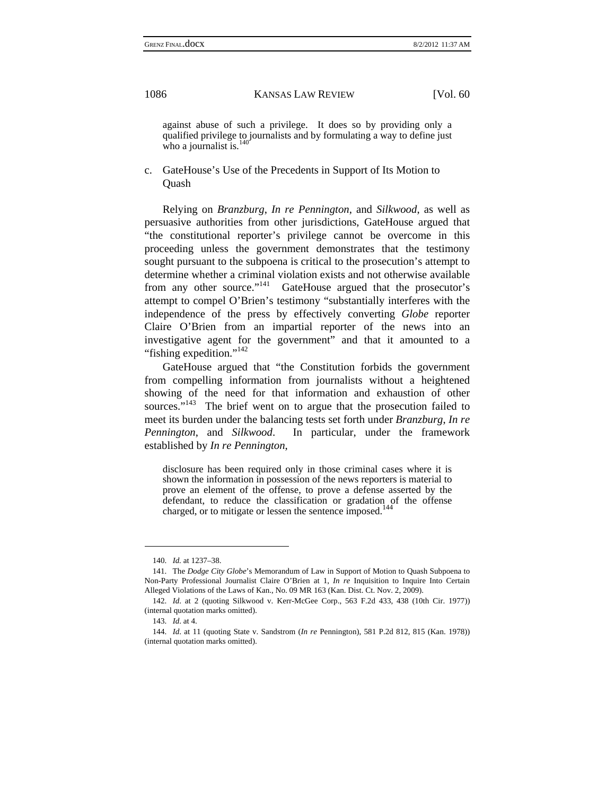against abuse of such a privilege. It does so by providing only a qualified privilege to journalists and by formulating a way to define just who a journalist is. $140$ 

c. GateHouse's Use of the Precedents in Support of Its Motion to Quash

Relying on *Branzburg*, *In re Pennington*, and *Silkwood*, as well as persuasive authorities from other jurisdictions, GateHouse argued that "the constitutional reporter's privilege cannot be overcome in this proceeding unless the government demonstrates that the testimony sought pursuant to the subpoena is critical to the prosecution's attempt to determine whether a criminal violation exists and not otherwise available from any other source."<sup>141</sup> GateHouse argued that the prosecutor's attempt to compel O'Brien's testimony "substantially interferes with the independence of the press by effectively converting *Globe* reporter Claire O'Brien from an impartial reporter of the news into an investigative agent for the government" and that it amounted to a "fishing expedition."<sup>142</sup>

GateHouse argued that "the Constitution forbids the government from compelling information from journalists without a heightened showing of the need for that information and exhaustion of other sources."<sup>143</sup> The brief went on to argue that the prosecution failed to meet its burden under the balancing tests set forth under *Branzburg*, *In re Pennington*, and *Silkwood*. In particular, under the framework established by *In re Pennington*,

disclosure has been required only in those criminal cases where it is shown the information in possession of the news reporters is material to prove an element of the offense, to prove a defense asserted by the defendant, to reduce the classification or gradation of the offense charged, or to mitigate or lessen the sentence imposed.<sup>1</sup>

<sup>140.</sup> *Id.* at 1237–38.

 <sup>141.</sup> The *Dodge City Globe*'s Memorandum of Law in Support of Motion to Quash Subpoena to Non-Party Professional Journalist Claire O'Brien at 1, *In re* Inquisition to Inquire Into Certain Alleged Violations of the Laws of Kan., No. 09 MR 163 (Kan. Dist. Ct. Nov. 2, 2009).

<sup>142.</sup> *Id*. at 2 (quoting Silkwood v. Kerr-McGee Corp., 563 F.2d 433, 438 (10th Cir. 1977)) (internal quotation marks omitted).

<sup>143.</sup> *Id*. at 4.

<sup>144.</sup> *Id*. at 11 (quoting State v. Sandstrom (*In re* Pennington), 581 P.2d 812, 815 (Kan. 1978)) (internal quotation marks omitted).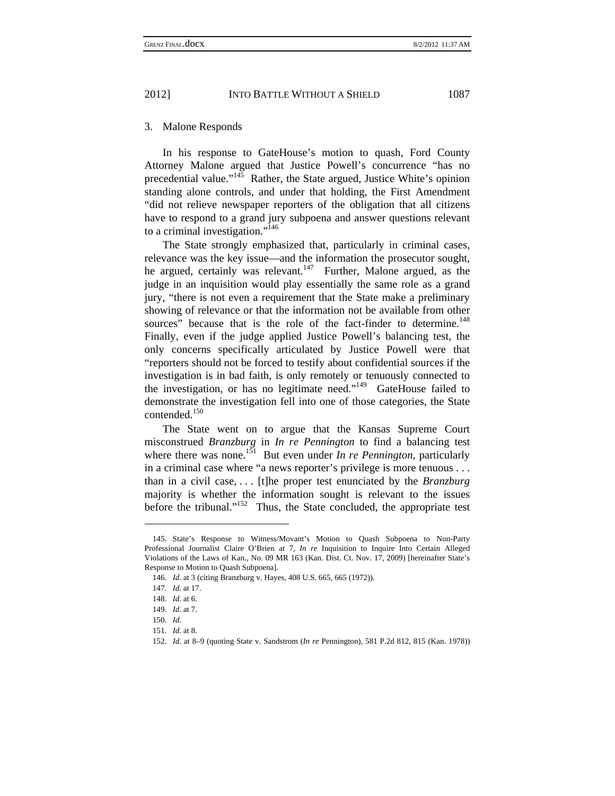3. Malone Responds

In his response to GateHouse's motion to quash, Ford County Attorney Malone argued that Justice Powell's concurrence "has no precedential value."<sup>145</sup> Rather, the State argued, Justice White's opinion standing alone controls, and under that holding, the First Amendment "did not relieve newspaper reporters of the obligation that all citizens have to respond to a grand jury subpoena and answer questions relevant to a criminal investigation."<sup>146</sup>

The State strongly emphasized that, particularly in criminal cases, relevance was the key issue—and the information the prosecutor sought, he argued, certainly was relevant.<sup>147</sup> Further, Malone argued, as the judge in an inquisition would play essentially the same role as a grand jury, "there is not even a requirement that the State make a preliminary showing of relevance or that the information not be available from other sources" because that is the role of the fact-finder to determine.<sup>148</sup> Finally, even if the judge applied Justice Powell's balancing test, the only concerns specifically articulated by Justice Powell were that "reporters should not be forced to testify about confidential sources if the investigation is in bad faith, is only remotely or tenuously connected to the investigation, or has no legitimate need." $149$  GateHouse failed to demonstrate the investigation fell into one of those categories, the State contended.<sup>150</sup>

The State went on to argue that the Kansas Supreme Court misconstrued *Branzburg* in *In re Pennington* to find a balancing test where there was none.<sup>151</sup> But even under *In re Pennington*, particularly in a criminal case where "a news reporter's privilege is more tenuous . . . than in a civil case, . . . [t]he proper test enunciated by the *Branzburg* majority is whether the information sought is relevant to the issues before the tribunal."<sup>152</sup> Thus, the State concluded, the appropriate test

 <sup>145.</sup> State's Response to Witness/Movant's Motion to Quash Subpoena to Non-Party Professional Journalist Claire O'Brien at 7, *In re* Inquisition to Inquire Into Certain Alleged Violations of the Laws of Kan., No. 09 MR 163 (Kan. Dist. Ct. Nov. 17, 2009) [hereinafter State's Response to Motion to Quash Subpoena].

<sup>146.</sup> *Id*. at 3 (citing Branzburg v. Hayes, 408 U.S. 665, 665 (1972)).

<sup>147.</sup> *Id*. at 17.

<sup>148.</sup> *Id*. at 6.

<sup>149.</sup> *Id*. at 7.

<sup>150.</sup> *Id*.

<sup>151.</sup> *Id*. at 8.

<sup>152.</sup> *Id*. at 8–9 (quoting State v. Sandstrom (*In re* Pennington), 581 P.2d 812, 815 (Kan. 1978))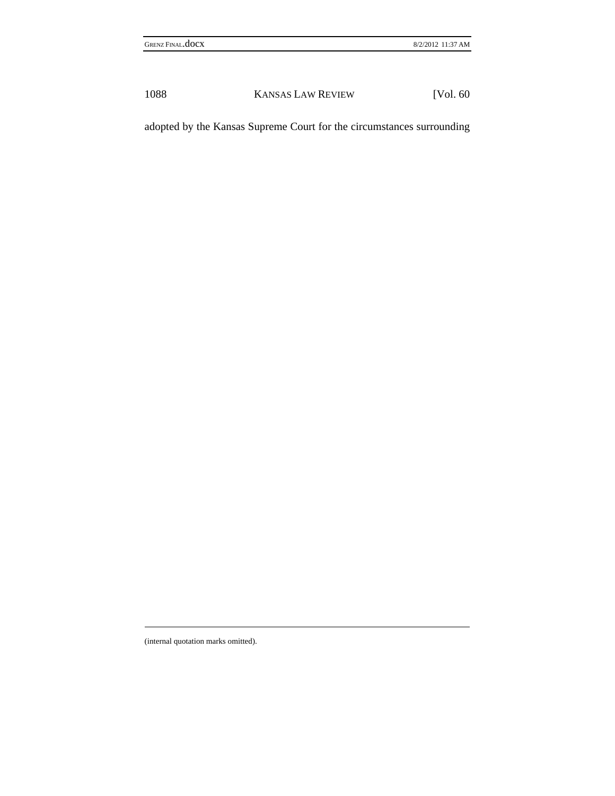adopted by the Kansas Supreme Court for the circumstances surrounding

(internal quotation marks omitted).

1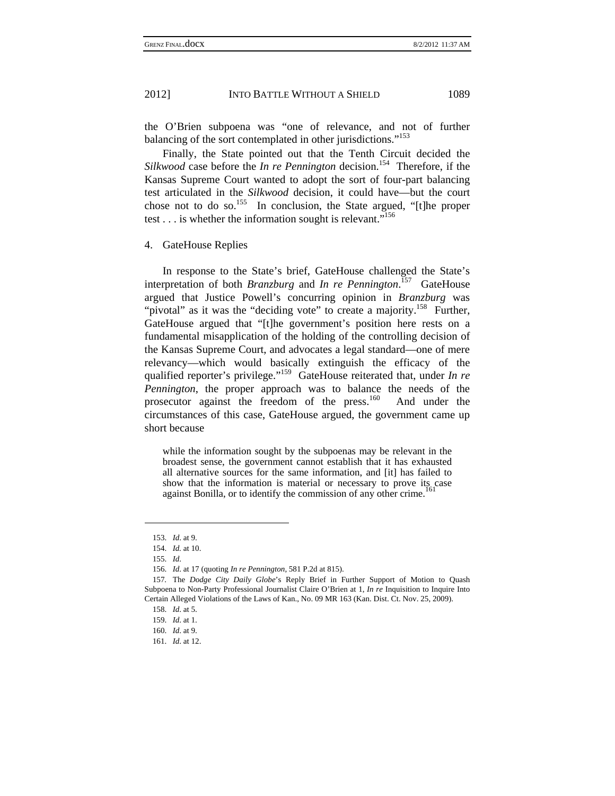the O'Brien subpoena was "one of relevance, and not of further balancing of the sort contemplated in other jurisdictions."<sup>153</sup>

Finally, the State pointed out that the Tenth Circuit decided the *Silkwood* case before the *In re Pennington* decision.<sup>154</sup> Therefore, if the Kansas Supreme Court wanted to adopt the sort of four-part balancing test articulated in the *Silkwood* decision, it could have—but the court chose not to do so.<sup>155</sup> In conclusion, the State argued, "[t]he proper test  $\dots$  is whether the information sought is relevant."<sup>156</sup>

4. GateHouse Replies

In response to the State's brief, GateHouse challenged the State's interpretation of both *Branzburg* and *In re Pennington*. 157 GateHouse argued that Justice Powell's concurring opinion in *Branzburg* was "pivotal" as it was the "deciding vote" to create a majority.<sup>158</sup> Further, GateHouse argued that "[t]he government's position here rests on a fundamental misapplication of the holding of the controlling decision of the Kansas Supreme Court, and advocates a legal standard—one of mere relevancy—which would basically extinguish the efficacy of the qualified reporter's privilege."159 GateHouse reiterated that, under *In re Pennington*, the proper approach was to balance the needs of the prosecutor against the freedom of the press.<sup>160</sup> And under the circumstances of this case, GateHouse argued, the government came up short because

while the information sought by the subpoenas may be relevant in the broadest sense, the government cannot establish that it has exhausted all alternative sources for the same information, and [it] has failed to show that the information is material or necessary to prove its case against Bonilla, or to identify the commission of any other crime.<sup>161</sup>

<sup>153.</sup> *Id*. at 9.

<sup>154.</sup> *Id.* at 10.

<sup>155.</sup> *Id*.

<sup>156.</sup> *Id*. at 17 (quoting *In re Pennington*, 581 P.2d at 815).

<sup>157</sup>*.* The *Dodge City Daily Globe*'s Reply Brief in Further Support of Motion to Quash Subpoena to Non-Party Professional Journalist Claire O'Brien at 1, *In re* Inquisition to Inquire Into Certain Alleged Violations of the Laws of Kan., No. 09 MR 163 (Kan. Dist. Ct. Nov. 25, 2009).

<sup>158.</sup> *Id*. at 5.

<sup>159.</sup> *Id*. at 1.

<sup>160.</sup> *Id*. at 9.

<sup>161.</sup> *Id*. at 12.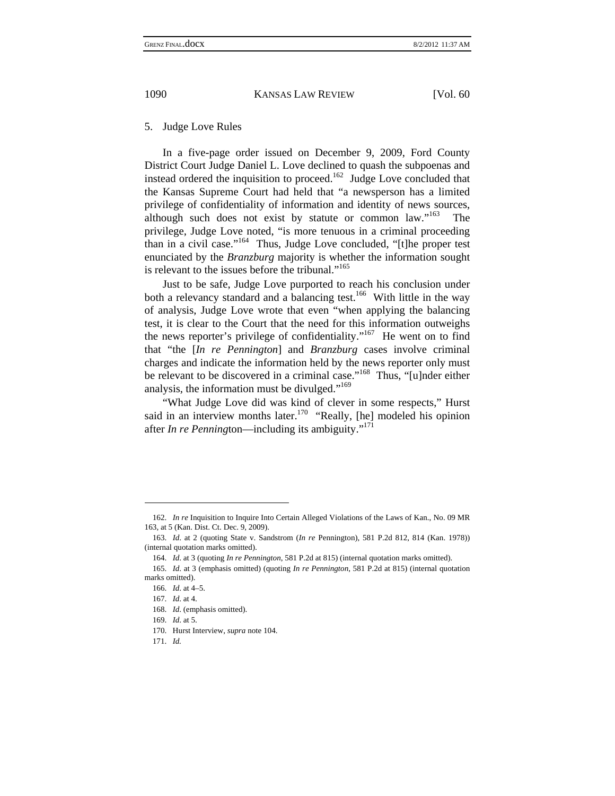#### 5. Judge Love Rules

In a five-page order issued on December 9, 2009, Ford County District Court Judge Daniel L. Love declined to quash the subpoenas and instead ordered the inquisition to proceed.<sup>162</sup> Judge Love concluded that the Kansas Supreme Court had held that "a newsperson has a limited privilege of confidentiality of information and identity of news sources, although such does not exist by statute or common law."<sup>163</sup> The privilege, Judge Love noted, "is more tenuous in a criminal proceeding than in a civil case."164 Thus, Judge Love concluded, "[t]he proper test enunciated by the *Branzburg* majority is whether the information sought is relevant to the issues before the tribunal."<sup>165</sup>

Just to be safe, Judge Love purported to reach his conclusion under both a relevancy standard and a balancing test.<sup>166</sup> With little in the way of analysis, Judge Love wrote that even "when applying the balancing test, it is clear to the Court that the need for this information outweighs the news reporter's privilege of confidentiality."167 He went on to find that "the [*In re Pennington*] and *Branzburg* cases involve criminal charges and indicate the information held by the news reporter only must be relevant to be discovered in a criminal case."<sup>168</sup> Thus, "[u]nder either analysis, the information must be divulged."<sup>169</sup>

"What Judge Love did was kind of clever in some respects," Hurst said in an interview months later.<sup>170</sup> "Really, [he] modeled his opinion after *In re Pennington—including its ambiguity.*"<sup>171</sup>

<sup>162.</sup> *In re* Inquisition to Inquire Into Certain Alleged Violations of the Laws of Kan., No. 09 MR 163, at 5 (Kan. Dist. Ct. Dec. 9, 2009).

<sup>163.</sup> *Id*. at 2 (quoting State v. Sandstrom (*In re* Pennington), 581 P.2d 812, 814 (Kan. 1978)) (internal quotation marks omitted).

<sup>164.</sup> *Id*. at 3 (quoting *In re Pennington*, 581 P.2d at 815) (internal quotation marks omitted).

<sup>165.</sup> *Id*. at 3 (emphasis omitted) (quoting *In re Pennington*, 581 P.2d at 815) (internal quotation marks omitted).

<sup>166.</sup> *Id*. at 4–5.

<sup>167.</sup> *Id*. at 4.

<sup>168.</sup> *Id*. (emphasis omitted).

<sup>169.</sup> *Id*. at 5.

 <sup>170.</sup> Hurst Interview, *supra* note 104.

<sup>171.</sup> *Id.*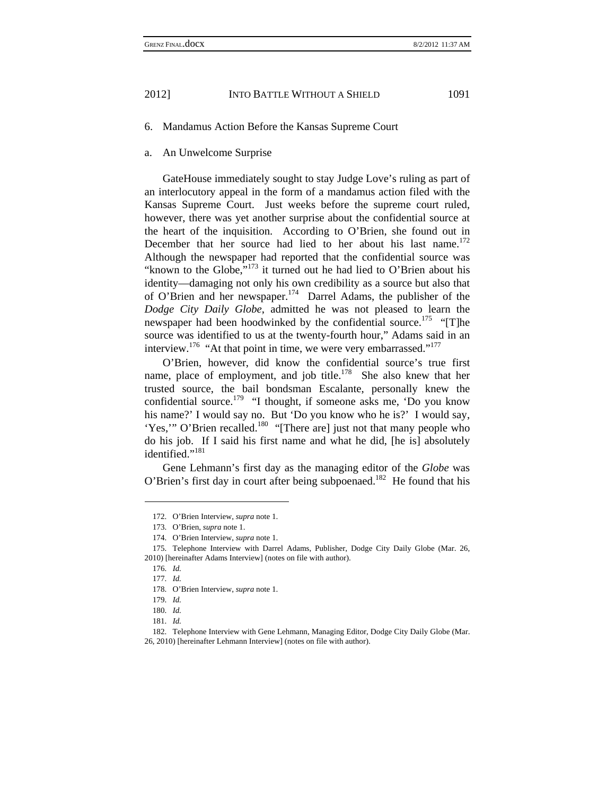- 6. Mandamus Action Before the Kansas Supreme Court
- a. An Unwelcome Surprise

GateHouse immediately sought to stay Judge Love's ruling as part of an interlocutory appeal in the form of a mandamus action filed with the Kansas Supreme Court. Just weeks before the supreme court ruled, however, there was yet another surprise about the confidential source at the heart of the inquisition. According to O'Brien, she found out in December that her source had lied to her about his last name.<sup>172</sup> Although the newspaper had reported that the confidential source was "known to the Globe," $173$  it turned out he had lied to O'Brien about his identity—damaging not only his own credibility as a source but also that of O'Brien and her newspaper.174 Darrel Adams, the publisher of the *Dodge City Daily Globe*, admitted he was not pleased to learn the newspaper had been hoodwinked by the confidential source.<sup>175</sup> "[T]he source was identified to us at the twenty-fourth hour," Adams said in an interview.<sup>176</sup> "At that point in time, we were very embarrassed."<sup>177</sup>

O'Brien, however, did know the confidential source's true first name, place of employment, and job title.<sup>178</sup> She also knew that her trusted source, the bail bondsman Escalante, personally knew the confidential source.<sup>179</sup> "I thought, if someone asks me, 'Do you know his name?' I would say no. But 'Do you know who he is?' I would say, 'Yes,'" O'Brien recalled.<sup>180</sup> "[There are] just not that many people who do his job. If I said his first name and what he did, [he is] absolutely identified."<sup>181</sup>

Gene Lehmann's first day as the managing editor of the *Globe* was O'Brien's first day in court after being subpoenaed.<sup>182</sup> He found that his

 <sup>172.</sup> O'Brien Interview, *supra* note 1.

 <sup>173.</sup> O'Brien, *supra* note 1.

 <sup>174.</sup> O'Brien Interview, *supra* note 1.

 <sup>175.</sup> Telephone Interview with Darrel Adams, Publisher, Dodge City Daily Globe (Mar. 26, 2010) [hereinafter Adams Interview] (notes on file with author).

<sup>176.</sup> *Id.*

<sup>177.</sup> *Id.*

 <sup>178.</sup> O'Brien Interview, *supra* note 1.

<sup>179.</sup> *Id.*

<sup>180.</sup> *Id.*

<sup>181.</sup> *Id.*

 <sup>182.</sup> Telephone Interview with Gene Lehmann, Managing Editor, Dodge City Daily Globe (Mar. 26, 2010) [hereinafter Lehmann Interview] (notes on file with author).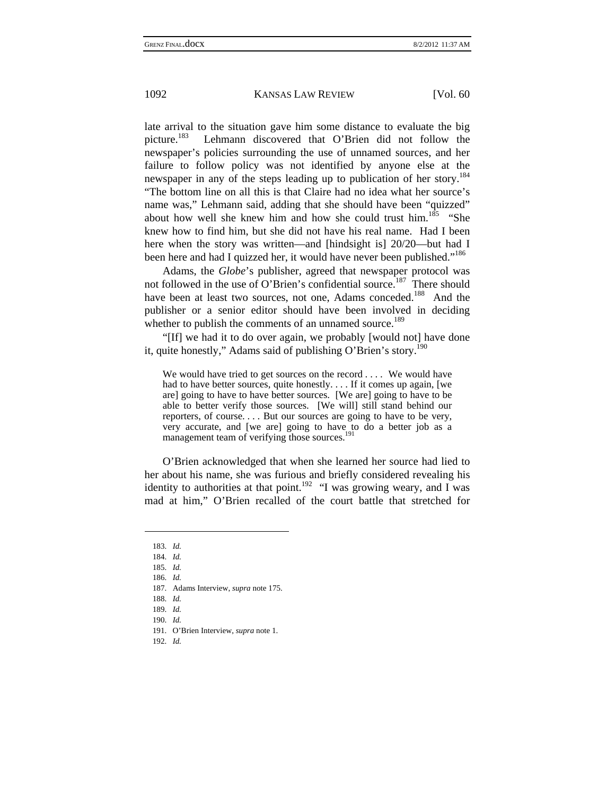late arrival to the situation gave him some distance to evaluate the big picture.183 Lehmann discovered that O'Brien did not follow the newspaper's policies surrounding the use of unnamed sources, and her failure to follow policy was not identified by anyone else at the newspaper in any of the steps leading up to publication of her story.<sup>184</sup> "The bottom line on all this is that Claire had no idea what her source's name was," Lehmann said, adding that she should have been "quizzed" about how well she knew him and how she could trust him.<sup>185</sup> "She knew how to find him, but she did not have his real name. Had I been here when the story was written—and [hindsight is] 20/20—but had I been here and had I quizzed her, it would have never been published."<sup>186</sup>

Adams, the *Globe*'s publisher, agreed that newspaper protocol was not followed in the use of O'Brien's confidential source.<sup>187</sup> There should have been at least two sources, not one, Adams conceded.<sup>188</sup> And the publisher or a senior editor should have been involved in deciding whether to publish the comments of an unnamed source.<sup>189</sup>

"[If] we had it to do over again, we probably [would not] have done it, quite honestly," Adams said of publishing O'Brien's story.<sup>190</sup>

We would have tried to get sources on the record . . . . We would have had to have better sources, quite honestly. . . . If it comes up again, [we are] going to have to have better sources. [We are] going to have to be able to better verify those sources. [We will] still stand behind our reporters, of course. . . . But our sources are going to have to be very, very accurate, and [we are] going to have to do a better job as a management team of verifying those sources.<sup>191</sup>

O'Brien acknowledged that when she learned her source had lied to her about his name, she was furious and briefly considered revealing his identity to authorities at that point.<sup>192</sup> "I was growing weary, and I was mad at him," O'Brien recalled of the court battle that stretched for

 $\overline{a}$ 

186. *Id.*

192. *Id.*

<sup>183.</sup> *Id.*

<sup>184.</sup> *Id.*

<sup>185.</sup> *Id.*

 <sup>187.</sup> Adams Interview, *supra* note 175.

<sup>188.</sup> *Id.*

<sup>189.</sup> *Id.*

 <sup>190.</sup> *Id.*

<sup>191.</sup> O'Brien Interview, *supra* note 1.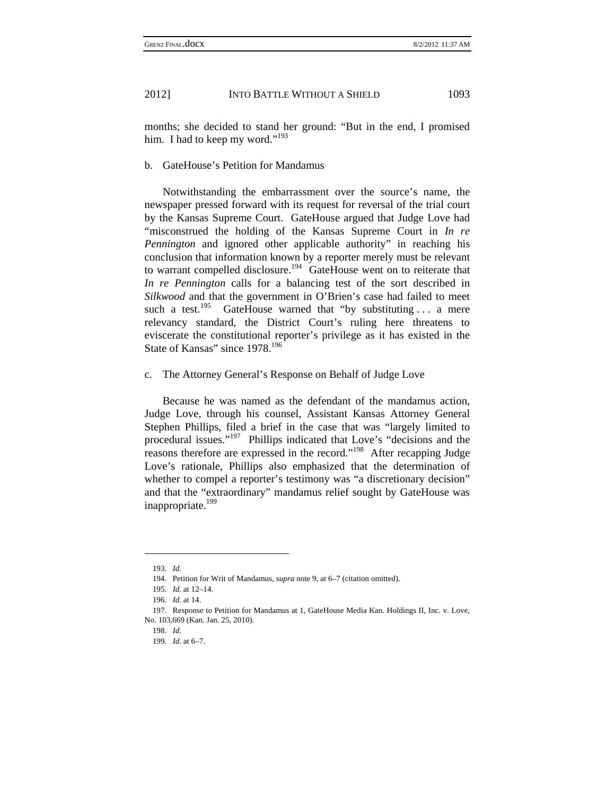months; she decided to stand her ground: "But in the end, I promised him. I had to keep my word."<sup>193</sup>

b. GateHouse's Petition for Mandamus

Notwithstanding the embarrassment over the source's name, the newspaper pressed forward with its request for reversal of the trial court by the Kansas Supreme Court. GateHouse argued that Judge Love had "misconstrued the holding of the Kansas Supreme Court in *In re Pennington* and ignored other applicable authority" in reaching his conclusion that information known by a reporter merely must be relevant to warrant compelled disclosure.<sup>194</sup> GateHouse went on to reiterate that *In re Pennington* calls for a balancing test of the sort described in *Silkwood* and that the government in O'Brien's case had failed to meet such a test.<sup>195</sup> GateHouse warned that "by substituting ... a mere relevancy standard, the District Court's ruling here threatens to eviscerate the constitutional reporter's privilege as it has existed in the State of Kansas" since 1978.<sup>196</sup>

c. The Attorney General's Response on Behalf of Judge Love

Because he was named as the defendant of the mandamus action, Judge Love, through his counsel, Assistant Kansas Attorney General Stephen Phillips, filed a brief in the case that was "largely limited to procedural issues."197 Phillips indicated that Love's "decisions and the reasons therefore are expressed in the record."<sup>198</sup> After recapping Judge Love's rationale, Phillips also emphasized that the determination of whether to compel a reporter's testimony was "a discretionary decision" and that the "extraordinary" mandamus relief sought by GateHouse was inappropriate.<sup>199</sup>

<sup>193.</sup> *Id.*

 <sup>194.</sup> Petition for Writ of Mandamus, *supra* note 9, at 6–7 (citation omitted).

<sup>195.</sup> *Id*. at 12–14.

<sup>196.</sup> *Id*. at 14.

 <sup>197.</sup> Response to Petition for Mandamus at 1, GateHouse Media Kan. Holdings II, Inc. v. Love, No. 103,669 (Kan. Jan. 25, 2010).

<sup>198.</sup> *Id*.

<sup>199.</sup> *Id*. at 6–7.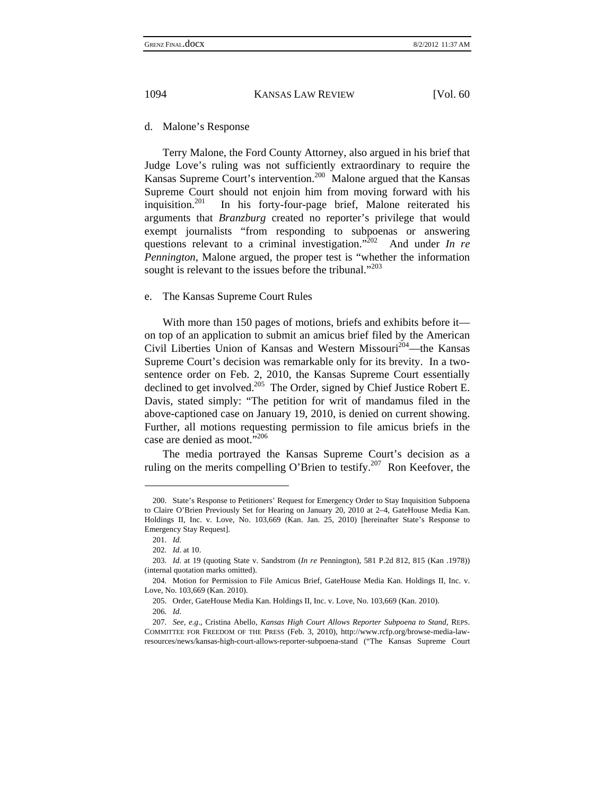#### d. Malone's Response

Terry Malone, the Ford County Attorney, also argued in his brief that Judge Love's ruling was not sufficiently extraordinary to require the Kansas Supreme Court's intervention.<sup>200</sup> Malone argued that the Kansas Supreme Court should not enjoin him from moving forward with his inquisition.<sup>201</sup> In his forty-four-page brief, Malone reiterated his arguments that *Branzburg* created no reporter's privilege that would exempt journalists "from responding to subpoenas or answering questions relevant to a criminal investigation.<sup>"202</sup> And under *In re Pennington*, Malone argued, the proper test is "whether the information sought is relevant to the issues before the tribunal."<sup>203</sup>

#### e. The Kansas Supreme Court Rules

With more than 150 pages of motions, briefs and exhibits before it on top of an application to submit an amicus brief filed by the American Civil Liberties Union of Kansas and Western Missouri<sup>204</sup>—the Kansas Supreme Court's decision was remarkable only for its brevity. In a twosentence order on Feb. 2, 2010, the Kansas Supreme Court essentially declined to get involved.<sup>205</sup> The Order, signed by Chief Justice Robert E. Davis, stated simply: "The petition for writ of mandamus filed in the above-captioned case on January 19, 2010, is denied on current showing. Further, all motions requesting permission to file amicus briefs in the case are denied as moot."<sup>206</sup>

The media portrayed the Kansas Supreme Court's decision as a ruling on the merits compelling O'Brien to testify.<sup>207</sup> Ron Keefover, the

 <sup>200.</sup> State's Response to Petitioners' Request for Emergency Order to Stay Inquisition Subpoena to Claire O'Brien Previously Set for Hearing on January 20, 2010 at 2–4, GateHouse Media Kan. Holdings II, Inc. v. Love, No. 103,669 (Kan. Jan. 25, 2010) [hereinafter State's Response to Emergency Stay Request].

<sup>201.</sup> *Id*.

<sup>202.</sup> *Id*. at 10.

<sup>203.</sup> *Id*. at 19 (quoting State v. Sandstrom (*In re* Pennington), 581 P.2d 812, 815 (Kan .1978)) (internal quotation marks omitted).

 <sup>204.</sup> Motion for Permission to File Amicus Brief, GateHouse Media Kan. Holdings II, Inc. v. Love, No. 103,669 (Kan. 2010).

 <sup>205.</sup> Order, GateHouse Media Kan. Holdings II, Inc. v. Love, No. 103,669 (Kan. 2010).

<sup>206.</sup> *Id*.

<sup>207.</sup> *See, e.g.*, Cristina Abello, *Kansas High Court Allows Reporter Subpoena to Stand*, REPS. COMMITTEE FOR FREEDOM OF THE PRESS (Feb. 3, 2010), http://www.rcfp.org/browse-media-lawresources/news/kansas-high-court-allows-reporter-subpoena-stand ("The Kansas Supreme Court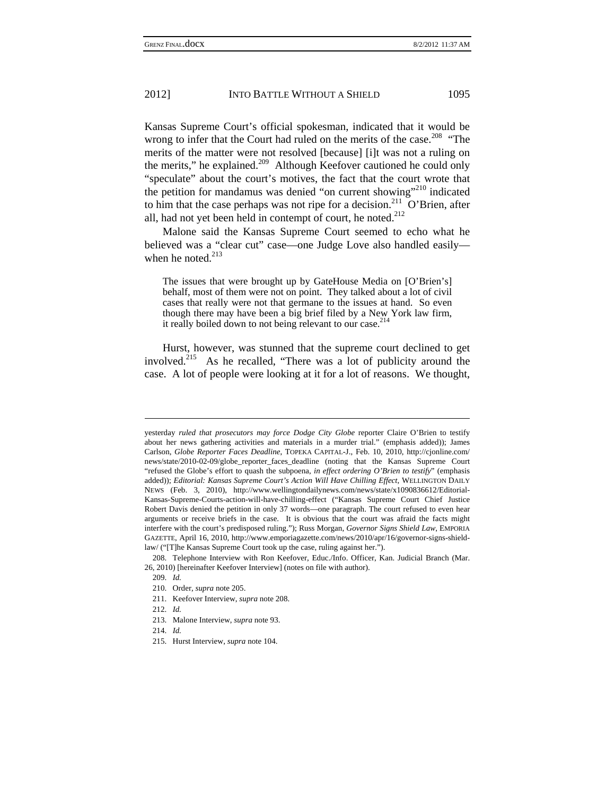Kansas Supreme Court's official spokesman, indicated that it would be wrong to infer that the Court had ruled on the merits of the case.<sup>208</sup> "The merits of the matter were not resolved [because] [i]t was not a ruling on the merits," he explained.<sup>209</sup> Although Keefover cautioned he could only "speculate" about the court's motives, the fact that the court wrote that the petition for mandamus was denied "on current showing"<sup>210</sup> indicated to him that the case perhaps was not ripe for a decision.<sup>211</sup> O'Brien, after all, had not yet been held in contempt of court, he noted.<sup>212</sup>

Malone said the Kansas Supreme Court seemed to echo what he believed was a "clear cut" case—one Judge Love also handled easily when he noted. $213$ 

The issues that were brought up by GateHouse Media on [O'Brien's] behalf, most of them were not on point. They talked about a lot of civil cases that really were not that germane to the issues at hand. So even though there may have been a big brief filed by a New York law firm, it really boiled down to not being relevant to our case.<sup>214</sup>

Hurst, however, was stunned that the supreme court declined to get involved.215 As he recalled, "There was a lot of publicity around the case. A lot of people were looking at it for a lot of reasons. We thought,

l

212. *Id.*

214. *Id.*

yesterday *ruled that prosecutors may force Dodge City Globe* reporter Claire O'Brien to testify about her news gathering activities and materials in a murder trial." (emphasis added)); James Carlson, *Globe Reporter Faces Deadline*, TOPEKA CAPITAL-J., Feb. 10, 2010, http://cjonline.com/ news/state/2010-02-09/globe\_reporter\_faces\_deadline (noting that the Kansas Supreme Court "refused the Globe's effort to quash the subpoena, *in effect ordering O'Brien to testify*" (emphasis added)); *Editorial: Kansas Supreme Court's Action Will Have Chilling Effect*, WELLINGTON DAILY NEWS (Feb. 3, 2010), http://www.wellingtondailynews.com/news/state/x1090836612/Editorial-Kansas-Supreme-Courts-action-will-have-chilling-effect ("Kansas Supreme Court Chief Justice Robert Davis denied the petition in only 37 words—one paragraph. The court refused to even hear arguments or receive briefs in the case. It is obvious that the court was afraid the facts might interfere with the court's predisposed ruling."); Russ Morgan, *Governor Signs Shield Law*, EMPORIA GAZETTE, April 16, 2010, http://www.emporiagazette.com/news/2010/apr/16/governor-signs-shieldlaw/ ("[T]he Kansas Supreme Court took up the case, ruling against her.").

 <sup>208.</sup> Telephone Interview with Ron Keefover, Educ./Info. Officer, Kan. Judicial Branch (Mar. 26, 2010) [hereinafter Keefover Interview] (notes on file with author).

<sup>209.</sup> *Id.*

 <sup>210.</sup> Order, *supra* note 205.

 <sup>211.</sup> Keefover Interview, *supra* note 208.

 <sup>213.</sup> Malone Interview, *supra* note 93.

 <sup>215.</sup> Hurst Interview, *supra* note 104.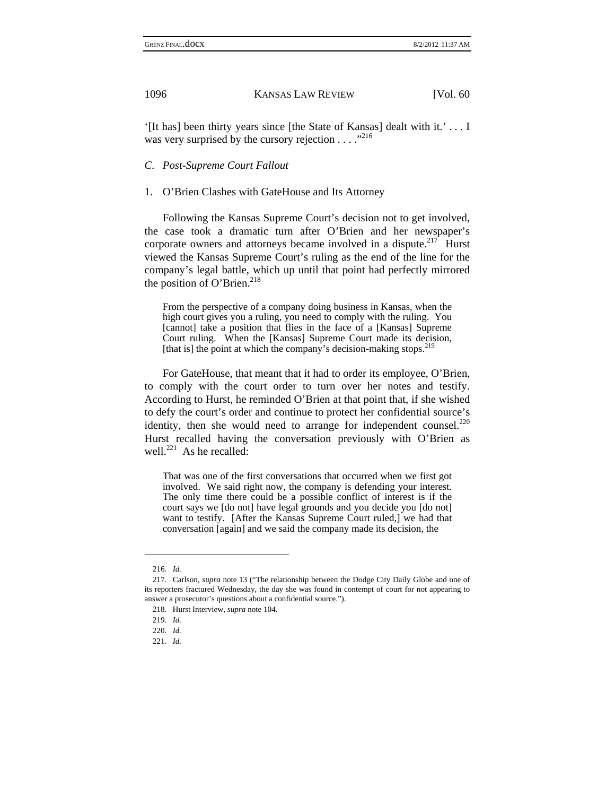'[It has] been thirty years since [the State of Kansas] dealt with it.' . . . I was very surprised by the cursory rejection  $\dots$ <sup>216</sup>

# *C. Post-Supreme Court Fallout*

#### 1. O'Brien Clashes with GateHouse and Its Attorney

Following the Kansas Supreme Court's decision not to get involved, the case took a dramatic turn after O'Brien and her newspaper's corporate owners and attorneys became involved in a dispute.<sup>217</sup> Hurst viewed the Kansas Supreme Court's ruling as the end of the line for the company's legal battle, which up until that point had perfectly mirrored the position of O'Brien.<sup>218</sup>

From the perspective of a company doing business in Kansas, when the high court gives you a ruling, you need to comply with the ruling. You [cannot] take a position that flies in the face of a [Kansas] Supreme Court ruling. When the [Kansas] Supreme Court made its decision, [that is] the point at which the company's decision-making stops.<sup>219</sup>

For GateHouse, that meant that it had to order its employee, O'Brien, to comply with the court order to turn over her notes and testify. According to Hurst, he reminded O'Brien at that point that, if she wished to defy the court's order and continue to protect her confidential source's identity, then she would need to arrange for independent counsel. $^{220}$ Hurst recalled having the conversation previously with O'Brien as well.<sup>221</sup> As he recalled:

That was one of the first conversations that occurred when we first got involved. We said right now, the company is defending your interest. The only time there could be a possible conflict of interest is if the court says we [do not] have legal grounds and you decide you [do not] want to testify. [After the Kansas Supreme Court ruled,] we had that conversation [again] and we said the company made its decision, the

<sup>216.</sup> *Id.*

 <sup>217.</sup> Carlson, *supra* note 13 ("The relationship between the Dodge City Daily Globe and one of its reporters fractured Wednesday, the day she was found in contempt of court for not appearing to answer a prosecutor's questions about a confidential source.").

 <sup>218.</sup> Hurst Interview, *supra* note 104.

<sup>219.</sup> *Id.*

<sup>220.</sup> *Id.*

<sup>221.</sup> *Id.*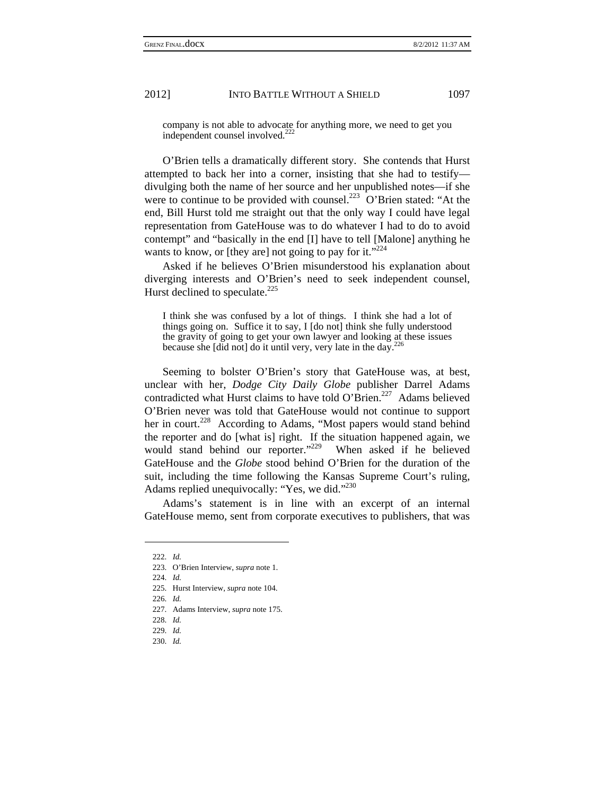company is not able to advocate for anything more, we need to get you independent counsel involved.<sup>222</sup>

O'Brien tells a dramatically different story. She contends that Hurst attempted to back her into a corner, insisting that she had to testify divulging both the name of her source and her unpublished notes—if she were to continue to be provided with counsel.<sup>223</sup> O'Brien stated: "At the end, Bill Hurst told me straight out that the only way I could have legal representation from GateHouse was to do whatever I had to do to avoid contempt" and "basically in the end [I] have to tell [Malone] anything he wants to know, or [they are] not going to pay for it." $224$ 

Asked if he believes O'Brien misunderstood his explanation about diverging interests and O'Brien's need to seek independent counsel, Hurst declined to speculate.<sup>225</sup>

I think she was confused by a lot of things. I think she had a lot of things going on. Suffice it to say, I [do not] think she fully understood the gravity of going to get your own lawyer and looking at these issues because she [did not] do it until very, very late in the day. $^2$ 

Seeming to bolster O'Brien's story that GateHouse was, at best, unclear with her, *Dodge City Daily Globe* publisher Darrel Adams contradicted what Hurst claims to have told O'Brien.<sup>227</sup> Adams believed O'Brien never was told that GateHouse would not continue to support her in court.<sup>228</sup> According to Adams, "Most papers would stand behind the reporter and do [what is] right. If the situation happened again, we would stand behind our reporter."<sup>229</sup> When asked if he believed GateHouse and the *Globe* stood behind O'Brien for the duration of the suit, including the time following the Kansas Supreme Court's ruling, Adams replied unequivocally: "Yes, we did."<sup>230</sup>

Adams's statement is in line with an excerpt of an internal GateHouse memo, sent from corporate executives to publishers, that was

 $\overline{a}$ 

230. *Id.*

<sup>222.</sup> *Id.*

 <sup>223.</sup> O'Brien Interview, *supra* note 1.

<sup>224.</sup> *Id.*

 <sup>225.</sup> Hurst Interview, *supra* note 104.

<sup>226.</sup> *Id.*

 <sup>227.</sup> Adams Interview, *supra* note 175.

<sup>228.</sup> *Id.*

<sup>229.</sup> *Id.*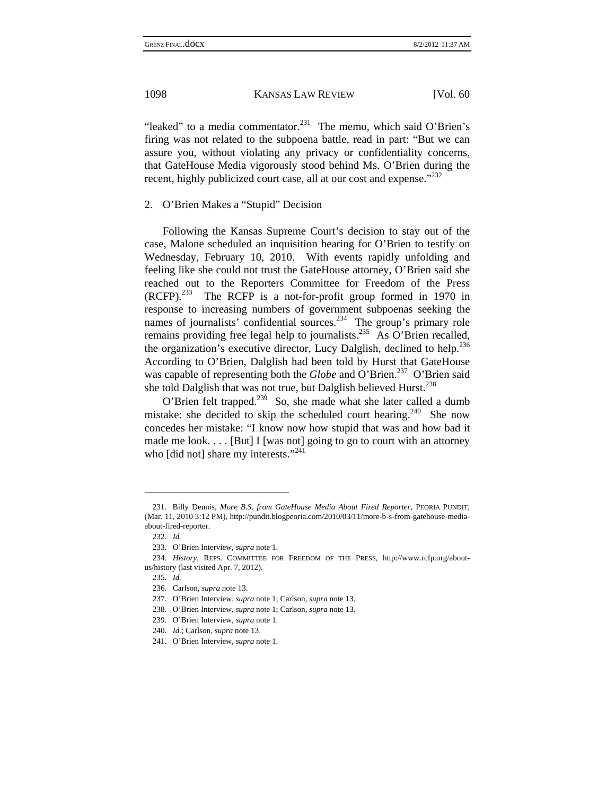"leaked" to a media commentator. $231$  The memo, which said O'Brien's firing was not related to the subpoena battle, read in part: "But we can assure you, without violating any privacy or confidentiality concerns, that GateHouse Media vigorously stood behind Ms. O'Brien during the recent, highly publicized court case, all at our cost and expense."<sup>232</sup>

## 2. O'Brien Makes a "Stupid" Decision

Following the Kansas Supreme Court's decision to stay out of the case, Malone scheduled an inquisition hearing for O'Brien to testify on Wednesday, February 10, 2010. With events rapidly unfolding and feeling like she could not trust the GateHouse attorney, O'Brien said she reached out to the Reporters Committee for Freedom of the Press  $(RCFP)$ <sup>233</sup> The RCFP is a not-for-profit group formed in 1970 in response to increasing numbers of government subpoenas seeking the names of journalists' confidential sources.<sup>234</sup> The group's primary role remains providing free legal help to journalists.<sup>235</sup> As O'Brien recalled, the organization's executive director, Lucy Dalglish, declined to help.<sup>236</sup> According to O'Brien, Dalglish had been told by Hurst that GateHouse was capable of representing both the *Globe* and O'Brien.<sup>237</sup> O'Brien said she told Dalglish that was not true, but Dalglish believed Hurst.<sup>238</sup>

O'Brien felt trapped.239 So, she made what she later called a dumb mistake: she decided to skip the scheduled court hearing.<sup>240</sup> She now concedes her mistake: "I know now how stupid that was and how bad it made me look. . . . [But] I [was not] going to go to court with an attorney who [did not] share my interests."<sup>241</sup>

 <sup>231.</sup> Billy Dennis, *More B.S. from GateHouse Media About Fired Reporter*, PEORIA PUNDIT, (Mar. 11, 2010 3:12 PM), http://pundit.blogpeoria.com/2010/03/11/more-b-s-from-gatehouse-mediaabout-fired-reporter.

<sup>232.</sup> *Id.*

 <sup>233</sup>*.* O'Brien Interview, *supra* note 1.

<sup>234.</sup> *History*, REPS. COMMITTEE FOR FREEDOM OF THE PRESS, http://www.rcfp.org/aboutus/history (last visited Apr. 7, 2012).

<sup>235.</sup> *Id.*

 <sup>236.</sup> Carlson, *supra* note 13.

 <sup>237.</sup> O'Brien Interview, *supra* note 1; Carlson, *supra* note 13.

 <sup>238.</sup> O'Brien Interview, *supra* note 1; Carlson, *supra* note 13.

 <sup>239.</sup> O'Brien Interview, *supra* note 1.

<sup>240.</sup> *Id.*; Carlson, *supra* note 13.

 <sup>241.</sup> O'Brien Interview, *supra* note 1.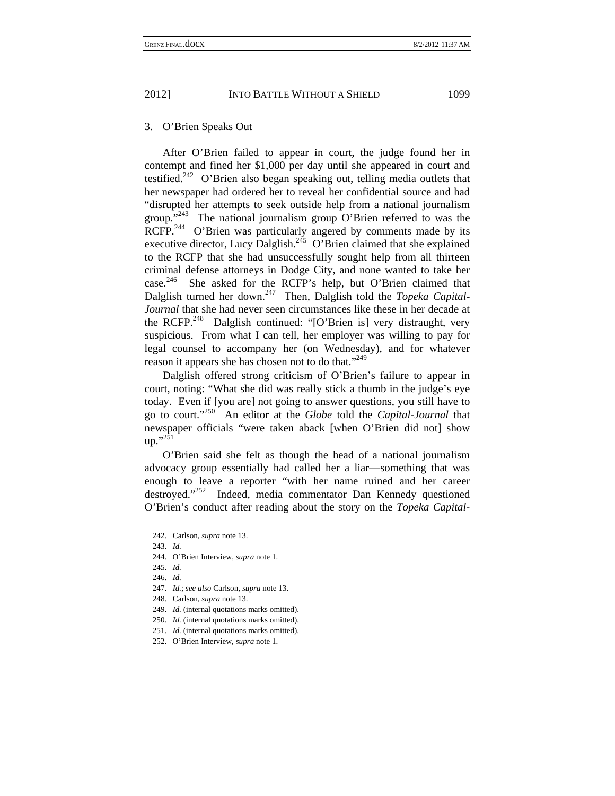3. O'Brien Speaks Out

After O'Brien failed to appear in court, the judge found her in contempt and fined her \$1,000 per day until she appeared in court and testified.<sup>242</sup> O'Brien also began speaking out, telling media outlets that her newspaper had ordered her to reveal her confidential source and had "disrupted her attempts to seek outside help from a national journalism group."<sup>243</sup> The national journalism group O'Brien referred to was the RCFP.<sup>244</sup> O'Brien was particularly angered by comments made by its executive director, Lucy Dalglish.<sup>245</sup> O'Brien claimed that she explained to the RCFP that she had unsuccessfully sought help from all thirteen criminal defense attorneys in Dodge City, and none wanted to take her case.<sup>246</sup> She asked for the RCFP's help, but O'Brien claimed that Dalglish turned her down.247 Then, Dalglish told the *Topeka Capital-Journal* that she had never seen circumstances like these in her decade at the RCFP.<sup>248</sup> Dalglish continued: "[O'Brien is] very distraught, very suspicious. From what I can tell, her employer was willing to pay for legal counsel to accompany her (on Wednesday), and for whatever reason it appears she has chosen not to do that."<sup>249</sup>

Dalglish offered strong criticism of O'Brien's failure to appear in court, noting: "What she did was really stick a thumb in the judge's eye today. Even if [you are] not going to answer questions, you still have to go to court."250 An editor at the *Globe* told the *Capital-Journal* that newspaper officials "were taken aback [when O'Brien did not] show  $up.^{9,251}$ 

O'Brien said she felt as though the head of a national journalism advocacy group essentially had called her a liar—something that was enough to leave a reporter "with her name ruined and her career destroyed."<sup>252</sup> Indeed, media commentator Dan Kennedy questioned O'Brien's conduct after reading about the story on the *Topeka Capital-*

 <sup>242.</sup> Carlson, *supra* note 13.

<sup>243.</sup> *Id.*

 <sup>244.</sup> O'Brien Interview, *supra* note 1.

<sup>245.</sup> *Id.*

<sup>246.</sup> *Id.*

<sup>247.</sup> *Id.*; *see also* Carlson, *supra* note 13.

 <sup>248.</sup> Carlson, *supra* note 13.

<sup>249.</sup> *Id.* (internal quotations marks omitted).

<sup>250.</sup> *Id.* (internal quotations marks omitted).

<sup>251.</sup> *Id.* (internal quotations marks omitted).

 <sup>252.</sup> O'Brien Interview, *supra* note 1.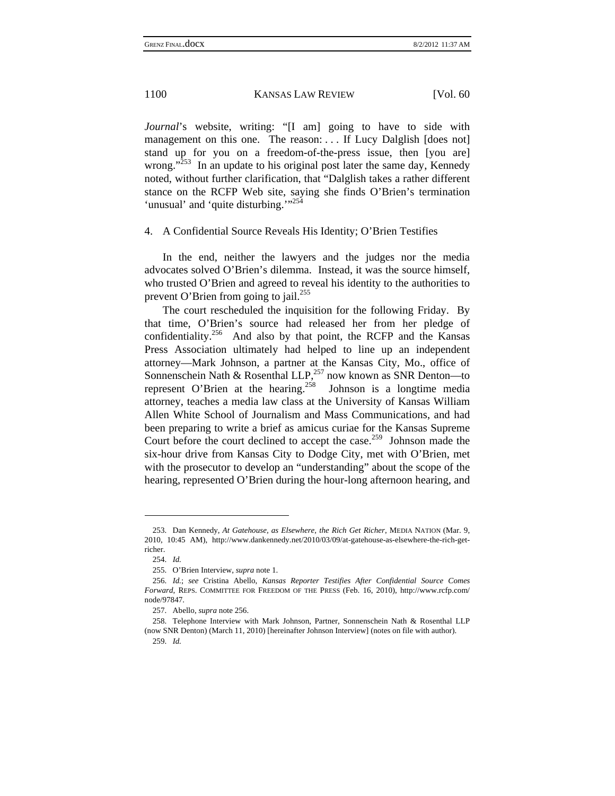*Journal*'s website, writing: "[I am] going to have to side with management on this one. The reason: ... If Lucy Dalglish [does not] stand up for you on a freedom-of-the-press issue, then [you are] wrong."<sup>253</sup> In an update to his original post later the same day, Kennedy noted, without further clarification, that "Dalglish takes a rather different stance on the RCFP Web site, saying she finds O'Brien's termination 'unusual' and 'quite disturbing."<sup>254</sup>

#### 4. A Confidential Source Reveals His Identity; O'Brien Testifies

In the end, neither the lawyers and the judges nor the media advocates solved O'Brien's dilemma. Instead, it was the source himself, who trusted O'Brien and agreed to reveal his identity to the authorities to prevent O'Brien from going to jail.<sup>255</sup>

The court rescheduled the inquisition for the following Friday. By that time, O'Brien's source had released her from her pledge of confidentiality.<sup>256</sup> And also by that point, the RCFP and the Kansas Press Association ultimately had helped to line up an independent attorney—Mark Johnson, a partner at the Kansas City, Mo., office of Sonnenschein Nath & Rosenthal LLP,<sup>257</sup> now known as SNR Denton—to represent O'Brien at the hearing.258 Johnson is a longtime media attorney, teaches a media law class at the University of Kansas William Allen White School of Journalism and Mass Communications, and had been preparing to write a brief as amicus curiae for the Kansas Supreme Court before the court declined to accept the case.<sup>259</sup> Johnson made the six-hour drive from Kansas City to Dodge City, met with O'Brien, met with the prosecutor to develop an "understanding" about the scope of the hearing, represented O'Brien during the hour-long afternoon hearing, and

 <sup>253.</sup> Dan Kennedy, *At Gatehouse, as Elsewhere, the Rich Get Richer*, MEDIA NATION (Mar. 9, 2010, 10:45 AM), http://www.dankennedy.net/2010/03/09/at-gatehouse-as-elsewhere-the-rich-getricher.

<sup>254.</sup> *Id.*

 <sup>255.</sup> O'Brien Interview, *supra* note 1.

<sup>256.</sup> *Id.*; *see* Cristina Abello, *Kansas Reporter Testifies After Confidential Source Comes Forward*, REPS. COMMITTEE FOR FREEDOM OF THE PRESS (Feb. 16, 2010), http://www.rcfp.com/ node/97847.

 <sup>257.</sup> Abello, *supra* note 256.

 <sup>258.</sup> Telephone Interview with Mark Johnson, Partner, Sonnenschein Nath & Rosenthal LLP (now SNR Denton) (March 11, 2010) [hereinafter Johnson Interview] (notes on file with author). 259. *Id.*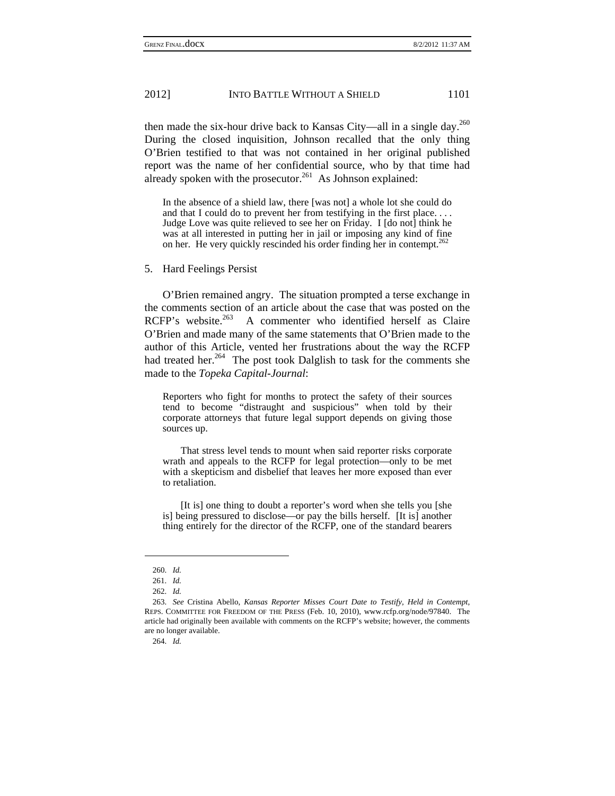then made the six-hour drive back to Kansas City—all in a single day.<sup>260</sup> During the closed inquisition, Johnson recalled that the only thing O'Brien testified to that was not contained in her original published report was the name of her confidential source, who by that time had already spoken with the prosecutor.<sup>261</sup> As Johnson explained:

In the absence of a shield law, there [was not] a whole lot she could do and that I could do to prevent her from testifying in the first place. . . . Judge Love was quite relieved to see her on Friday. I [do not] think he was at all interested in putting her in jail or imposing any kind of fine on her. He very quickly rescinded his order finding her in contempt.<sup>26</sup>

#### 5. Hard Feelings Persist

O'Brien remained angry. The situation prompted a terse exchange in the comments section of an article about the case that was posted on the RCFP's website.<sup>263</sup> A commenter who identified herself as Claire O'Brien and made many of the same statements that O'Brien made to the author of this Article, vented her frustrations about the way the RCFP had treated her.<sup>264</sup> The post took Dalglish to task for the comments she made to the *Topeka Capital-Journal*:

Reporters who fight for months to protect the safety of their sources tend to become "distraught and suspicious" when told by their corporate attorneys that future legal support depends on giving those sources up.

That stress level tends to mount when said reporter risks corporate wrath and appeals to the RCFP for legal protection—only to be met with a skepticism and disbelief that leaves her more exposed than ever to retaliation.

[It is] one thing to doubt a reporter's word when she tells you [she is] being pressured to disclose—or pay the bills herself. [It is] another thing entirely for the director of the RCFP, one of the standard bearers

<sup>260.</sup> *Id.*

<sup>261.</sup> *Id.*

<sup>262.</sup> *Id.*

<sup>263.</sup> *See* Cristina Abello, *Kansas Reporter Misses Court Date to Testify, Held in Contempt*, REPS. COMMITTEE FOR FREEDOM OF THE PRESS (Feb. 10, 2010), www.rcfp.org/node/97840. The article had originally been available with comments on the RCFP's website; however, the comments are no longer available.

<sup>264.</sup> *Id.*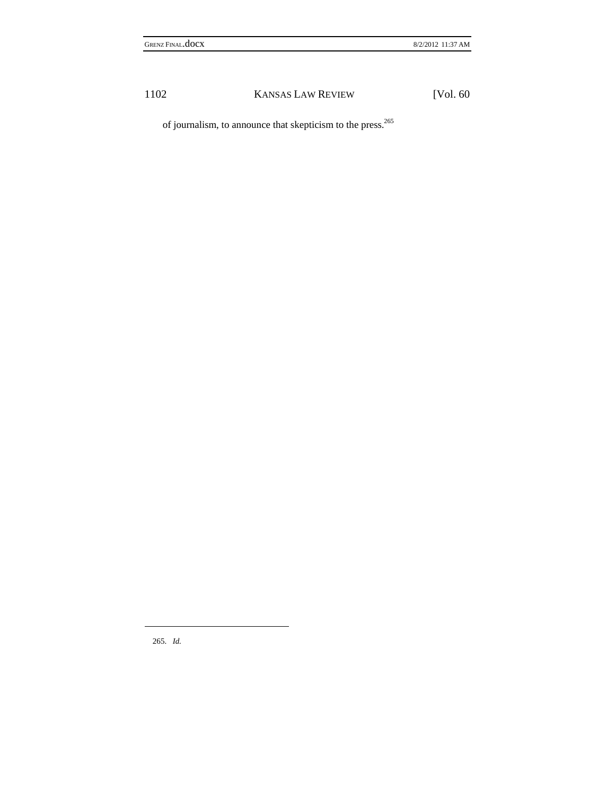of journalism, to announce that skepticism to the press.265

265. *Id.*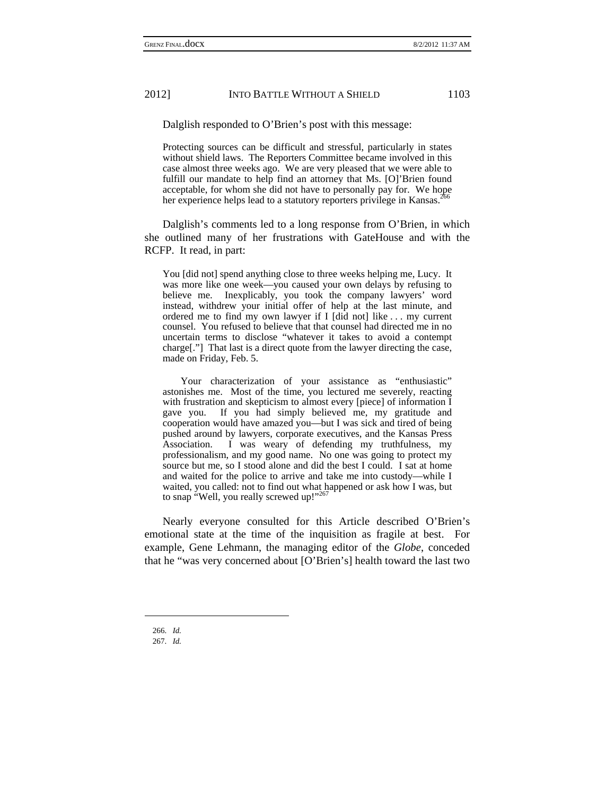Dalglish responded to O'Brien's post with this message:

Protecting sources can be difficult and stressful, particularly in states without shield laws. The Reporters Committee became involved in this case almost three weeks ago. We are very pleased that we were able to fulfill our mandate to help find an attorney that Ms. [O]'Brien found acceptable, for whom she did not have to personally pay for. We hope her experience helps lead to a statutory reporters privilege in Kansas.

Dalglish's comments led to a long response from O'Brien, in which she outlined many of her frustrations with GateHouse and with the RCFP. It read, in part:

You [did not] spend anything close to three weeks helping me, Lucy. It was more like one week—you caused your own delays by refusing to believe me. Inexplicably, you took the company lawyers' word instead, withdrew your initial offer of help at the last minute, and ordered me to find my own lawyer if I [did not] like . . . my current counsel. You refused to believe that that counsel had directed me in no uncertain terms to disclose "whatever it takes to avoid a contempt charge[."] That last is a direct quote from the lawyer directing the case, made on Friday, Feb. 5.

Your characterization of your assistance as "enthusiastic" astonishes me. Most of the time, you lectured me severely, reacting with frustration and skepticism to almost every [piece] of information I gave you. If you had simply believed me, my gratitude and cooperation would have amazed you—but I was sick and tired of being pushed around by lawyers, corporate executives, and the Kansas Press Association. I was weary of defending my truthfulness, my professionalism, and my good name. No one was going to protect my source but me, so I stood alone and did the best I could. I sat at home and waited for the police to arrive and take me into custody—while I waited, you called: not to find out what happened or ask how I was, but to snap "Well, you really screwed up!"267

Nearly everyone consulted for this Article described O'Brien's emotional state at the time of the inquisition as fragile at best. For example, Gene Lehmann, the managing editor of the *Globe*, conceded that he "was very concerned about [O'Brien's] health toward the last two

<sup>266.</sup> *Id.*

<sup>267.</sup> *Id.*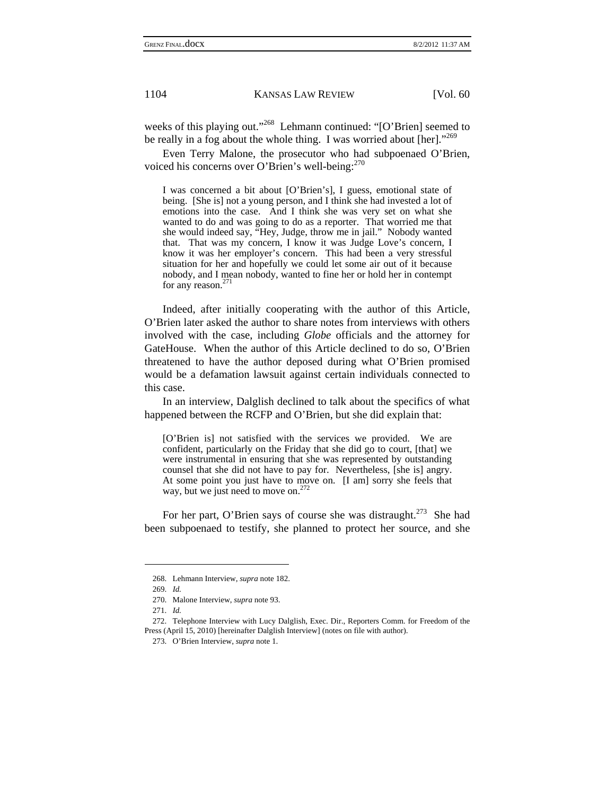weeks of this playing out."<sup>268</sup> Lehmann continued: "[O'Brien] seemed to be really in a fog about the whole thing. I was worried about [her]."<sup>269</sup>

Even Terry Malone, the prosecutor who had subpoenaed O'Brien, voiced his concerns over O'Brien's well-being: $270$ 

I was concerned a bit about [O'Brien's], I guess, emotional state of being. [She is] not a young person, and I think she had invested a lot of emotions into the case. And I think she was very set on what she wanted to do and was going to do as a reporter. That worried me that she would indeed say, "Hey, Judge, throw me in jail." Nobody wanted that. That was my concern, I know it was Judge Love's concern, I know it was her employer's concern. This had been a very stressful situation for her and hopefully we could let some air out of it because nobody, and I mean nobody, wanted to fine her or hold her in contempt for any reason.271

Indeed, after initially cooperating with the author of this Article, O'Brien later asked the author to share notes from interviews with others involved with the case, including *Globe* officials and the attorney for GateHouse. When the author of this Article declined to do so, O'Brien threatened to have the author deposed during what O'Brien promised would be a defamation lawsuit against certain individuals connected to this case.

In an interview, Dalglish declined to talk about the specifics of what happened between the RCFP and O'Brien, but she did explain that:

[O'Brien is] not satisfied with the services we provided. We are confident, particularly on the Friday that she did go to court, [that] we were instrumental in ensuring that she was represented by outstanding counsel that she did not have to pay for. Nevertheless, [she is] angry. At some point you just have to move on. [I am] sorry she feels that way, but we just need to move on.<sup>272</sup>

For her part, O'Brien says of course she was distraught.<sup>273</sup> She had been subpoenaed to testify, she planned to protect her source, and she

 <sup>268.</sup> Lehmann Interview, *supra* note 182.

<sup>269.</sup> *Id.*

 <sup>270.</sup> Malone Interview, *supra* note 93.

<sup>271.</sup> *Id.*

 <sup>272.</sup> Telephone Interview with Lucy Dalglish, Exec. Dir., Reporters Comm. for Freedom of the Press (April 15, 2010) [hereinafter Dalglish Interview] (notes on file with author).

 <sup>273.</sup> O'Brien Interview, *supra* note 1.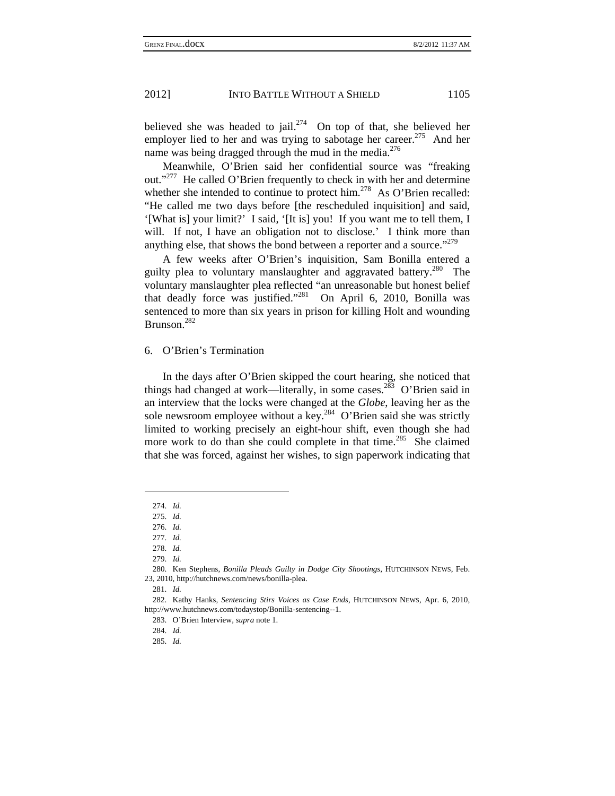believed she was headed to jail.<sup>274</sup> On top of that, she believed her employer lied to her and was trying to sabotage her career.<sup>275</sup> And her name was being dragged through the mud in the media. $276$ 

Meanwhile, O'Brien said her confidential source was "freaking out."277 He called O'Brien frequently to check in with her and determine whether she intended to continue to protect him.<sup>278</sup> As O'Brien recalled: "He called me two days before [the rescheduled inquisition] and said, '[What is] your limit?' I said, '[It is] you! If you want me to tell them, I will. If not, I have an obligation not to disclose.' I think more than anything else, that shows the bond between a reporter and a source."<sup>279</sup>

A few weeks after O'Brien's inquisition, Sam Bonilla entered a guilty plea to voluntary manslaughter and aggravated battery.<sup>280</sup> The voluntary manslaughter plea reflected "an unreasonable but honest belief that deadly force was justified."<sup>281</sup> On April 6, 2010, Bonilla was sentenced to more than six years in prison for killing Holt and wounding Brunson.282

#### 6. O'Brien's Termination

In the days after O'Brien skipped the court hearing, she noticed that things had changed at work—literally, in some cases.<sup>283</sup> O'Brien said in an interview that the locks were changed at the *Globe*, leaving her as the sole newsroom employee without a key.<sup>284</sup> O'Brien said she was strictly limited to working precisely an eight-hour shift, even though she had more work to do than she could complete in that time.<sup>285</sup> She claimed that she was forced, against her wishes, to sign paperwork indicating that

<sup>274.</sup> *Id.*

<sup>275.</sup> *Id.*

<sup>276.</sup> *Id.*

<sup>277.</sup> *Id.*

<sup>278.</sup> *Id.*

<sup>279.</sup> *Id.*

 <sup>280.</sup> Ken Stephens, *Bonilla Pleads Guilty in Dodge City Shootings*, HUTCHINSON NEWS, Feb. 23, 2010, http://hutchnews.com/news/bonilla-plea.

<sup>281.</sup> *Id.*

 <sup>282.</sup> Kathy Hanks, *Sentencing Stirs Voices as Case Ends*, HUTCHINSON NEWS, Apr. 6, 2010, http://www.hutchnews.com/todaystop/Bonilla-sentencing--1.

 <sup>283.</sup> O'Brien Interview, *supra* note 1.

<sup>284.</sup> *Id.*

<sup>285.</sup> *Id.*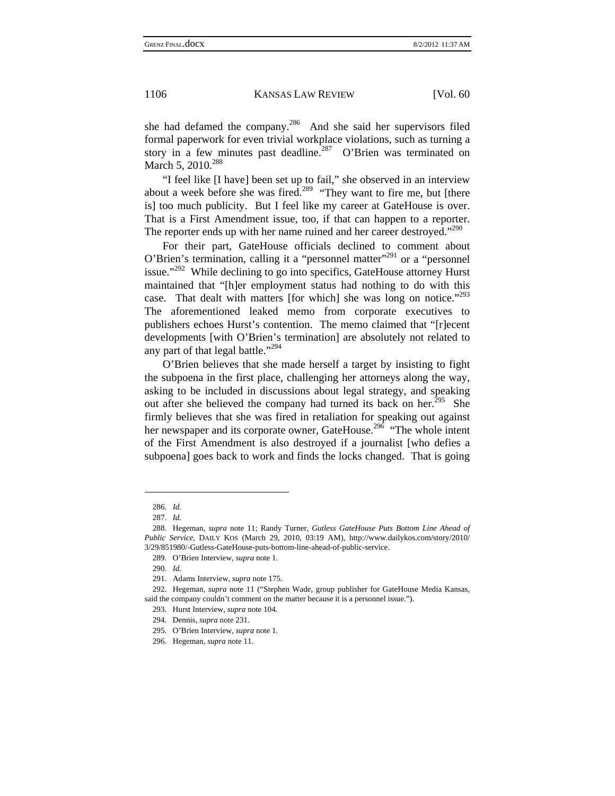she had defamed the company.<sup>286</sup> And she said her supervisors filed formal paperwork for even trivial workplace violations, such as turning a story in a few minutes past deadline.<sup>287</sup> O'Brien was terminated on March 5, 2010.<sup>288</sup>

"I feel like [I have] been set up to fail," she observed in an interview about a week before she was fired.<sup>289</sup> "They want to fire me, but [there is] too much publicity. But I feel like my career at GateHouse is over. That is a First Amendment issue, too, if that can happen to a reporter. The reporter ends up with her name ruined and her career destroyed."<sup>290</sup>

For their part, GateHouse officials declined to comment about O'Brien's termination, calling it a "personnel matter"<sup>291</sup> or a "personnel" issue."<sup>292</sup> While declining to go into specifics, GateHouse attorney Hurst maintained that "[h]er employment status had nothing to do with this case. That dealt with matters [for which] she was long on notice."<sup>293</sup> The aforementioned leaked memo from corporate executives to publishers echoes Hurst's contention. The memo claimed that "[r]ecent developments [with O'Brien's termination] are absolutely not related to any part of that legal battle."<sup>294</sup>

O'Brien believes that she made herself a target by insisting to fight the subpoena in the first place, challenging her attorneys along the way, asking to be included in discussions about legal strategy, and speaking out after she believed the company had turned its back on her.<sup>295</sup> She firmly believes that she was fired in retaliation for speaking out against her newspaper and its corporate owner, GateHouse.<sup>296</sup> "The whole intent of the First Amendment is also destroyed if a journalist [who defies a subpoena] goes back to work and finds the locks changed. That is going

 $\overline{a}$ 

289. O'Brien Interview, *supra* note 1.

<sup>286.</sup> *Id.*

<sup>287.</sup> *Id.*

 <sup>288.</sup> Hegeman, *supra* note 11; Randy Turner, *Gutless GateHouse Puts Bottom Line Ahead of Public Service*, DAILY KOS (March 29, 2010, 03:19 AM), http://www.dailykos.com/story/2010/ 3/29/851980/-Gutless-GateHouse-puts-bottom-line-ahead-of-public-service.

<sup>290.</sup> *Id.*

 <sup>291.</sup> Adams Interview, *supra* note 175.

 <sup>292.</sup> Hegeman, *supra* note 11 ("Stephen Wade, group publisher for GateHouse Media Kansas, said the company couldn't comment on the matter because it is a personnel issue.").

 <sup>293.</sup> Hurst Interview, *supra* note 104.

 <sup>294.</sup> Dennis, *supra* note 231.

 <sup>295.</sup> O'Brien Interview, *supra* note 1.

 <sup>296.</sup> Hegeman, *supra* note 11.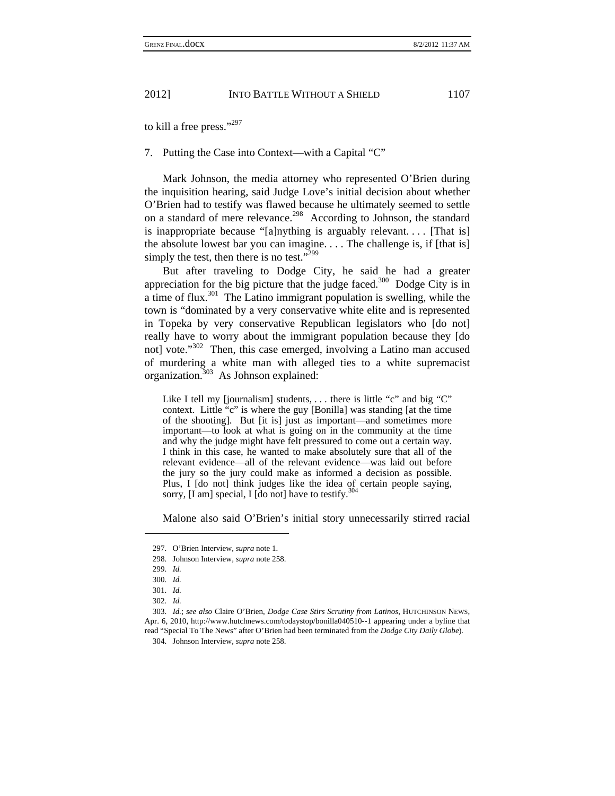to kill a free press."<sup>297</sup>

7. Putting the Case into Context—with a Capital "C"

Mark Johnson, the media attorney who represented O'Brien during the inquisition hearing, said Judge Love's initial decision about whether O'Brien had to testify was flawed because he ultimately seemed to settle on a standard of mere relevance.298 According to Johnson, the standard is inappropriate because "[a]nything is arguably relevant.... [That is] the absolute lowest bar you can imagine. . . . The challenge is, if [that is] simply the test, then there is no test."<sup>299</sup>

But after traveling to Dodge City, he said he had a greater appreciation for the big picture that the judge faced.<sup>300</sup> Dodge City is in a time of flux. $301$  The Latino immigrant population is swelling, while the town is "dominated by a very conservative white elite and is represented in Topeka by very conservative Republican legislators who [do not] really have to worry about the immigrant population because they [do not] vote."302 Then, this case emerged, involving a Latino man accused of murdering a white man with alleged ties to a white supremacist organization.<sup>303</sup> As Johnson explained:

Like I tell my [journalism] students,  $\dots$  there is little "c" and big "C" context. Little "c" is where the guy [Bonilla] was standing [at the time of the shooting]. But [it is] just as important—and sometimes more important—to look at what is going on in the community at the time and why the judge might have felt pressured to come out a certain way. I think in this case, he wanted to make absolutely sure that all of the relevant evidence—all of the relevant evidence—was laid out before the jury so the jury could make as informed a decision as possible. Plus, I  $[$ do not] think judges like the idea of certain people saying, sorry,  $[I \text{ am}]$  special,  $I \text{ [do not]}$  have to testify.<sup>3</sup>

Malone also said O'Brien's initial story unnecessarily stirred racial

 <sup>297.</sup> O'Brien Interview, *supra* note 1.

 <sup>298.</sup> Johnson Interview, *supra* note 258.

<sup>299.</sup> *Id.*

<sup>300.</sup> *Id.*

<sup>301.</sup> *Id.*

<sup>302.</sup> *Id.*

<sup>303.</sup> *Id.*; *see also* Claire O'Brien, *Dodge Case Stirs Scrutiny from Latinos*, HUTCHINSON NEWS, Apr. 6, 2010, http://www.hutchnews.com/todaystop/bonilla040510--1 appearing under a byline that read "Special To The News" after O'Brien had been terminated from the *Dodge City Daily Globe*)*.* 

 <sup>304.</sup> Johnson Interview, *supra* note 258.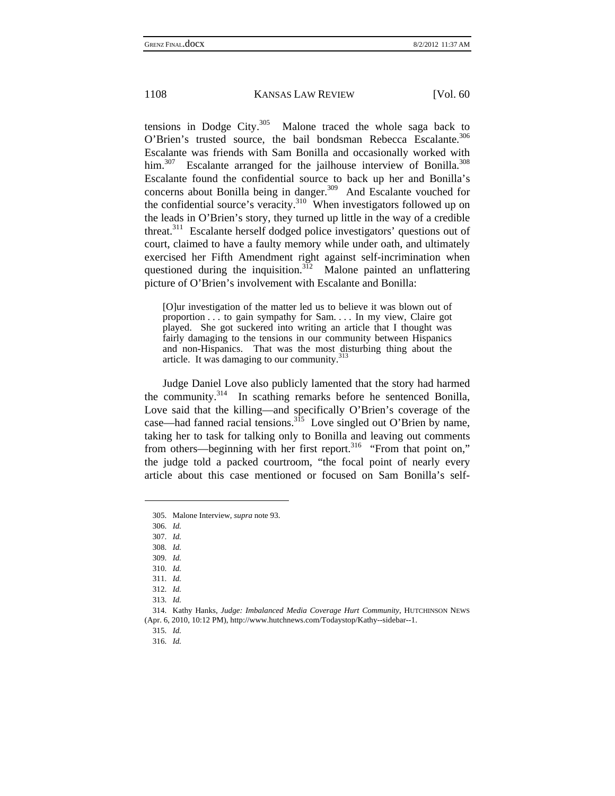tensions in Dodge City.<sup>305</sup> Malone traced the whole saga back to O'Brien's trusted source, the bail bondsman Rebecca Escalante.<sup>306</sup> Escalante was friends with Sam Bonilla and occasionally worked with him.<sup>307</sup> Escalante arranged for the jailhouse interview of Bonilla.<sup>308</sup> Escalante found the confidential source to back up her and Bonilla's concerns about Bonilla being in danger.<sup>309</sup> And Escalante vouched for the confidential source's veracity.<sup>310</sup> When investigators followed up on the leads in O'Brien's story, they turned up little in the way of a credible threat.<sup>311</sup> Escalante herself dodged police investigators' questions out of court, claimed to have a faulty memory while under oath, and ultimately exercised her Fifth Amendment right against self-incrimination when questioned during the inquisition.<sup>312</sup> Malone painted an unflattering picture of O'Brien's involvement with Escalante and Bonilla:

[O]ur investigation of the matter led us to believe it was blown out of proportion . . . to gain sympathy for Sam. . . . In my view, Claire got played. She got suckered into writing an article that I thought was fairly damaging to the tensions in our community between Hispanics and non-Hispanics. That was the most disturbing thing about the article. It was damaging to our community.<sup>313</sup>

Judge Daniel Love also publicly lamented that the story had harmed the community.<sup>314</sup> In scathing remarks before he sentenced Bonilla, Love said that the killing—and specifically O'Brien's coverage of the case—had fanned racial tensions.<sup>315</sup> Love singled out O'Brien by name, taking her to task for talking only to Bonilla and leaving out comments from others—beginning with her first report.<sup>316</sup> "From that point on," the judge told a packed courtroom, "the focal point of nearly every article about this case mentioned or focused on Sam Bonilla's self-

 $\overline{a}$ 

307. *Id.*

309. *Id.*

315. *Id.*

316. *Id.*

 <sup>305.</sup> Malone Interview, *supra* note 93.

<sup>306.</sup> *Id.*

<sup>308.</sup> *Id.*

<sup>310.</sup> *Id.*

<sup>311.</sup> *Id.*

<sup>312.</sup> *Id.*

<sup>313.</sup> *Id.*

 <sup>314.</sup> Kathy Hanks, *Judge: Imbalanced Media Coverage Hurt Community*, HUTCHINSON NEWS (Apr. 6, 2010, 10:12 PM), http://www.hutchnews.com/Todaystop/Kathy--sidebar--1.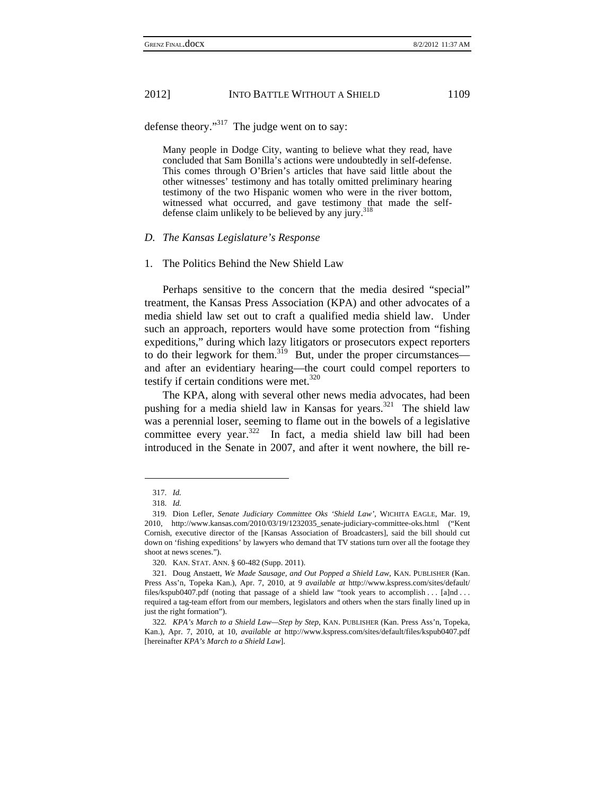defense theory."317 The judge went on to say:

Many people in Dodge City, wanting to believe what they read, have concluded that Sam Bonilla's actions were undoubtedly in self-defense. This comes through O'Brien's articles that have said little about the other witnesses' testimony and has totally omitted preliminary hearing testimony of the two Hispanic women who were in the river bottom, witnessed what occurred, and gave testimony that made the selfdefense claim unlikely to be believed by any jury.<sup>3</sup>

#### *D. The Kansas Legislature's Response*

#### 1. The Politics Behind the New Shield Law

Perhaps sensitive to the concern that the media desired "special" treatment, the Kansas Press Association (KPA) and other advocates of a media shield law set out to craft a qualified media shield law. Under such an approach, reporters would have some protection from "fishing expeditions," during which lazy litigators or prosecutors expect reporters to do their legwork for them.<sup>319</sup> But, under the proper circumstances and after an evidentiary hearing—the court could compel reporters to testify if certain conditions were met. $320$ 

The KPA, along with several other news media advocates, had been pushing for a media shield law in Kansas for years.<sup>321</sup> The shield law was a perennial loser, seeming to flame out in the bowels of a legislative committee every year.<sup>322</sup> In fact, a media shield law bill had been introduced in the Senate in 2007, and after it went nowhere, the bill re-

<sup>317.</sup> *Id.*

<sup>318.</sup> *Id.*

 <sup>319.</sup> Dion Lefler, *Senate Judiciary Committee Oks 'Shield Law'*, WICHITA EAGLE, Mar. 19, 2010, http://www.kansas.com/2010/03/19/1232035\_senate-judiciary-committee-oks.html ("Kent Cornish, executive director of the [Kansas Association of Broadcasters], said the bill should cut down on 'fishing expeditions' by lawyers who demand that TV stations turn over all the footage they shoot at news scenes.").

 <sup>320.</sup> KAN. STAT. ANN. § 60-482 (Supp. 2011).

 <sup>321.</sup> Doug Anstaett, *We Made Sausage, and Out Popped a Shield Law*, KAN. PUBLISHER (Kan. Press Ass'n, Topeka Kan.), Apr. 7, 2010, at 9 *available at* http://www.kspress.com/sites/default/ files/kspub0407.pdf (noting that passage of a shield law "took years to accomplish . . . [a]nd . . . required a tag-team effort from our members, legislators and others when the stars finally lined up in just the right formation").

<sup>322</sup>*. KPA's March to a Shield Law—Step by Step*, KAN. PUBLISHER (Kan. Press Ass'n, Topeka, Kan.), Apr. 7, 2010, at 10, *available at* http://www.kspress.com/sites/default/files/kspub0407.pdf [hereinafter *KPA's March to a Shield Law*].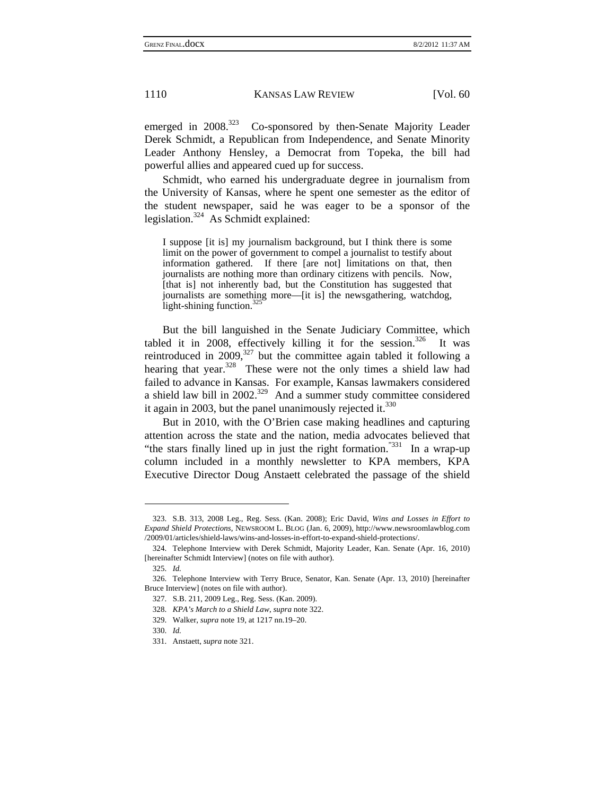emerged in 2008.<sup>323</sup> Co-sponsored by then-Senate Majority Leader Derek Schmidt, a Republican from Independence, and Senate Minority Leader Anthony Hensley, a Democrat from Topeka, the bill had powerful allies and appeared cued up for success.

Schmidt, who earned his undergraduate degree in journalism from the University of Kansas, where he spent one semester as the editor of the student newspaper, said he was eager to be a sponsor of the legislation. $324$  As Schmidt explained:

I suppose [it is] my journalism background, but I think there is some limit on the power of government to compel a journalist to testify about information gathered. If there [are not] limitations on that, then journalists are nothing more than ordinary citizens with pencils. Now, [that is] not inherently bad, but the Constitution has suggested that journalists are something more—[it is] the newsgathering, watchdog, light-shining function. $32$ 

But the bill languished in the Senate Judiciary Committee, which tabled it in 2008, effectively killing it for the session.<sup>326</sup> It was reintroduced in  $2009$ ,<sup>327</sup> but the committee again tabled it following a hearing that year.<sup>328</sup> These were not the only times a shield law had failed to advance in Kansas. For example, Kansas lawmakers considered a shield law bill in  $2002<sup>329</sup>$  And a summer study committee considered it again in 2003, but the panel unanimously rejected it. $330$ 

But in 2010, with the O'Brien case making headlines and capturing attention across the state and the nation, media advocates believed that "the stars finally lined up in just the right formation."<sup>331</sup> In a wrap-up column included in a monthly newsletter to KPA members, KPA Executive Director Doug Anstaett celebrated the passage of the shield

 <sup>323.</sup> S.B. 313, 2008 Leg., Reg. Sess. (Kan. 2008); Eric David, *Wins and Losses in Effort to Expand Shield Protections*, NEWSROOM L. BLOG (Jan. 6, 2009), http://www.newsroomlawblog.com /2009/01/articles/shield-laws/wins-and-losses-in-effort-to-expand-shield-protections/.

<sup>324.</sup> Telephone Interview with Derek Schmidt, Majority Leader, Kan. Senate (Apr. 16, 2010) [hereinafter Schmidt Interview] (notes on file with author).

 <sup>325.</sup> *Id.* 

 <sup>326.</sup> Telephone Interview with Terry Bruce, Senator, Kan. Senate (Apr. 13, 2010) [hereinafter Bruce Interview] (notes on file with author).

 <sup>327.</sup> S.B. 211, 2009 Leg., Reg. Sess. (Kan. 2009).

<sup>328.</sup> *KPA's March to a Shield Law*, *supra* note 322.

 <sup>329.</sup> Walker, *supra* note 19, at 1217 nn.19–20.

<sup>330.</sup> *Id.*

 <sup>331.</sup> Anstaett, *supra* note 321.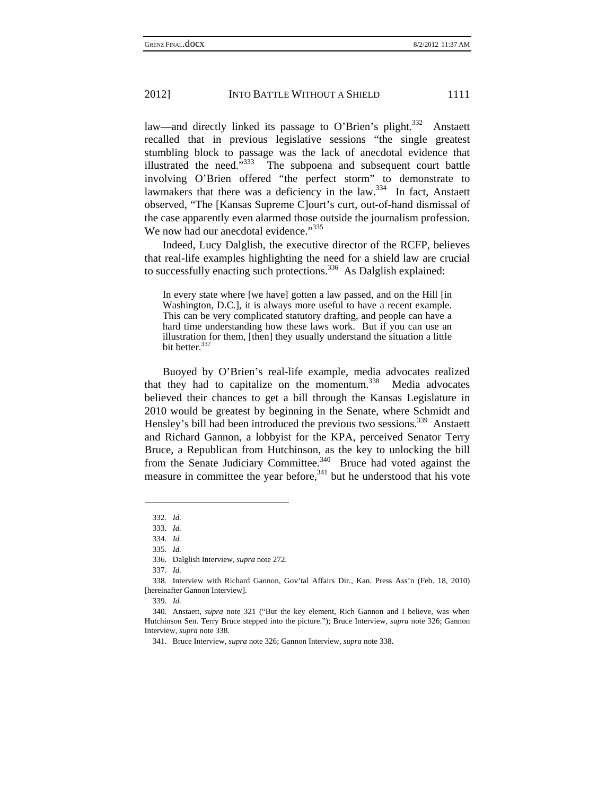law—and directly linked its passage to O'Brien's plight.<sup>332</sup> Anstaett recalled that in previous legislative sessions "the single greatest stumbling block to passage was the lack of anecdotal evidence that illustrated the need."333 The subpoena and subsequent court battle involving O'Brien offered "the perfect storm" to demonstrate to lawmakers that there was a deficiency in the law.<sup>334</sup> In fact, Anstaett observed, "The [Kansas Supreme C]ourt's curt, out-of-hand dismissal of the case apparently even alarmed those outside the journalism profession. We now had our anecdotal evidence."<sup>335</sup>

Indeed, Lucy Dalglish, the executive director of the RCFP, believes that real-life examples highlighting the need for a shield law are crucial to successfully enacting such protections.<sup>336</sup> As Dalglish explained:

In every state where [we have] gotten a law passed, and on the Hill [in Washington, D.C.], it is always more useful to have a recent example. This can be very complicated statutory drafting, and people can have a hard time understanding how these laws work. But if you can use an illustration for them, [then] they usually understand the situation a little bit better.<sup>337</sup>

Buoyed by O'Brien's real-life example, media advocates realized that they had to capitalize on the momentum.<sup>338</sup> Media advocates believed their chances to get a bill through the Kansas Legislature in 2010 would be greatest by beginning in the Senate, where Schmidt and Hensley's bill had been introduced the previous two sessions.<sup>339</sup> Anstaett and Richard Gannon, a lobbyist for the KPA, perceived Senator Terry Bruce, a Republican from Hutchinson, as the key to unlocking the bill from the Senate Judiciary Committee.<sup>340</sup> Bruce had voted against the measure in committee the year before, $341$  but he understood that his vote

<sup>332.</sup> *Id.*

<sup>333.</sup> *Id.*

<sup>334.</sup> *Id.*

<sup>335.</sup> *Id.*

 <sup>336.</sup> Dalglish Interview, *supra* note 272.

<sup>337.</sup> *Id.*

 <sup>338.</sup> Interview with Richard Gannon, Gov'tal Affairs Dir., Kan. Press Ass'n (Feb. 18, 2010) [hereinafter Gannon Interview].

<sup>339.</sup> *Id.*

 <sup>340.</sup> Anstaett, *supra* note 321 ("But the key element, Rich Gannon and I believe, was when Hutchinson Sen. Terry Bruce stepped into the picture."); Bruce Interview, *supra* note 326; Gannon Interview, *supra* note 338.

 <sup>341.</sup> Bruce Interview, *supra* note 326; Gannon Interview, *supra* note 338.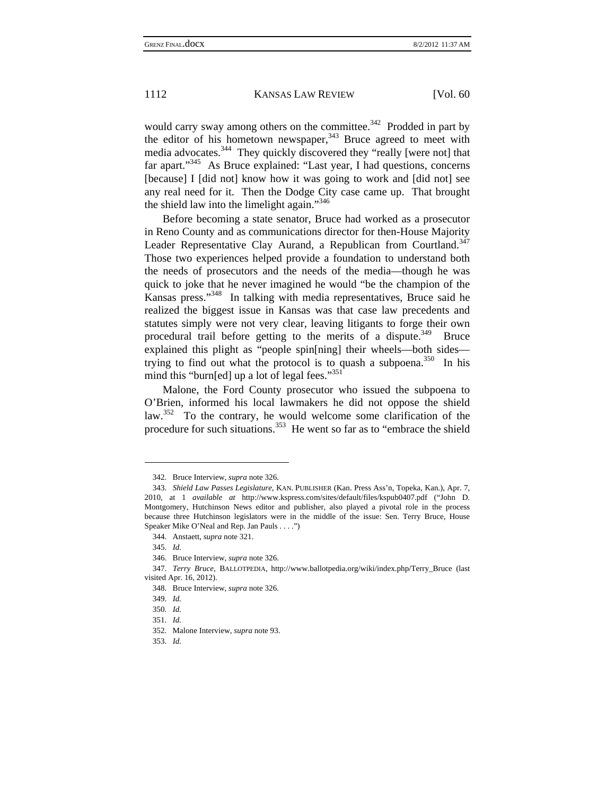would carry sway among others on the committee.<sup>342</sup> Prodded in part by the editor of his hometown newspaper,  $343$  Bruce agreed to meet with media advocates.<sup>344</sup> They quickly discovered they "really [were not] that far apart."<sup>345</sup> As Bruce explained: "Last year, I had questions, concerns [because] I [did not] know how it was going to work and [did not] see any real need for it. Then the Dodge City case came up. That brought the shield law into the limelight again."346

Before becoming a state senator, Bruce had worked as a prosecutor in Reno County and as communications director for then-House Majority Leader Representative Clay Aurand, a Republican from Courtland.<sup>347</sup> Those two experiences helped provide a foundation to understand both the needs of prosecutors and the needs of the media—though he was quick to joke that he never imagined he would "be the champion of the Kansas press."<sup>348</sup> In talking with media representatives, Bruce said he realized the biggest issue in Kansas was that case law precedents and statutes simply were not very clear, leaving litigants to forge their own procedural trail before getting to the merits of a dispute.<sup>349</sup> Bruce explained this plight as "people spin[ning] their wheels—both sides trying to find out what the protocol is to quash a subpoena.<sup>350</sup> In his mind this "burn[ed] up a lot of legal fees."<sup>351</sup>

Malone, the Ford County prosecutor who issued the subpoena to O'Brien, informed his local lawmakers he did not oppose the shield law.<sup>352</sup> To the contrary, he would welcome some clarification of the procedure for such situations.<sup>353</sup> He went so far as to "embrace the shield"

 <sup>342.</sup> Bruce Interview, *supra* note 326.

<sup>343.</sup> *Shield Law Passes Legislature*, KAN. PUBLISHER (Kan. Press Ass'n, Topeka, Kan.), Apr. 7, 2010, at 1 *available at* http://www.kspress.com/sites/default/files/kspub0407.pdf ("John D. Montgomery, Hutchinson News editor and publisher, also played a pivotal role in the process because three Hutchinson legislators were in the middle of the issue: Sen. Terry Bruce, House Speaker Mike O'Neal and Rep. Jan Pauls . . . .")

 <sup>344.</sup> Anstaett, *supra* note 321.

<sup>345.</sup> *Id.*

 <sup>346.</sup> Bruce Interview, *supra* note 326.

<sup>347.</sup> *Terry Bruce*, BALLOTPEDIA, http://www.ballotpedia.org/wiki/index.php/Terry\_Bruce (last visited Apr. 16, 2012).

 <sup>348.</sup> Bruce Interview, *supra* note 326.

<sup>349.</sup> *Id.*

<sup>350.</sup> *Id.*

<sup>351.</sup> *Id.*

 <sup>352.</sup> Malone Interview, *supra* note 93.

<sup>353.</sup> *Id.*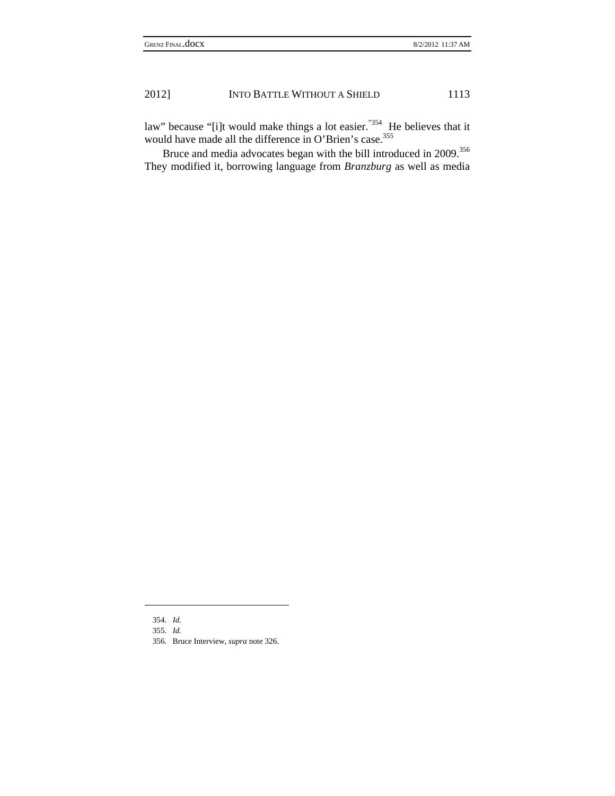law" because "[i]t would make things a lot easier.<sup>"354</sup> He believes that it would have made all the difference in O'Brien's case.<sup>355</sup>

Bruce and media advocates began with the bill introduced in 2009.356 They modified it, borrowing language from *Branzburg* as well as media

 $\overline{a}$ 

356. Bruce Interview, *supra* note 326.

<sup>354.</sup> *Id.*

<sup>355.</sup> *Id.*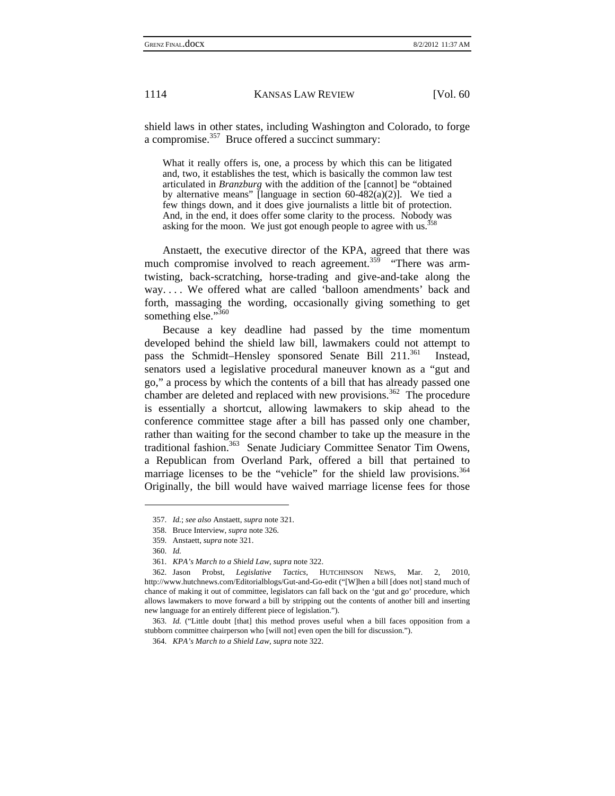shield laws in other states, including Washington and Colorado, to forge a compromise.<sup>357</sup> Bruce offered a succinct summary:

What it really offers is, one, a process by which this can be litigated and, two, it establishes the test, which is basically the common law test articulated in *Branzburg* with the addition of the [cannot] be "obtained by alternative means" [language in section 60-482(a)(2)]. We tied a few things down, and it does give journalists a little bit of protection. And, in the end, it does offer some clarity to the process. Nobody was asking for the moon. We just got enough people to agree with us.<sup>358</sup>

Anstaett, the executive director of the KPA, agreed that there was much compromise involved to reach agreement.<sup>359</sup> "There was armtwisting, back-scratching, horse-trading and give-and-take along the way. . . . We offered what are called 'balloon amendments' back and forth, massaging the wording, occasionally giving something to get something else."<sup>360</sup>

Because a key deadline had passed by the time momentum developed behind the shield law bill, lawmakers could not attempt to pass the Schmidt–Hensley sponsored Senate Bill 211.<sup>361</sup> Instead, senators used a legislative procedural maneuver known as a "gut and go," a process by which the contents of a bill that has already passed one chamber are deleted and replaced with new provisions.<sup>362</sup> The procedure is essentially a shortcut, allowing lawmakers to skip ahead to the conference committee stage after a bill has passed only one chamber, rather than waiting for the second chamber to take up the measure in the traditional fashion.<sup>363</sup> Senate Judiciary Committee Senator Tim Owens, a Republican from Overland Park, offered a bill that pertained to marriage licenses to be the "vehicle" for the shield law provisions.<sup>364</sup> Originally, the bill would have waived marriage license fees for those

<sup>357.</sup> *Id.*; *see also* Anstaett, *supra* note 321.

 <sup>358.</sup> Bruce Interview, *supra* note 326.

 <sup>359.</sup> Anstaett, *supra* note 321.

<sup>360.</sup> *Id.*

<sup>361.</sup> *KPA's March to a Shield Law*, *supra* note 322.

 <sup>362.</sup> Jason Probst, *Legislative Tactics*, HUTCHINSON NEWS, Mar. 2, 2010, http://www.hutchnews.com/Editorialblogs/Gut-and-Go-edit ("[W]hen a bill [does not] stand much of chance of making it out of committee, legislators can fall back on the 'gut and go' procedure, which allows lawmakers to move forward a bill by stripping out the contents of another bill and inserting new language for an entirely different piece of legislation.").

<sup>363.</sup> *Id.* ("Little doubt [that] this method proves useful when a bill faces opposition from a stubborn committee chairperson who [will not] even open the bill for discussion.").

<sup>364.</sup> *KPA's March to a Shield Law*, *supra* note 322.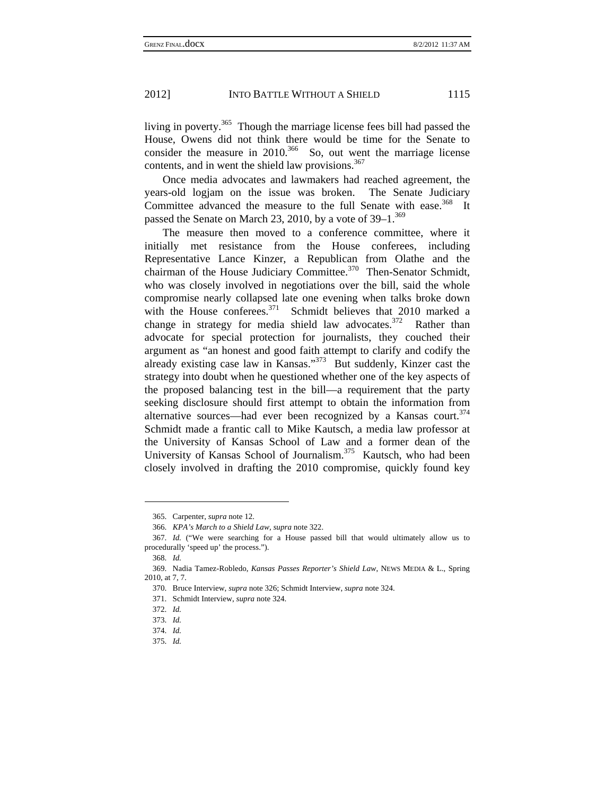living in poverty.<sup>365</sup> Though the marriage license fees bill had passed the House, Owens did not think there would be time for the Senate to consider the measure in  $2010^{366}$  So, out went the marriage license contents, and in went the shield law provisions.<sup>367</sup>

Once media advocates and lawmakers had reached agreement, the years-old logjam on the issue was broken. The Senate Judiciary Committee advanced the measure to the full Senate with ease.<sup>368</sup> It passed the Senate on March 23, 2010, by a vote of  $39-1.^{369}$ 

The measure then moved to a conference committee, where it initially met resistance from the House conferees, including Representative Lance Kinzer, a Republican from Olathe and the chairman of the House Judiciary Committee.<sup>370</sup> Then-Senator Schmidt, who was closely involved in negotiations over the bill, said the whole compromise nearly collapsed late one evening when talks broke down with the House conferees. $371$  Schmidt believes that 2010 marked a change in strategy for media shield law advocates.<sup>372</sup> Rather than advocate for special protection for journalists, they couched their argument as "an honest and good faith attempt to clarify and codify the already existing case law in Kansas."373 But suddenly, Kinzer cast the strategy into doubt when he questioned whether one of the key aspects of the proposed balancing test in the bill—a requirement that the party seeking disclosure should first attempt to obtain the information from alternative sources—had ever been recognized by a Kansas court.<sup>374</sup> Schmidt made a frantic call to Mike Kautsch, a media law professor at the University of Kansas School of Law and a former dean of the University of Kansas School of Journalism.<sup>375</sup> Kautsch, who had been closely involved in drafting the 2010 compromise, quickly found key

 <sup>365.</sup> Carpenter, *supra* note 12.

<sup>366.</sup> *KPA's March to a Shield Law*, *supra* note 322.

<sup>367.</sup> *Id.* ("We were searching for a House passed bill that would ultimately allow us to procedurally 'speed up' the process.").

<sup>368.</sup> *Id.*

 <sup>369.</sup> Nadia Tamez-Robledo, *Kansas Passes Reporter's Shield Law*, NEWS MEDIA & L., Spring 2010, at 7, 7.

 <sup>370.</sup> Bruce Interview, *supra* note 326; Schmidt Interview, *supra* note 324.

 <sup>371.</sup> Schmidt Interview, *supra* note 324.

<sup>372.</sup> *Id.*

<sup>373.</sup> *Id.*

<sup>374.</sup> *Id.*

<sup>375.</sup> *Id.*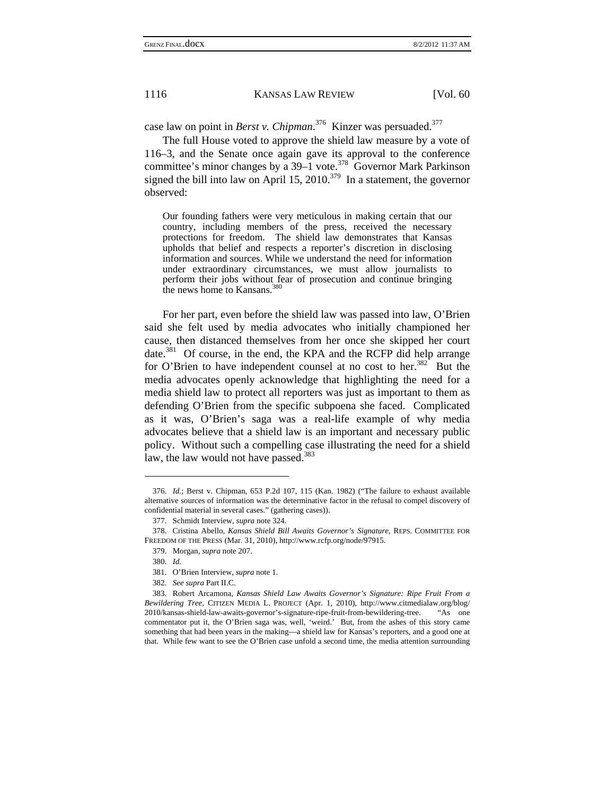case law on point in *Berst v. Chipman*.<sup>376</sup> Kinzer was persuaded.<sup>377</sup>

The full House voted to approve the shield law measure by a vote of 116–3, and the Senate once again gave its approval to the conference committee's minor changes by a 39–1 vote.<sup>378</sup> Governor Mark Parkinson signed the bill into law on April 15, 2010.<sup>379</sup> In a statement, the governor observed:

Our founding fathers were very meticulous in making certain that our country, including members of the press, received the necessary protections for freedom. The shield law demonstrates that Kansas upholds that belief and respects a reporter's discretion in disclosing information and sources. While we understand the need for information under extraordinary circumstances, we must allow journalists to perform their jobs without fear of prosecution and continue bringing the news home to Kansans.<sup>380</sup>

For her part, even before the shield law was passed into law, O'Brien said she felt used by media advocates who initially championed her cause, then distanced themselves from her once she skipped her court date.<sup>381</sup> Of course, in the end, the KPA and the RCFP did help arrange for O'Brien to have independent counsel at no cost to her.<sup>382</sup> But the media advocates openly acknowledge that highlighting the need for a media shield law to protect all reporters was just as important to them as defending O'Brien from the specific subpoena she faced. Complicated as it was, O'Brien's saga was a real-life example of why media advocates believe that a shield law is an important and necessary public policy. Without such a compelling case illustrating the need for a shield law, the law would not have passed.<sup>383</sup>

<sup>376.</sup> *Id.*; Berst v. Chipman, 653 P.2d 107, 115 (Kan. 1982) ("The failure to exhaust available alternative sources of information was the determinative factor in the refusal to compel discovery of confidential material in several cases." (gathering cases)).

 <sup>377.</sup> Schmidt Interview, *supra* note 324.

 <sup>378.</sup> Cristina Abello, *Kansas Shield Bill Awaits Governor's Signature*, REPS. COMMITTEE FOR FREEDOM OF THE PRESS (Mar. 31, 2010), http://www.rcfp.org/node/97915.

 <sup>379.</sup> Morgan, *supra* note 207.

<sup>380.</sup> *Id.*

 <sup>381.</sup> O'Brien Interview, *supra* note 1.

<sup>382.</sup> *See supra* Part II.C.

 <sup>383.</sup> Robert Arcamona, *Kansas Shield Law Awaits Governor's Signature: Ripe Fruit From a Bewildering Tree*, CITIZEN MEDIA L. PROJECT (Apr. 1, 2010), http://www.citmedialaw.org/blog/ 2010/kansas-shield-law-awaits-governor's-signature-ripe-fruit-from-bewildering-tree. "As one commentator put it, the O'Brien saga was, well, 'weird.' But, from the ashes of this story came something that had been years in the making—a shield law for Kansas's reporters, and a good one at that. While few want to see the O'Brien case unfold a second time, the media attention surrounding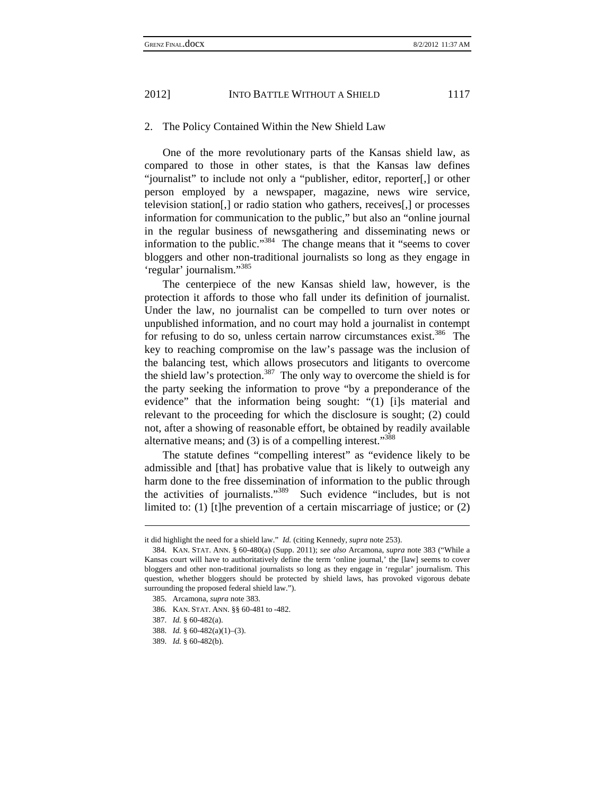#### 2. The Policy Contained Within the New Shield Law

One of the more revolutionary parts of the Kansas shield law, as compared to those in other states, is that the Kansas law defines "journalist" to include not only a "publisher, editor, reporter[,] or other person employed by a newspaper, magazine, news wire service, television station[,] or radio station who gathers, receives[,] or processes information for communication to the public," but also an "online journal in the regular business of newsgathering and disseminating news or information to the public."384 The change means that it "seems to cover bloggers and other non-traditional journalists so long as they engage in 'regular' journalism."<sup>385</sup>

The centerpiece of the new Kansas shield law, however, is the protection it affords to those who fall under its definition of journalist. Under the law, no journalist can be compelled to turn over notes or unpublished information, and no court may hold a journalist in contempt for refusing to do so, unless certain narrow circumstances exist.<sup>386</sup> The key to reaching compromise on the law's passage was the inclusion of the balancing test, which allows prosecutors and litigants to overcome the shield law's protection.<sup>387</sup> The only way to overcome the shield is for the party seeking the information to prove "by a preponderance of the evidence" that the information being sought: "(1) [i]s material and relevant to the proceeding for which the disclosure is sought; (2) could not, after a showing of reasonable effort, be obtained by readily available alternative means; and  $(3)$  is of a compelling interest."<sup>388</sup>

The statute defines "compelling interest" as "evidence likely to be admissible and [that] has probative value that is likely to outweigh any harm done to the free dissemination of information to the public through the activities of journalists."389 Such evidence "includes, but is not limited to: (1) [t]he prevention of a certain miscarriage of justice; or (2)

1

it did highlight the need for a shield law." *Id.* (citing Kennedy, *supra* note 253).

 <sup>384.</sup> KAN. STAT. ANN. § 60-480(a) (Supp. 2011); *see also* Arcamona, *supra* note 383 ("While a Kansas court will have to authoritatively define the term 'online journal,' the [law] seems to cover bloggers and other non-traditional journalists so long as they engage in 'regular' journalism. This question, whether bloggers should be protected by shield laws, has provoked vigorous debate surrounding the proposed federal shield law.").

 <sup>385.</sup> Arcamona, *supra* note 383.

 <sup>386.</sup> KAN. STAT. ANN. §§ 60-481 to -482.

<sup>387.</sup> *Id.* § 60-482(a).

<sup>388.</sup> *Id.* § 60-482(a)(1)–(3).

<sup>389.</sup> *Id.* § 60-482(b).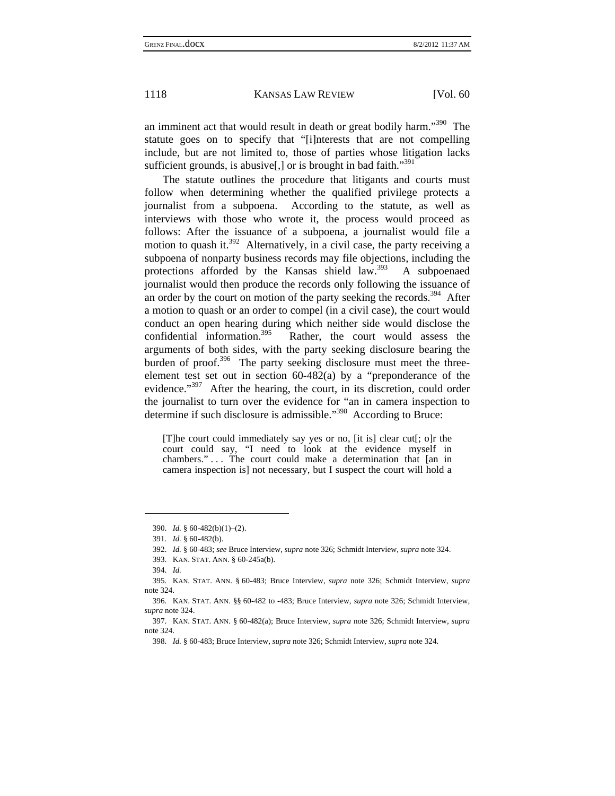an imminent act that would result in death or great bodily harm."<sup>390</sup> The statute goes on to specify that "[i]nterests that are not compelling include, but are not limited to, those of parties whose litigation lacks sufficient grounds, is abusive[,] or is brought in bad faith."<sup>391</sup>

The statute outlines the procedure that litigants and courts must follow when determining whether the qualified privilege protects a journalist from a subpoena. According to the statute, as well as interviews with those who wrote it, the process would proceed as follows: After the issuance of a subpoena, a journalist would file a motion to quash it. $392$  Alternatively, in a civil case, the party receiving a subpoena of nonparty business records may file objections, including the protections afforded by the Kansas shield law.<sup>393</sup> A subpoenaed journalist would then produce the records only following the issuance of an order by the court on motion of the party seeking the records.<sup>394</sup> After a motion to quash or an order to compel (in a civil case), the court would conduct an open hearing during which neither side would disclose the confidential information.<sup>395</sup> Rather, the court would assess the arguments of both sides, with the party seeking disclosure bearing the burden of proof. $396$  The party seeking disclosure must meet the threeelement test set out in section 60-482(a) by a "preponderance of the evidence."<sup>397</sup> After the hearing, the court, in its discretion, could order the journalist to turn over the evidence for "an in camera inspection to determine if such disclosure is admissible."398 According to Bruce:

[T]he court could immediately say yes or no, [it is] clear cut[; o]r the court could say, "I need to look at the evidence myself in chambers."... The court could make a determination that [an in camera inspection is] not necessary, but I suspect the court will hold a

 <sup>390.</sup> *Id.* § 60-482(b)(1)–(2).

<sup>391.</sup> *Id.* § 60-482(b).

<sup>392.</sup> *Id.* § 60-483; *see* Bruce Interview, *supra* note 326; Schmidt Interview, *supra* note 324.

 <sup>393.</sup> KAN. STAT. ANN. § 60-245a(b).

<sup>394.</sup> *Id.*

<sup>395.</sup> KAN. STAT. ANN. § 60-483; Bruce Interview, *supra* note 326; Schmidt Interview, *supra*  note 324.

 <sup>396.</sup> KAN. STAT. ANN. §§ 60-482 to -483; Bruce Interview, *supra* note 326; Schmidt Interview, *supra* note 324.

 <sup>397.</sup> KAN. STAT. ANN. § 60-482(a); Bruce Interview, *supra* note 326; Schmidt Interview, *supra*  note 324.

 <sup>398.</sup> *Id.* § 60-483; Bruce Interview, *supra* note 326; Schmidt Interview, *supra* note 324.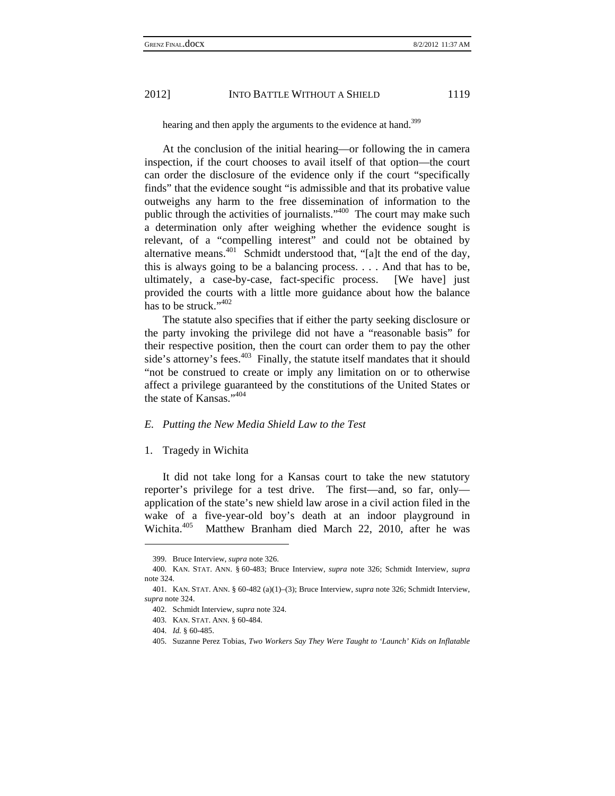hearing and then apply the arguments to the evidence at hand.<sup>399</sup>

At the conclusion of the initial hearing—or following the in camera inspection, if the court chooses to avail itself of that option—the court can order the disclosure of the evidence only if the court "specifically finds" that the evidence sought "is admissible and that its probative value outweighs any harm to the free dissemination of information to the public through the activities of journalists."<sup>400</sup> The court may make such a determination only after weighing whether the evidence sought is relevant, of a "compelling interest" and could not be obtained by alternative means.<sup>401</sup> Schmidt understood that, "[a]t the end of the day, this is always going to be a balancing process. . . . And that has to be, ultimately, a case-by-case, fact-specific process. [We have] just provided the courts with a little more guidance about how the balance has to be struck."<sup>402</sup>

The statute also specifies that if either the party seeking disclosure or the party invoking the privilege did not have a "reasonable basis" for their respective position, then the court can order them to pay the other side's attorney's fees.<sup>403</sup> Finally, the statute itself mandates that it should "not be construed to create or imply any limitation on or to otherwise affect a privilege guaranteed by the constitutions of the United States or the state of Kansas."<sup>404</sup>

#### *E. Putting the New Media Shield Law to the Test*

#### 1. Tragedy in Wichita

It did not take long for a Kansas court to take the new statutory reporter's privilege for a test drive. The first—and, so far, only application of the state's new shield law arose in a civil action filed in the wake of a five-year-old boy's death at an indoor playground in Wichita.<sup>405</sup> Matthew Branham died March 22, 2010, after he was

 <sup>399.</sup> Bruce Interview, *supra* note 326.

 <sup>400.</sup> KAN. STAT. ANN. § 60-483; Bruce Interview, *supra* note 326; Schmidt Interview, *supra*  note 324.

 <sup>401.</sup> KAN. STAT. ANN. § 60-482 (a)(1)–(3); Bruce Interview, *supra* note 326; Schmidt Interview, *supra* note 324.

 <sup>402.</sup> Schmidt Interview, *supra* note 324.

 <sup>403.</sup> KAN. STAT. ANN. § 60-484.

<sup>404.</sup> *Id.* § 60-485.

 <sup>405.</sup> Suzanne Perez Tobias, *Two Workers Say They Were Taught to 'Launch' Kids on Inflatable*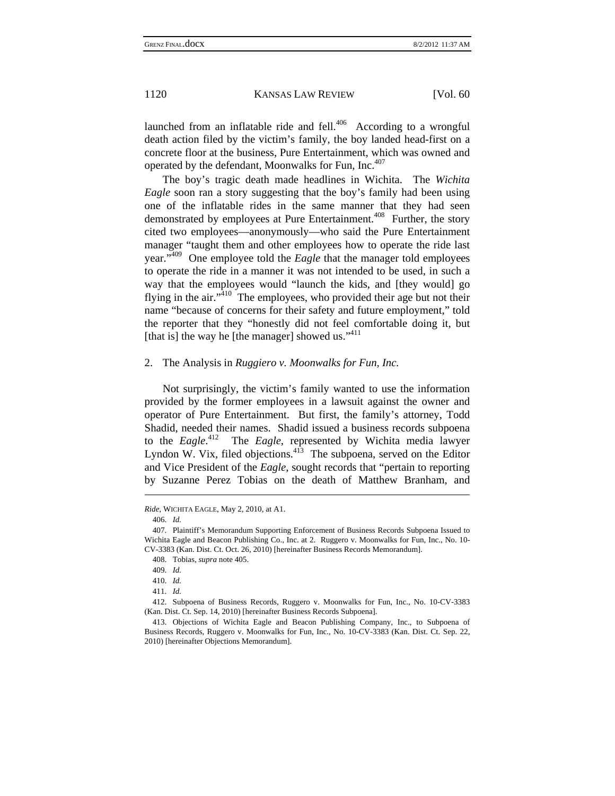launched from an inflatable ride and fell. $406$  According to a wrongful death action filed by the victim's family, the boy landed head-first on a concrete floor at the business, Pure Entertainment, which was owned and operated by the defendant, Moonwalks for Fun, Inc.<sup>407</sup>

The boy's tragic death made headlines in Wichita. The *Wichita Eagle* soon ran a story suggesting that the boy's family had been using one of the inflatable rides in the same manner that they had seen demonstrated by employees at Pure Entertainment.<sup>408</sup> Further, the story cited two employees—anonymously—who said the Pure Entertainment manager "taught them and other employees how to operate the ride last year."409 One employee told the *Eagle* that the manager told employees to operate the ride in a manner it was not intended to be used, in such a way that the employees would "launch the kids, and [they would] go flying in the air. $\mathbf{r}^{410}$  The employees, who provided their age but not their name "because of concerns for their safety and future employment," told the reporter that they "honestly did not feel comfortable doing it, but [that is] the way he [the manager] showed us. $"^{411}$ 

#### 2. The Analysis in *Ruggiero v. Moonwalks for Fun, Inc.*

Not surprisingly, the victim's family wanted to use the information provided by the former employees in a lawsuit against the owner and operator of Pure Entertainment. But first, the family's attorney, Todd Shadid, needed their names. Shadid issued a business records subpoena to the *Eagle*. 412 The *Eagle*, represented by Wichita media lawyer Lyndon W. Vix, filed objections. $4^{13}$  The subpoena, served on the Editor and Vice President of the *Eagle*, sought records that "pertain to reporting by Suzanne Perez Tobias on the death of Matthew Branham, and

1

*Ride*, WICHITA EAGLE, May 2, 2010, at A1.

<sup>406.</sup> *Id.*

 <sup>407.</sup> Plaintiff's Memorandum Supporting Enforcement of Business Records Subpoena Issued to Wichita Eagle and Beacon Publishing Co., Inc. at 2. Ruggero v. Moonwalks for Fun, Inc., No. 10- CV-3383 (Kan. Dist. Ct. Oct. 26, 2010) [hereinafter Business Records Memorandum].

 <sup>408.</sup> Tobias, *supra* note 405.

<sup>409.</sup> *Id.*

<sup>410.</sup> *Id.*

<sup>411.</sup> *Id.*

 <sup>412.</sup> Subpoena of Business Records, Ruggero v. Moonwalks for Fun, Inc., No. 10-CV-3383 (Kan. Dist. Ct. Sep. 14, 2010) [hereinafter Business Records Subpoena].

<sup>413.</sup> Objections of Wichita Eagle and Beacon Publishing Company, Inc., to Subpoena of Business Records, Ruggero v. Moonwalks for Fun, Inc., No. 10-CV-3383 (Kan. Dist. Ct. Sep. 22, 2010) [hereinafter Objections Memorandum].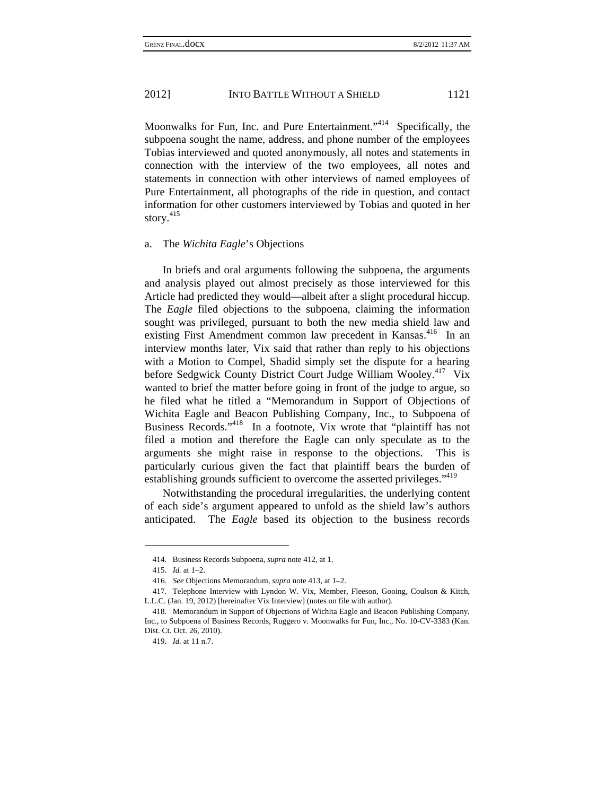Moonwalks for Fun, Inc. and Pure Entertainment."<sup>414</sup> Specifically, the subpoena sought the name, address, and phone number of the employees Tobias interviewed and quoted anonymously, all notes and statements in connection with the interview of the two employees, all notes and statements in connection with other interviews of named employees of Pure Entertainment, all photographs of the ride in question, and contact information for other customers interviewed by Tobias and quoted in her story.<sup>415</sup>

# a. The *Wichita Eagle*'s Objections

In briefs and oral arguments following the subpoena, the arguments and analysis played out almost precisely as those interviewed for this Article had predicted they would—albeit after a slight procedural hiccup. The *Eagle* filed objections to the subpoena, claiming the information sought was privileged, pursuant to both the new media shield law and existing First Amendment common law precedent in Kansas.<sup>416</sup> In an interview months later, Vix said that rather than reply to his objections with a Motion to Compel, Shadid simply set the dispute for a hearing before Sedgwick County District Court Judge William Wooley.<sup>417</sup> Vix wanted to brief the matter before going in front of the judge to argue, so he filed what he titled a "Memorandum in Support of Objections of Wichita Eagle and Beacon Publishing Company, Inc., to Subpoena of Business Records."418 In a footnote, Vix wrote that "plaintiff has not filed a motion and therefore the Eagle can only speculate as to the arguments she might raise in response to the objections. This is particularly curious given the fact that plaintiff bears the burden of establishing grounds sufficient to overcome the asserted privileges."<sup>419</sup>

Notwithstanding the procedural irregularities, the underlying content of each side's argument appeared to unfold as the shield law's authors anticipated. The *Eagle* based its objection to the business records

<sup>414.</sup> Business Records Subpoena, *supra* note 412, at 1.

<sup>415.</sup> *Id.* at 1–2.

<sup>416.</sup> *See* Objections Memorandum, *supra* note 413, at 1–2.

 <sup>417.</sup> Telephone Interview with Lyndon W. Vix, Member, Fleeson, Gooing, Coulson & Kitch, L.L.C. (Jan. 19, 2012) [hereinafter Vix Interview] (notes on file with author).

<sup>418.</sup> Memorandum in Support of Objections of Wichita Eagle and Beacon Publishing Company, Inc., to Subpoena of Business Records, Ruggero v. Moonwalks for Fun, Inc., No. 10-CV-3383 (Kan. Dist. Ct. Oct. 26, 2010).

 <sup>419.</sup> *Id.* at 11 n.7.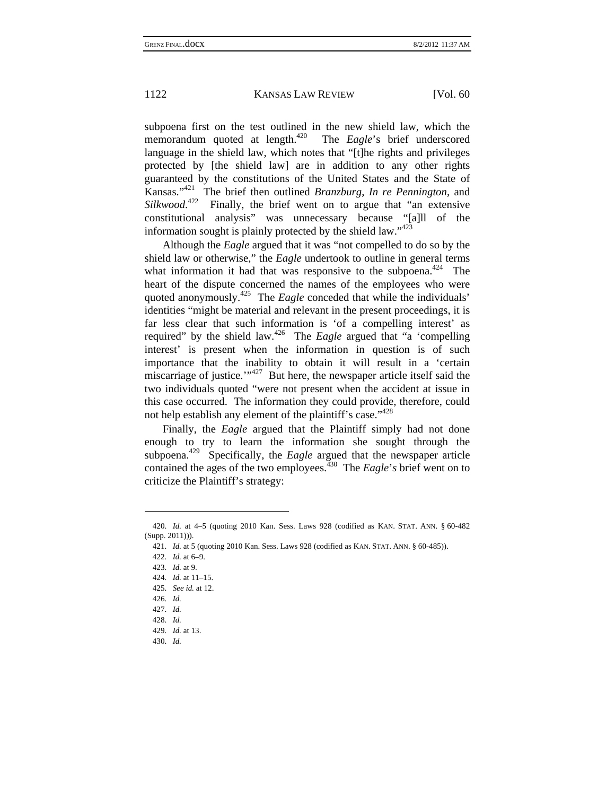subpoena first on the test outlined in the new shield law, which the memorandum quoted at length.<sup>420</sup> The *Eagle*'s brief underscored language in the shield law, which notes that "[t]he rights and privileges protected by [the shield law] are in addition to any other rights guaranteed by the constitutions of the United States and the State of Kansas."421 The brief then outlined *Branzburg*, *In re Pennington*, and Silkwood.<sup>422</sup> Finally, the brief went on to argue that "an extensive constitutional analysis" was unnecessary because "[a]ll of the information sought is plainly protected by the shield law." $423$ 

Although the *Eagle* argued that it was "not compelled to do so by the shield law or otherwise," the *Eagle* undertook to outline in general terms what information it had that was responsive to the subpoena.<sup>424</sup> The heart of the dispute concerned the names of the employees who were quoted anonymously.<sup>425</sup> The *Eagle* conceded that while the individuals' identities "might be material and relevant in the present proceedings, it is far less clear that such information is 'of a compelling interest' as required" by the shield law.426 The *Eagle* argued that "a 'compelling interest' is present when the information in question is of such importance that the inability to obtain it will result in a 'certain miscarriage of justice." $427$  But here, the newspaper article itself said the two individuals quoted "were not present when the accident at issue in this case occurred. The information they could provide, therefore, could not help establish any element of the plaintiff's case."<sup>428</sup>

Finally, the *Eagle* argued that the Plaintiff simply had not done enough to try to learn the information she sought through the subpoena.<sup>429</sup> Specifically, the *Eagle* argued that the newspaper article contained the ages of the two employees.<sup>430</sup> The *Eagle*'s brief went on to criticize the Plaintiff's strategy:

<sup>420.</sup> *Id.* at 4–5 (quoting 2010 Kan. Sess. Laws 928 (codified as KAN. STAT. ANN. § 60-482 (Supp. 2011))).

<sup>421.</sup> *Id.* at 5 (quoting 2010 Kan. Sess. Laws 928 (codified as KAN. STAT. ANN. § 60-485)).

<sup>422.</sup> *Id.* at 6–9.

<sup>423.</sup> *Id.* at 9.

<sup>424.</sup> *Id.* at 11–15.

<sup>425.</sup> *See id.* at 12.

<sup>426.</sup> *Id.*

<sup>427.</sup> *Id.*

<sup>428.</sup> *Id.*

<sup>429.</sup> *Id.* at 13.

<sup>430.</sup> *Id.*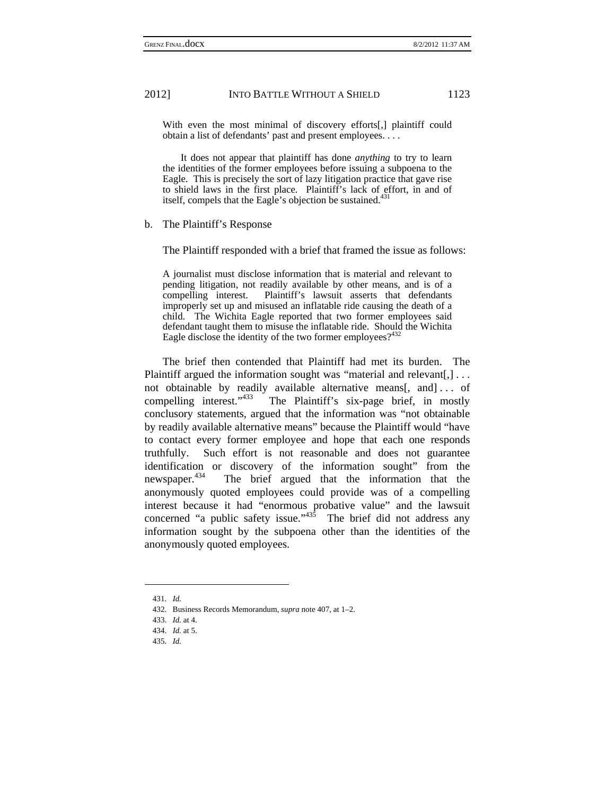With even the most minimal of discovery efforts[,] plaintiff could obtain a list of defendants' past and present employees. . . .

It does not appear that plaintiff has done *anything* to try to learn the identities of the former employees before issuing a subpoena to the Eagle. This is precisely the sort of lazy litigation practice that gave rise to shield laws in the first place. Plaintiff's lack of effort, in and of itself, compels that the Eagle's objection be sustained.<sup>431</sup>

b. The Plaintiff's Response

The Plaintiff responded with a brief that framed the issue as follows:

A journalist must disclose information that is material and relevant to pending litigation, not readily available by other means, and is of a compelling interest. Plaintiff's lawsuit asserts that defendants improperly set up and misused an inflatable ride causing the death of a child. The Wichita Eagle reported that two former employees said defendant taught them to misuse the inflatable ride. Should the Wichita Eagle disclose the identity of the two former employees? $432$ 

The brief then contended that Plaintiff had met its burden. The Plaintiff argued the information sought was "material and relevant... not obtainable by readily available alternative means[, and]... of compelling interest." $433$  The Plaintiff's six-page brief, in mostly The Plaintiff's six-page brief, in mostly conclusory statements, argued that the information was "not obtainable by readily available alternative means" because the Plaintiff would "have to contact every former employee and hope that each one responds truthfully. Such effort is not reasonable and does not guarantee identification or discovery of the information sought" from the newspaper. $434$  The brief argued that the information that the The brief argued that the information that the anonymously quoted employees could provide was of a compelling interest because it had "enormous probative value" and the lawsuit concerned "a public safety issue." $43\overline{5}$  The brief did not address any information sought by the subpoena other than the identities of the anonymously quoted employees.

<sup>431.</sup> *Id.*

 <sup>432.</sup> Business Records Memorandum, *supra* note 407, at 1–2.

<sup>433.</sup> *Id.* at 4.

<sup>434.</sup> *Id.* at 5.

<sup>435.</sup> *Id.*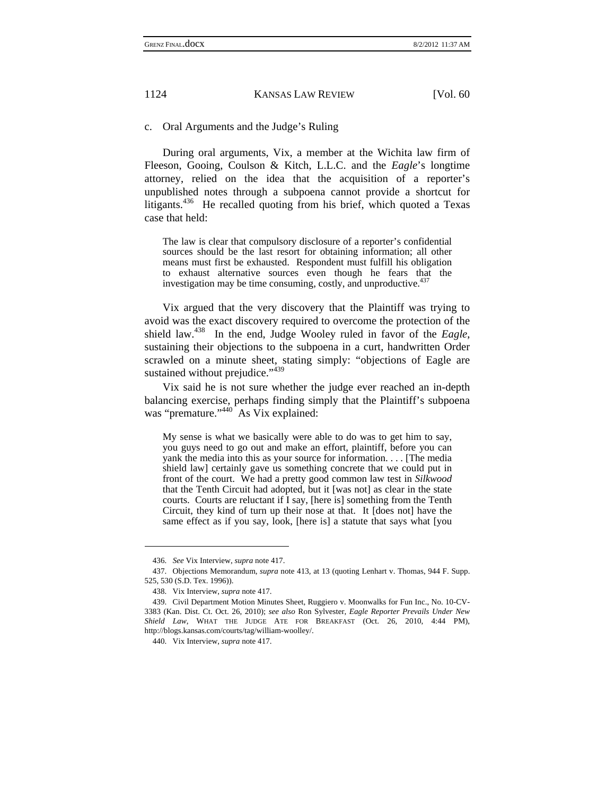c. Oral Arguments and the Judge's Ruling

During oral arguments, Vix, a member at the Wichita law firm of Fleeson, Gooing, Coulson & Kitch, L.L.C. and the *Eagle*'s longtime attorney, relied on the idea that the acquisition of a reporter's unpublished notes through a subpoena cannot provide a shortcut for litigants.<sup>436</sup> He recalled quoting from his brief, which quoted a Texas case that held:

The law is clear that compulsory disclosure of a reporter's confidential sources should be the last resort for obtaining information; all other means must first be exhausted. Respondent must fulfill his obligation to exhaust alternative sources even though he fears that the investigation may be time consuming, costly, and unproductive.  $437$ 

Vix argued that the very discovery that the Plaintiff was trying to avoid was the exact discovery required to overcome the protection of the shield law.438 In the end, Judge Wooley ruled in favor of the *Eagle*, sustaining their objections to the subpoena in a curt, handwritten Order scrawled on a minute sheet, stating simply: "objections of Eagle are sustained without prejudice."<sup>439</sup>

Vix said he is not sure whether the judge ever reached an in-depth balancing exercise, perhaps finding simply that the Plaintiff's subpoena was "premature."<sup>440</sup> As Vix explained:

My sense is what we basically were able to do was to get him to say, you guys need to go out and make an effort, plaintiff, before you can yank the media into this as your source for information. . . . [The media shield law] certainly gave us something concrete that we could put in front of the court. We had a pretty good common law test in *Silkwood* that the Tenth Circuit had adopted, but it [was not] as clear in the state courts. Courts are reluctant if I say, [here is] something from the Tenth Circuit, they kind of turn up their nose at that. It [does not] have the same effect as if you say, look, [here is] a statute that says what [you

<sup>436.</sup> *See* Vix Interview, *supra* note 417.

 <sup>437.</sup> Objections Memorandum, *supra* note 413, at 13 (quoting Lenhart v. Thomas, 944 F. Supp. 525, 530 (S.D. Tex. 1996)).

 <sup>438.</sup> Vix Interview, *supra* note 417.

 <sup>439.</sup> Civil Department Motion Minutes Sheet, Ruggiero v. Moonwalks for Fun Inc., No. 10-CV-3383 (Kan. Dist. Ct. Oct. 26, 2010); *see also* Ron Sylvester, *Eagle Reporter Prevails Under New Shield Law*, WHAT THE JUDGE ATE FOR BREAKFAST (Oct. 26, 2010, 4:44 PM), http://blogs.kansas.com/courts/tag/william-woolley/.

 <sup>440.</sup> Vix Interview, *supra* note 417.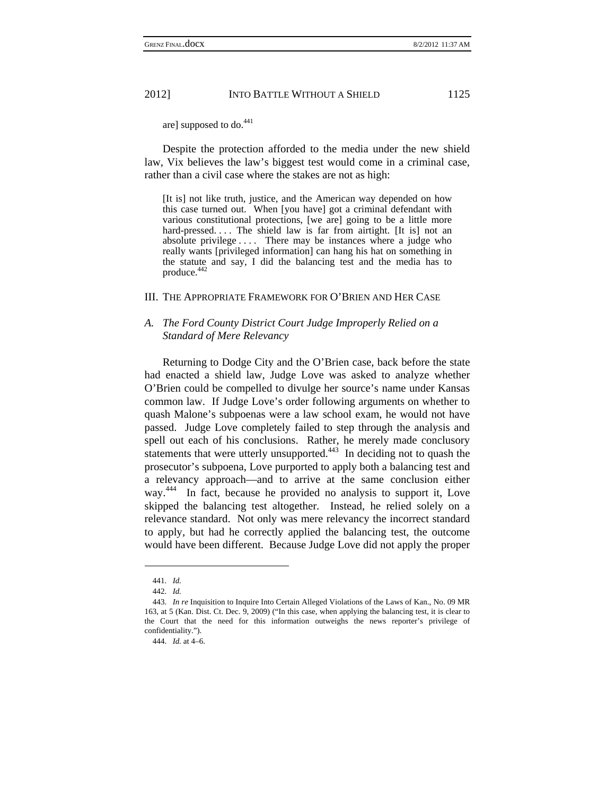arel supposed to do. $441$ 

Despite the protection afforded to the media under the new shield law, Vix believes the law's biggest test would come in a criminal case, rather than a civil case where the stakes are not as high:

[It is] not like truth, justice, and the American way depended on how this case turned out. When [you have] got a criminal defendant with various constitutional protections, [we are] going to be a little more hard-pressed.... The shield law is far from airtight. [It is] not an absolute privilege  $\dots$ . There may be instances where a judge who really wants [privileged information] can hang his hat on something in the statute and say, I did the balancing test and the media has to produce.<sup>442</sup>

#### III. THE APPROPRIATE FRAMEWORK FOR O'BRIEN AND HER CASE

# *A. The Ford County District Court Judge Improperly Relied on a Standard of Mere Relevancy*

Returning to Dodge City and the O'Brien case, back before the state had enacted a shield law, Judge Love was asked to analyze whether O'Brien could be compelled to divulge her source's name under Kansas common law. If Judge Love's order following arguments on whether to quash Malone's subpoenas were a law school exam, he would not have passed. Judge Love completely failed to step through the analysis and spell out each of his conclusions. Rather, he merely made conclusory statements that were utterly unsupported.<sup>443</sup> In deciding not to quash the prosecutor's subpoena, Love purported to apply both a balancing test and a relevancy approach—and to arrive at the same conclusion either way.<sup>444</sup> In fact, because he provided no analysis to support it, Love skipped the balancing test altogether. Instead, he relied solely on a relevance standard. Not only was mere relevancy the incorrect standard to apply, but had he correctly applied the balancing test, the outcome would have been different. Because Judge Love did not apply the proper

<sup>441.</sup> *Id.*

<sup>442.</sup> *Id.*

<sup>443.</sup> *In re* Inquisition to Inquire Into Certain Alleged Violations of the Laws of Kan., No. 09 MR 163, at 5 (Kan. Dist. Ct. Dec. 9, 2009) ("In this case, when applying the balancing test, it is clear to the Court that the need for this information outweighs the news reporter's privilege of confidentiality.").

<sup>444.</sup> *Id.* at 4–6.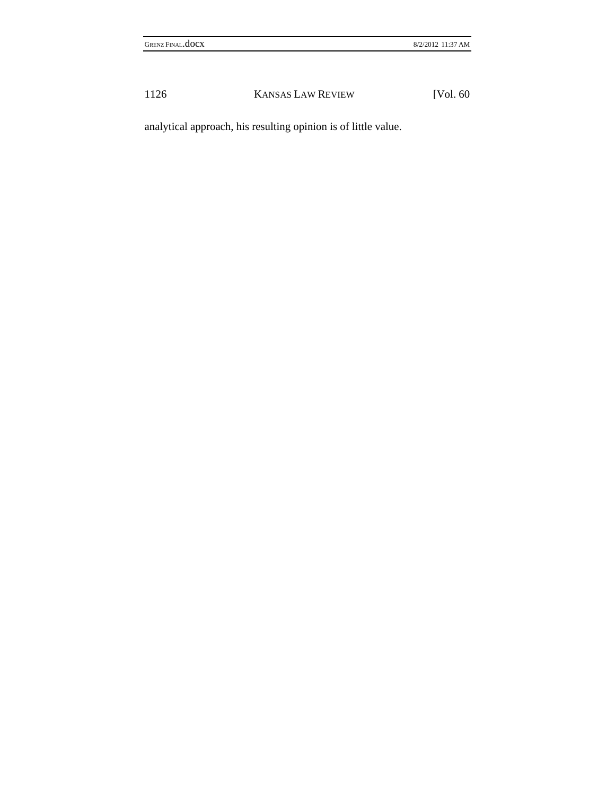analytical approach, his resulting opinion is of little value.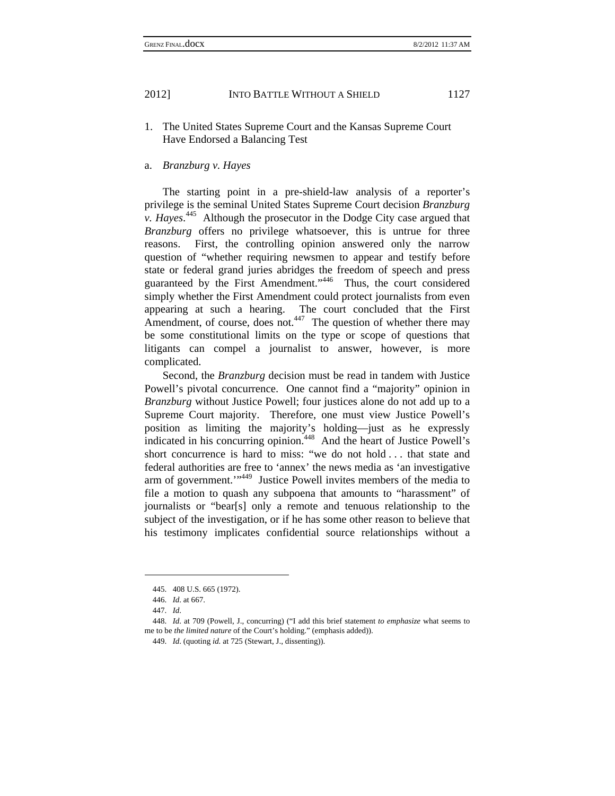- 1. The United States Supreme Court and the Kansas Supreme Court Have Endorsed a Balancing Test
- a. *Branzburg v. Hayes*

The starting point in a pre-shield-law analysis of a reporter's privilege is the seminal United States Supreme Court decision *Branzburg v. Hayes*. 445 Although the prosecutor in the Dodge City case argued that *Branzburg* offers no privilege whatsoever, this is untrue for three reasons. First, the controlling opinion answered only the narrow question of "whether requiring newsmen to appear and testify before state or federal grand juries abridges the freedom of speech and press guaranteed by the First Amendment."446 Thus, the court considered simply whether the First Amendment could protect journalists from even appearing at such a hearing. The court concluded that the First Amendment, of course, does not.<sup>447</sup> The question of whether there may be some constitutional limits on the type or scope of questions that litigants can compel a journalist to answer, however, is more complicated.

Second, the *Branzburg* decision must be read in tandem with Justice Powell's pivotal concurrence. One cannot find a "majority" opinion in *Branzburg* without Justice Powell; four justices alone do not add up to a Supreme Court majority. Therefore, one must view Justice Powell's position as limiting the majority's holding—just as he expressly indicated in his concurring opinion.<sup>448</sup> And the heart of Justice Powell's short concurrence is hard to miss: "we do not hold . . . that state and federal authorities are free to 'annex' the news media as 'an investigative arm of government."<sup>449</sup> Justice Powell invites members of the media to file a motion to quash any subpoena that amounts to "harassment" of journalists or "bear[s] only a remote and tenuous relationship to the subject of the investigation, or if he has some other reason to believe that his testimony implicates confidential source relationships without a

 <sup>445. 408</sup> U.S. 665 (1972).

<sup>446.</sup> *Id*. at 667.

<sup>447.</sup> *Id*.

<sup>448.</sup> *Id*. at 709 (Powell, J., concurring) ("I add this brief statement *to emphasize* what seems to me to be *the limited nature* of the Court's holding." (emphasis added)).

<sup>449.</sup> *Id*. (quoting *id.* at 725 (Stewart, J., dissenting)).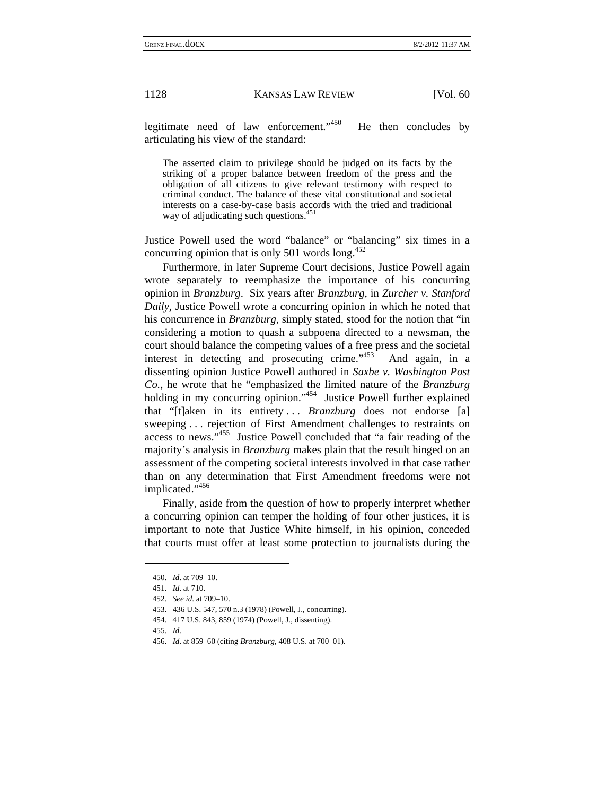legitimate need of law enforcement."<sup>450</sup> He then concludes by articulating his view of the standard:

The asserted claim to privilege should be judged on its facts by the striking of a proper balance between freedom of the press and the obligation of all citizens to give relevant testimony with respect to criminal conduct. The balance of these vital constitutional and societal interests on a case-by-case basis accords with the tried and traditional way of adjudicating such questions.<sup>451</sup>

Justice Powell used the word "balance" or "balancing" six times in a concurring opinion that is only 501 words  $long.^{452}$ 

Furthermore, in later Supreme Court decisions, Justice Powell again wrote separately to reemphasize the importance of his concurring opinion in *Branzburg*. Six years after *Branzburg*, in *Zurcher v. Stanford Daily*, Justice Powell wrote a concurring opinion in which he noted that his concurrence in *Branzburg*, simply stated, stood for the notion that "in considering a motion to quash a subpoena directed to a newsman, the court should balance the competing values of a free press and the societal interest in detecting and prosecuting crime."453 And again, in a dissenting opinion Justice Powell authored in *Saxbe v. Washington Post Co.*, he wrote that he "emphasized the limited nature of the *Branzburg* holding in my concurring opinion."<sup>454</sup> Justice Powell further explained that "[t]aken in its entirety . . . *Branzburg* does not endorse [a] sweeping . . . rejection of First Amendment challenges to restraints on access to news."455 Justice Powell concluded that "a fair reading of the majority's analysis in *Branzburg* makes plain that the result hinged on an assessment of the competing societal interests involved in that case rather than on any determination that First Amendment freedoms were not implicated."<sup>456</sup>

Finally, aside from the question of how to properly interpret whether a concurring opinion can temper the holding of four other justices, it is important to note that Justice White himself, in his opinion, conceded that courts must offer at least some protection to journalists during the

<sup>450.</sup> *Id*. at 709–10.

<sup>451.</sup> *Id*. at 710.

<sup>452.</sup> *See id*. at 709–10.

 <sup>453. 436</sup> U.S. 547, 570 n.3 (1978) (Powell, J., concurring).

 <sup>454. 417</sup> U.S. 843, 859 (1974) (Powell, J., dissenting).

<sup>455.</sup> *Id*.

<sup>456.</sup> *Id*. at 859–60 (citing *Branzburg*, 408 U.S. at 700–01).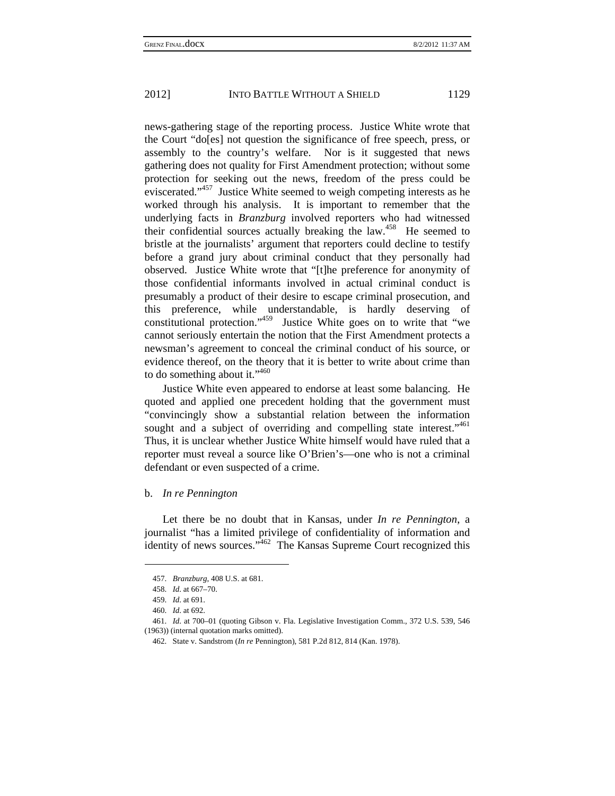news-gathering stage of the reporting process. Justice White wrote that the Court "do[es] not question the significance of free speech, press, or assembly to the country's welfare. Nor is it suggested that news gathering does not quality for First Amendment protection; without some protection for seeking out the news, freedom of the press could be eviscerated."<sup>457</sup> Justice White seemed to weigh competing interests as he worked through his analysis. It is important to remember that the underlying facts in *Branzburg* involved reporters who had witnessed their confidential sources actually breaking the law.<sup>458</sup> He seemed to bristle at the journalists' argument that reporters could decline to testify before a grand jury about criminal conduct that they personally had observed. Justice White wrote that "[t]he preference for anonymity of those confidential informants involved in actual criminal conduct is presumably a product of their desire to escape criminal prosecution, and this preference, while understandable, is hardly deserving of constitutional protection."459 Justice White goes on to write that "we cannot seriously entertain the notion that the First Amendment protects a newsman's agreement to conceal the criminal conduct of his source, or evidence thereof, on the theory that it is better to write about crime than to do something about it." $460$ 

Justice White even appeared to endorse at least some balancing. He quoted and applied one precedent holding that the government must "convincingly show a substantial relation between the information sought and a subject of overriding and compelling state interest."461 Thus, it is unclear whether Justice White himself would have ruled that a reporter must reveal a source like O'Brien's—one who is not a criminal defendant or even suspected of a crime.

#### b. *In re Pennington*

Let there be no doubt that in Kansas, under *In re Pennington*, a journalist "has a limited privilege of confidentiality of information and identity of news sources."<sup>462</sup> The Kansas Supreme Court recognized this

 <sup>457.</sup> *Branzburg*, 408 U.S. at 681.

<sup>458.</sup> *Id*. at 667–70.

<sup>459.</sup> *Id*. at 691.

<sup>460.</sup> *Id*. at 692.

<sup>461.</sup> *Id*. at 700–01 (quoting Gibson v. Fla. Legislative Investigation Comm., 372 U.S. 539, 546 (1963)) (internal quotation marks omitted).

 <sup>462.</sup> State v. Sandstrom (*In re* Pennington), 581 P.2d 812, 814 (Kan. 1978).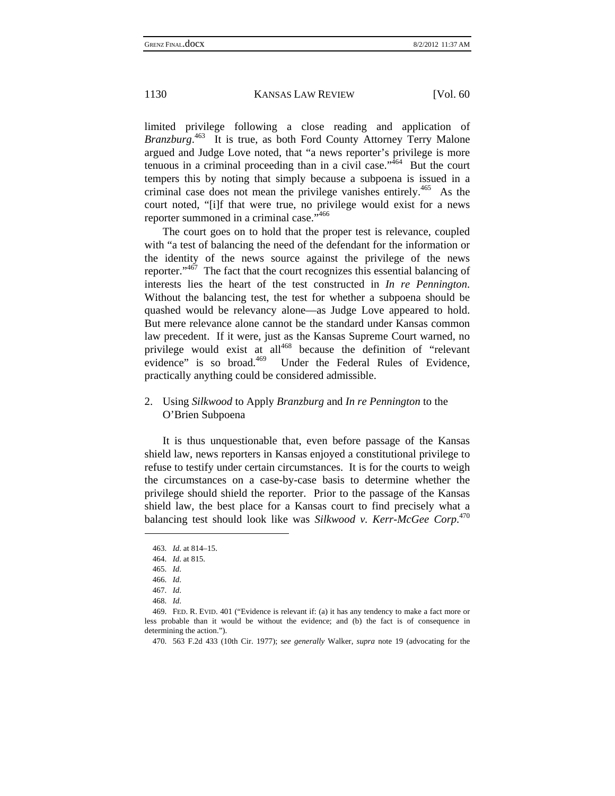limited privilege following a close reading and application of *Branzburg*. 463 It is true, as both Ford County Attorney Terry Malone argued and Judge Love noted, that "a news reporter's privilege is more tenuous in a criminal proceeding than in a civil case."464 But the court tempers this by noting that simply because a subpoena is issued in a criminal case does not mean the privilege vanishes entirely.<sup>465</sup> As the court noted, "[i]f that were true, no privilege would exist for a news reporter summoned in a criminal case."466

The court goes on to hold that the proper test is relevance, coupled with "a test of balancing the need of the defendant for the information or the identity of the news source against the privilege of the news reporter." $467$  The fact that the court recognizes this essential balancing of interests lies the heart of the test constructed in *In re Pennington*. Without the balancing test, the test for whether a subpoena should be quashed would be relevancy alone—as Judge Love appeared to hold. But mere relevance alone cannot be the standard under Kansas common law precedent. If it were, just as the Kansas Supreme Court warned, no privilege would exist at  $all^{468}$  because the definition of "relevant evidence" is so broad.<sup> $469$ </sup> Under the Federal Rules of Evidence. Under the Federal Rules of Evidence, practically anything could be considered admissible.

# 2. Using *Silkwood* to Apply *Branzburg* and *In re Pennington* to the O'Brien Subpoena

It is thus unquestionable that, even before passage of the Kansas shield law, news reporters in Kansas enjoyed a constitutional privilege to refuse to testify under certain circumstances. It is for the courts to weigh the circumstances on a case-by-case basis to determine whether the privilege should shield the reporter. Prior to the passage of the Kansas shield law, the best place for a Kansas court to find precisely what a balancing test should look like was *Silkwood v. Kerr-McGee Corp*. 470

<sup>463.</sup> *Id*. at 814–15.

<sup>464.</sup> *Id*. at 815.

<sup>465.</sup> *Id*.

<sup>466.</sup> *Id*.

<sup>467.</sup> *Id*.

<sup>468.</sup> *Id*.

 <sup>469.</sup> FED. R. EVID. 401 ("Evidence is relevant if: (a) it has any tendency to make a fact more or less probable than it would be without the evidence; and (b) the fact is of consequence in determining the action.").

 <sup>470. 563</sup> F.2d 433 (10th Cir. 1977); s*ee generally* Walker, *supra* note 19 (advocating for the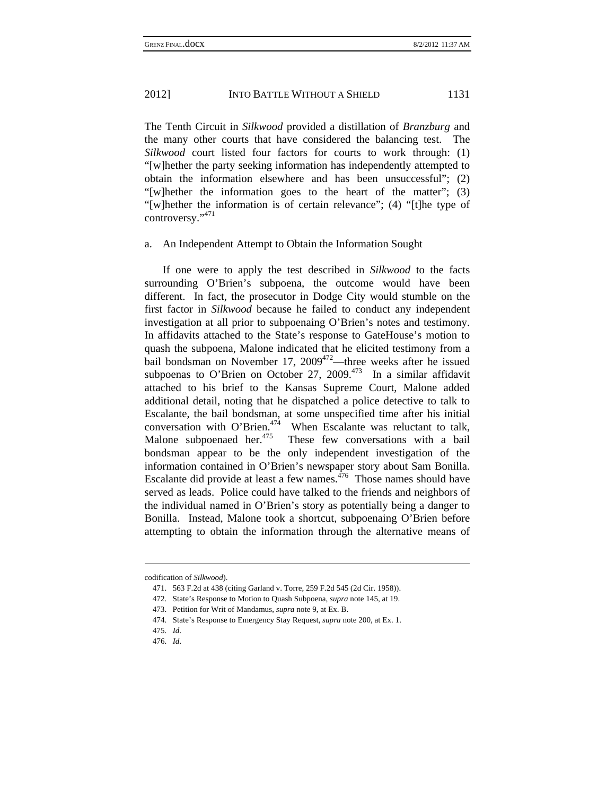The Tenth Circuit in *Silkwood* provided a distillation of *Branzburg* and the many other courts that have considered the balancing test. The *Silkwood* court listed four factors for courts to work through: (1) "[w]hether the party seeking information has independently attempted to obtain the information elsewhere and has been unsuccessful"; (2) "[w]hether the information goes to the heart of the matter"; (3) "[w]hether the information is of certain relevance"; (4) "[t]he type of controversy."<sup>471</sup>

#### a. An Independent Attempt to Obtain the Information Sought

If one were to apply the test described in *Silkwood* to the facts surrounding O'Brien's subpoena, the outcome would have been different. In fact, the prosecutor in Dodge City would stumble on the first factor in *Silkwood* because he failed to conduct any independent investigation at all prior to subpoenaing O'Brien's notes and testimony. In affidavits attached to the State's response to GateHouse's motion to quash the subpoena, Malone indicated that he elicited testimony from a bail bondsman on November 17, 2009<sup>472</sup>—three weeks after he issued subpoenas to O'Brien on October 27, 2009.<sup>473</sup> In a similar affidavit attached to his brief to the Kansas Supreme Court, Malone added additional detail, noting that he dispatched a police detective to talk to Escalante, the bail bondsman, at some unspecified time after his initial conversation with O'Brien.<sup>474</sup> When Escalante was reluctant to talk, Malone subpoenaed her. $475$  These few conversations with a bail bondsman appear to be the only independent investigation of the information contained in O'Brien's newspaper story about Sam Bonilla. Escalante did provide at least a few names. $476$  Those names should have served as leads. Police could have talked to the friends and neighbors of the individual named in O'Brien's story as potentially being a danger to Bonilla. Instead, Malone took a shortcut, subpoenaing O'Brien before attempting to obtain the information through the alternative means of

codification of *Silkwood*).

 <sup>471. 563</sup> F.2d at 438 (citing Garland v. Torre, 259 F.2d 545 (2d Cir. 1958)).

 <sup>472.</sup> State's Response to Motion to Quash Subpoena, *supra* note 145, at 19.

 <sup>473.</sup> Petition for Writ of Mandamus, *supra* note 9, at Ex. B.

 <sup>474.</sup> State's Response to Emergency Stay Request, *supra* note 200, at Ex. 1.

<sup>475.</sup> *Id*.

<sup>476.</sup> *Id*.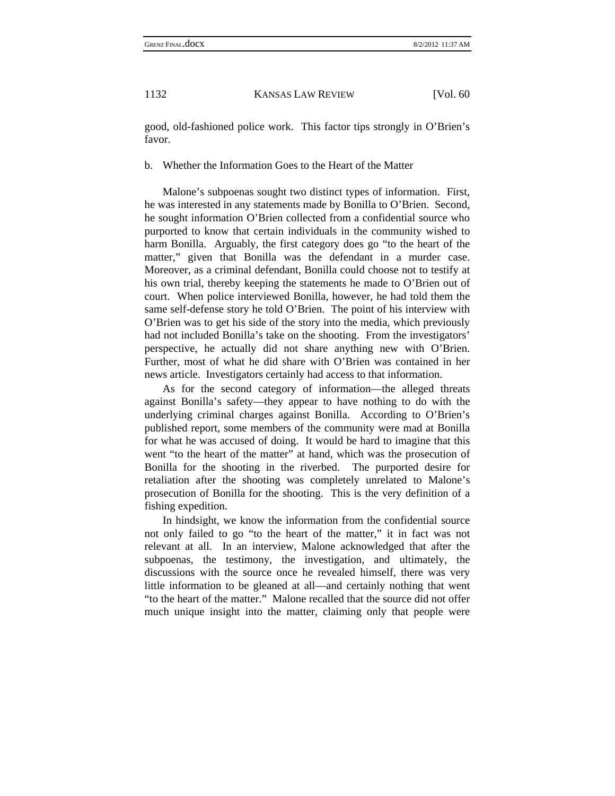good, old-fashioned police work. This factor tips strongly in O'Brien's favor.

b. Whether the Information Goes to the Heart of the Matter

Malone's subpoenas sought two distinct types of information. First, he was interested in any statements made by Bonilla to O'Brien. Second, he sought information O'Brien collected from a confidential source who purported to know that certain individuals in the community wished to harm Bonilla. Arguably, the first category does go "to the heart of the matter," given that Bonilla was the defendant in a murder case. Moreover, as a criminal defendant, Bonilla could choose not to testify at his own trial, thereby keeping the statements he made to O'Brien out of court. When police interviewed Bonilla, however, he had told them the same self-defense story he told O'Brien. The point of his interview with O'Brien was to get his side of the story into the media, which previously had not included Bonilla's take on the shooting. From the investigators' perspective, he actually did not share anything new with O'Brien. Further, most of what he did share with O'Brien was contained in her news article. Investigators certainly had access to that information.

As for the second category of information—the alleged threats against Bonilla's safety—they appear to have nothing to do with the underlying criminal charges against Bonilla. According to O'Brien's published report, some members of the community were mad at Bonilla for what he was accused of doing. It would be hard to imagine that this went "to the heart of the matter" at hand, which was the prosecution of Bonilla for the shooting in the riverbed. The purported desire for retaliation after the shooting was completely unrelated to Malone's prosecution of Bonilla for the shooting. This is the very definition of a fishing expedition.

In hindsight, we know the information from the confidential source not only failed to go "to the heart of the matter," it in fact was not relevant at all. In an interview, Malone acknowledged that after the subpoenas, the testimony, the investigation, and ultimately, the discussions with the source once he revealed himself, there was very little information to be gleaned at all—and certainly nothing that went "to the heart of the matter." Malone recalled that the source did not offer much unique insight into the matter, claiming only that people were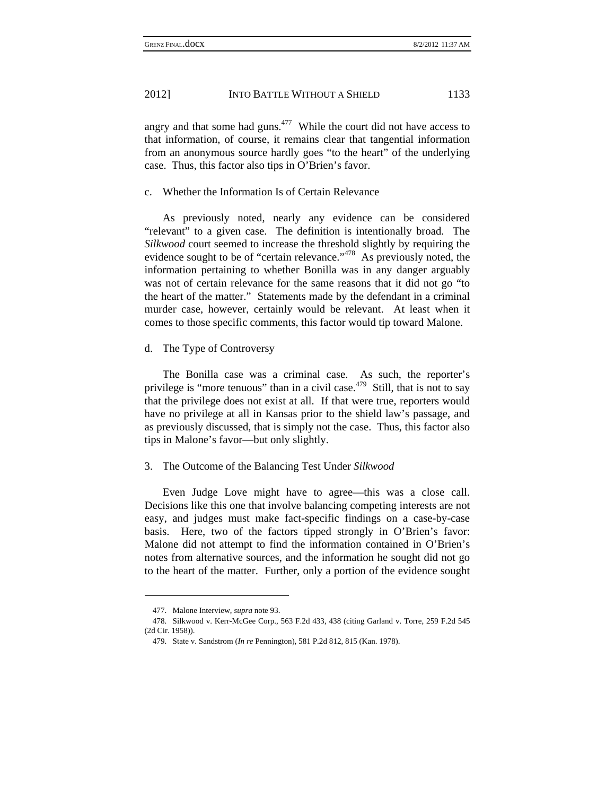angry and that some had guns.<sup>477</sup> While the court did not have access to that information, of course, it remains clear that tangential information from an anonymous source hardly goes "to the heart" of the underlying case. Thus, this factor also tips in O'Brien's favor.

c. Whether the Information Is of Certain Relevance

As previously noted, nearly any evidence can be considered "relevant" to a given case. The definition is intentionally broad. The *Silkwood* court seemed to increase the threshold slightly by requiring the evidence sought to be of "certain relevance."<sup>478</sup> As previously noted, the information pertaining to whether Bonilla was in any danger arguably was not of certain relevance for the same reasons that it did not go "to the heart of the matter." Statements made by the defendant in a criminal murder case, however, certainly would be relevant. At least when it comes to those specific comments, this factor would tip toward Malone.

d. The Type of Controversy

The Bonilla case was a criminal case. As such, the reporter's privilege is "more tenuous" than in a civil case.<sup> $479$ </sup> Still, that is not to say that the privilege does not exist at all. If that were true, reporters would have no privilege at all in Kansas prior to the shield law's passage, and as previously discussed, that is simply not the case. Thus, this factor also tips in Malone's favor—but only slightly.

#### 3. The Outcome of the Balancing Test Under *Silkwood*

Even Judge Love might have to agree—this was a close call. Decisions like this one that involve balancing competing interests are not easy, and judges must make fact-specific findings on a case-by-case basis. Here, two of the factors tipped strongly in O'Brien's favor: Malone did not attempt to find the information contained in O'Brien's notes from alternative sources, and the information he sought did not go to the heart of the matter. Further, only a portion of the evidence sought

 <sup>477.</sup> Malone Interview, *supra* note 93.

 <sup>478.</sup> Silkwood v. Kerr-McGee Corp., 563 F.2d 433, 438 (citing Garland v. Torre, 259 F.2d 545 (2d Cir. 1958)).

 <sup>479.</sup> State v. Sandstrom (*In re* Pennington), 581 P.2d 812, 815 (Kan. 1978).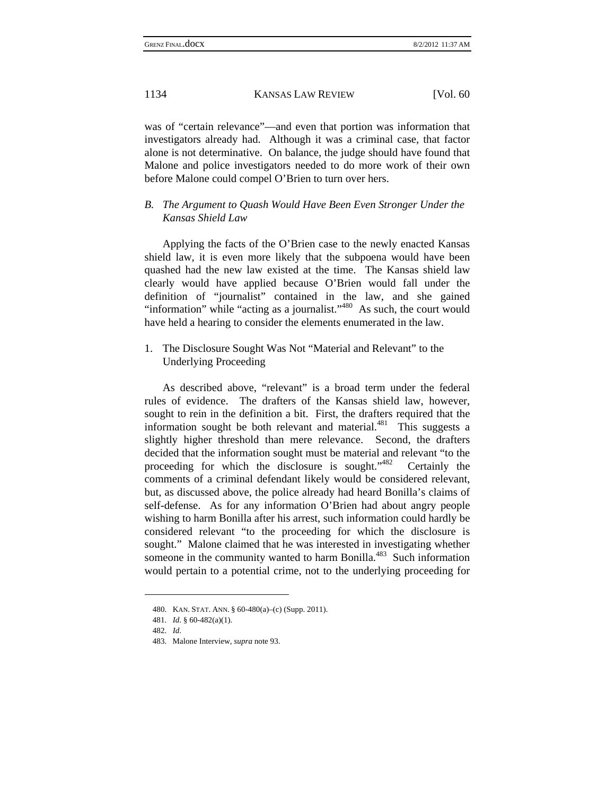was of "certain relevance"—and even that portion was information that investigators already had. Although it was a criminal case, that factor alone is not determinative. On balance, the judge should have found that Malone and police investigators needed to do more work of their own before Malone could compel O'Brien to turn over hers.

# *B. The Argument to Quash Would Have Been Even Stronger Under the Kansas Shield Law*

Applying the facts of the O'Brien case to the newly enacted Kansas shield law, it is even more likely that the subpoena would have been quashed had the new law existed at the time. The Kansas shield law clearly would have applied because O'Brien would fall under the definition of "journalist" contained in the law, and she gained "information" while "acting as a journalist."<sup>480</sup> As such, the court would have held a hearing to consider the elements enumerated in the law.

1. The Disclosure Sought Was Not "Material and Relevant" to the Underlying Proceeding

As described above, "relevant" is a broad term under the federal rules of evidence. The drafters of the Kansas shield law, however, sought to rein in the definition a bit. First, the drafters required that the information sought be both relevant and material.<sup>481</sup> This suggests a slightly higher threshold than mere relevance. Second, the drafters decided that the information sought must be material and relevant "to the proceeding for which the disclosure is sought."482 Certainly the comments of a criminal defendant likely would be considered relevant, but, as discussed above, the police already had heard Bonilla's claims of self-defense. As for any information O'Brien had about angry people wishing to harm Bonilla after his arrest, such information could hardly be considered relevant "to the proceeding for which the disclosure is sought." Malone claimed that he was interested in investigating whether someone in the community wanted to harm Bonilla.<sup>483</sup> Such information would pertain to a potential crime, not to the underlying proceeding for

 <sup>480.</sup> KAN. STAT. ANN. § 60-480(a)–(c) (Supp. 2011).

<sup>481.</sup> *Id*. § 60-482(a)(1).

<sup>482.</sup> *Id*.

 <sup>483.</sup> Malone Interview, *supra* note 93.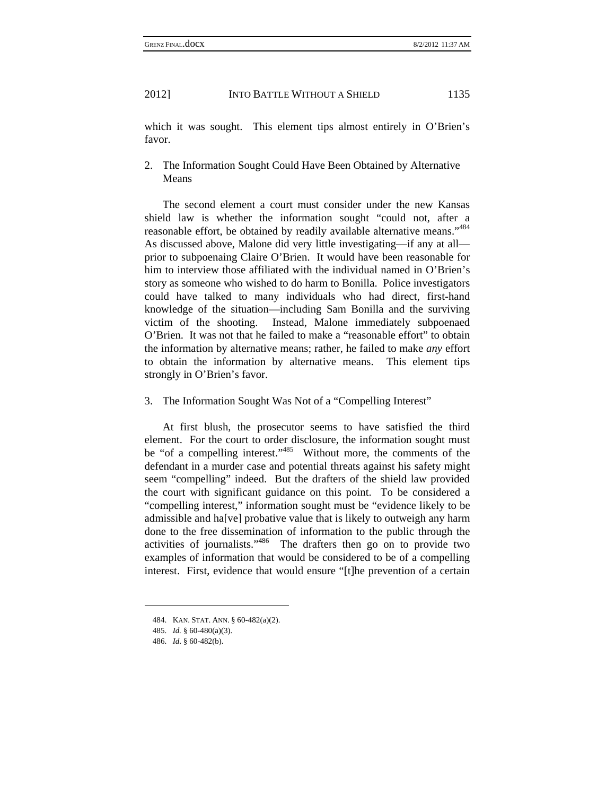which it was sought. This element tips almost entirely in O'Brien's favor.

2. The Information Sought Could Have Been Obtained by Alternative Means

The second element a court must consider under the new Kansas shield law is whether the information sought "could not, after a reasonable effort, be obtained by readily available alternative means."<sup>484</sup> As discussed above, Malone did very little investigating—if any at all prior to subpoenaing Claire O'Brien. It would have been reasonable for him to interview those affiliated with the individual named in O'Brien's story as someone who wished to do harm to Bonilla. Police investigators could have talked to many individuals who had direct, first-hand knowledge of the situation—including Sam Bonilla and the surviving victim of the shooting. Instead, Malone immediately subpoenaed O'Brien. It was not that he failed to make a "reasonable effort" to obtain the information by alternative means; rather, he failed to make *any* effort to obtain the information by alternative means. This element tips strongly in O'Brien's favor.

3. The Information Sought Was Not of a "Compelling Interest"

At first blush, the prosecutor seems to have satisfied the third element. For the court to order disclosure, the information sought must be "of a compelling interest."<sup>485</sup> Without more, the comments of the defendant in a murder case and potential threats against his safety might seem "compelling" indeed. But the drafters of the shield law provided the court with significant guidance on this point. To be considered a "compelling interest," information sought must be "evidence likely to be admissible and ha[ve] probative value that is likely to outweigh any harm done to the free dissemination of information to the public through the activities of journalists."486 The drafters then go on to provide two examples of information that would be considered to be of a compelling interest. First, evidence that would ensure "[t]he prevention of a certain

 $\overline{\phantom{a}}$ 

 <sup>484.</sup> KAN. STAT. ANN. § 60-482(a)(2).

<sup>485.</sup> *Id.* § 60-480(a)(3).

<sup>486.</sup> *Id*. § 60-482(b).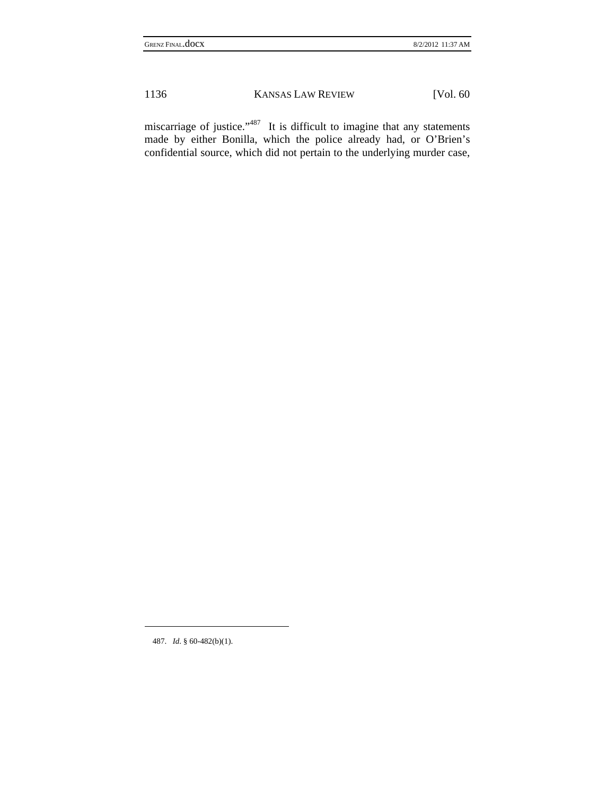miscarriage of justice." $487$  It is difficult to imagine that any statements made by either Bonilla, which the police already had, or O'Brien's confidential source, which did not pertain to the underlying murder case,

487. *Id*. § 60-482(b)(1).

 $\overline{\phantom{a}}$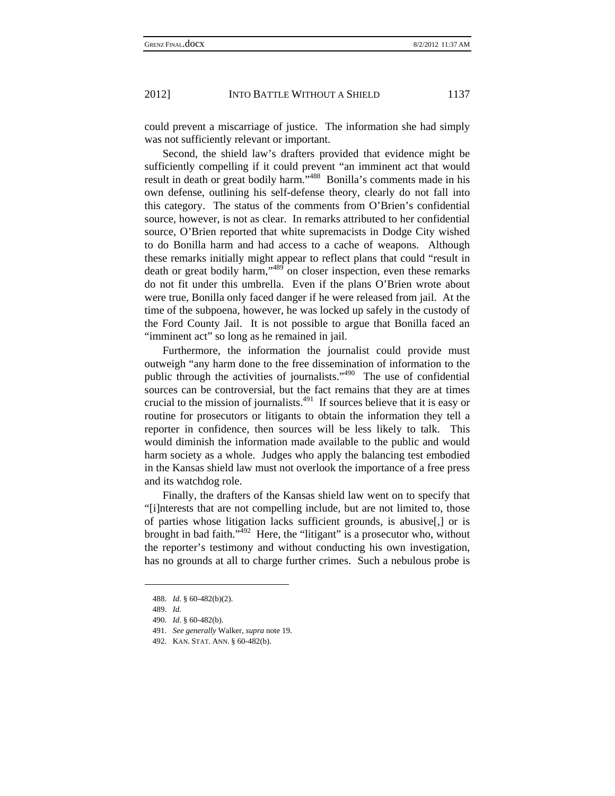could prevent a miscarriage of justice. The information she had simply was not sufficiently relevant or important.

Second, the shield law's drafters provided that evidence might be sufficiently compelling if it could prevent "an imminent act that would result in death or great bodily harm."<sup>488</sup> Bonilla's comments made in his own defense, outlining his self-defense theory, clearly do not fall into this category. The status of the comments from O'Brien's confidential source, however, is not as clear. In remarks attributed to her confidential source, O'Brien reported that white supremacists in Dodge City wished to do Bonilla harm and had access to a cache of weapons. Although these remarks initially might appear to reflect plans that could "result in death or great bodily harm,"<sup>489</sup> on closer inspection, even these remarks do not fit under this umbrella. Even if the plans O'Brien wrote about were true, Bonilla only faced danger if he were released from jail. At the time of the subpoena, however, he was locked up safely in the custody of the Ford County Jail. It is not possible to argue that Bonilla faced an "imminent act" so long as he remained in jail.

Furthermore, the information the journalist could provide must outweigh "any harm done to the free dissemination of information to the public through the activities of journalists."490 The use of confidential sources can be controversial, but the fact remains that they are at times crucial to the mission of journalists.<sup>491</sup> If sources believe that it is easy or routine for prosecutors or litigants to obtain the information they tell a reporter in confidence, then sources will be less likely to talk. This would diminish the information made available to the public and would harm society as a whole. Judges who apply the balancing test embodied in the Kansas shield law must not overlook the importance of a free press and its watchdog role.

Finally, the drafters of the Kansas shield law went on to specify that "[i]nterests that are not compelling include, but are not limited to, those of parties whose litigation lacks sufficient grounds, is abusive[,] or is brought in bad faith. $1492$  Here, the "litigant" is a prosecutor who, without the reporter's testimony and without conducting his own investigation, has no grounds at all to charge further crimes. Such a nebulous probe is

 $\overline{\phantom{a}}$ 

<sup>488.</sup> *Id*. § 60-482(b)(2).

<sup>489.</sup> *Id.*

<sup>490.</sup> *Id*. § 60-482(b).

<sup>491.</sup> *See generally* Walker, *supra* note 19.

 <sup>492.</sup> KAN. STAT. ANN. § 60-482(b).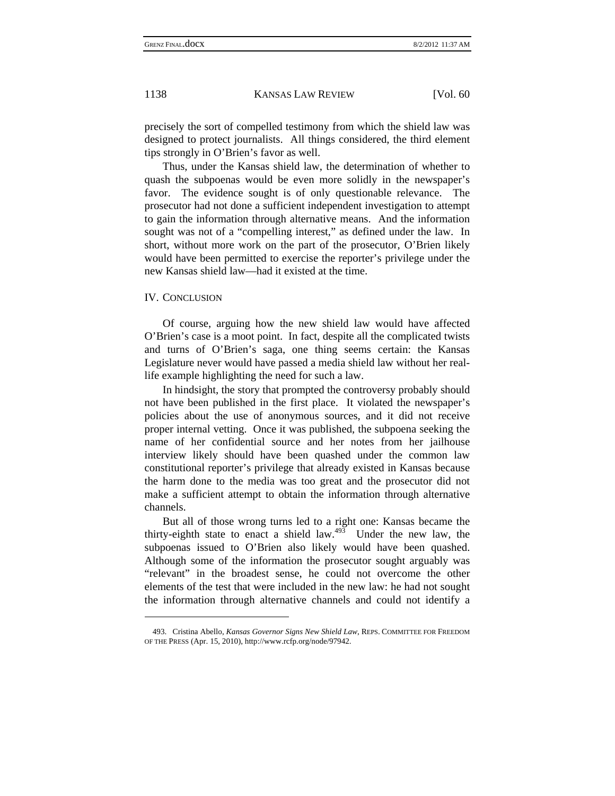precisely the sort of compelled testimony from which the shield law was designed to protect journalists. All things considered, the third element tips strongly in O'Brien's favor as well.

Thus, under the Kansas shield law, the determination of whether to quash the subpoenas would be even more solidly in the newspaper's favor. The evidence sought is of only questionable relevance. The prosecutor had not done a sufficient independent investigation to attempt to gain the information through alternative means. And the information sought was not of a "compelling interest," as defined under the law. In short, without more work on the part of the prosecutor, O'Brien likely would have been permitted to exercise the reporter's privilege under the new Kansas shield law—had it existed at the time.

# IV. CONCLUSION

 $\overline{\phantom{a}}$ 

Of course, arguing how the new shield law would have affected O'Brien's case is a moot point. In fact, despite all the complicated twists and turns of O'Brien's saga, one thing seems certain: the Kansas Legislature never would have passed a media shield law without her reallife example highlighting the need for such a law.

In hindsight, the story that prompted the controversy probably should not have been published in the first place. It violated the newspaper's policies about the use of anonymous sources, and it did not receive proper internal vetting. Once it was published, the subpoena seeking the name of her confidential source and her notes from her jailhouse interview likely should have been quashed under the common law constitutional reporter's privilege that already existed in Kansas because the harm done to the media was too great and the prosecutor did not make a sufficient attempt to obtain the information through alternative channels.

But all of those wrong turns led to a right one: Kansas became the thirty-eighth state to enact a shield law.<sup>493</sup> Under the new law, the subpoenas issued to O'Brien also likely would have been quashed. Although some of the information the prosecutor sought arguably was "relevant" in the broadest sense, he could not overcome the other elements of the test that were included in the new law: he had not sought the information through alternative channels and could not identify a

<sup>493.</sup> Cristina Abello, *Kansas Governor Signs New Shield Law*, REPS. COMMITTEE FOR FREEDOM OF THE PRESS (Apr. 15, 2010), http://www.rcfp.org/node/97942.